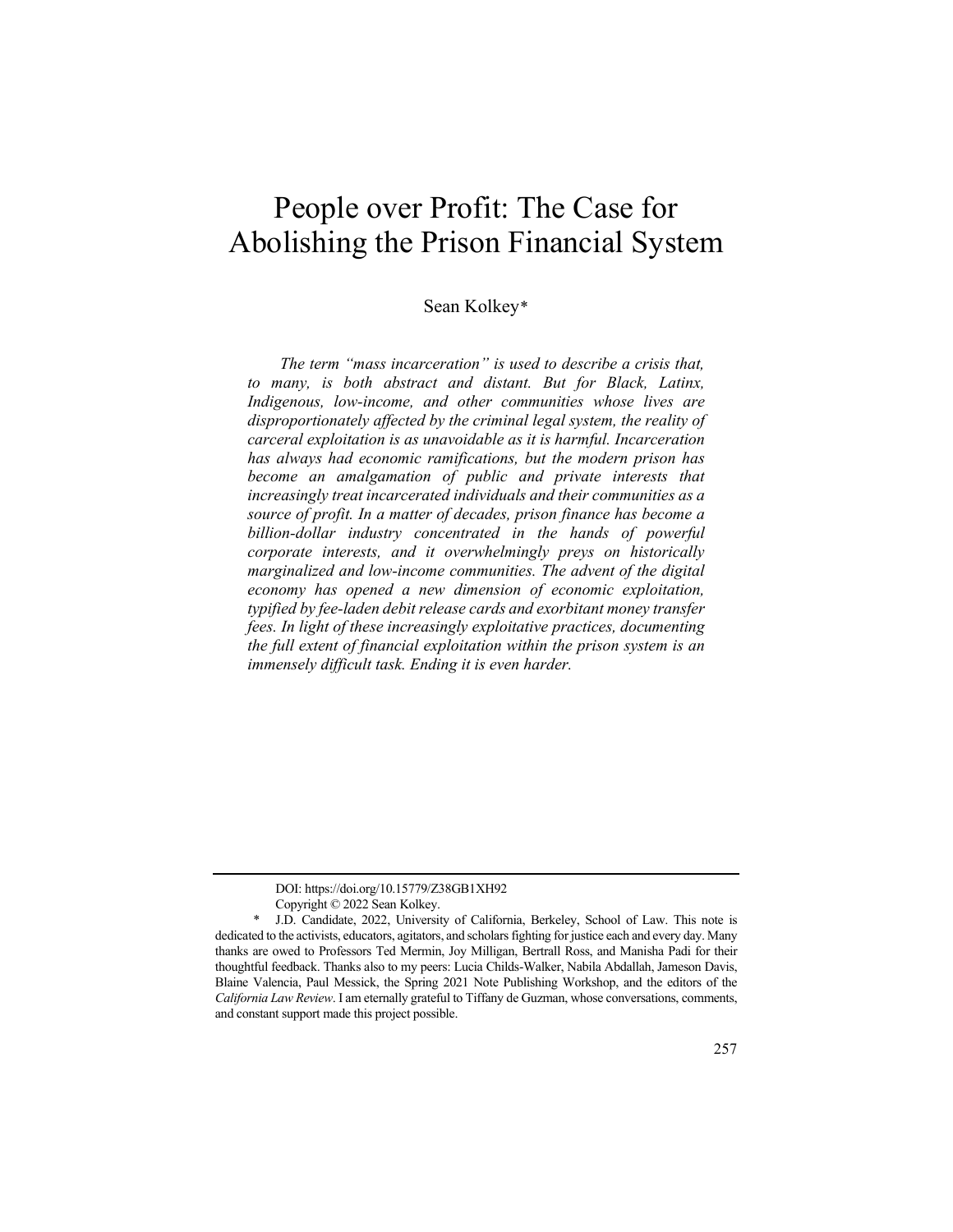# People over Profit: The Case for Abolishing the Prison Financial System

# Sean Kolkey[\\*](#page-0-0)

*The term "mass incarceration" is used to describe a crisis that, to many, is both abstract and distant. But for Black, Latinx, Indigenous, low-income, and other communities whose lives are disproportionately affected by the criminal legal system, the reality of carceral exploitation is as unavoidable as it is harmful. Incarceration has always had economic ramifications, but the modern prison has become an amalgamation of public and private interests that increasingly treat incarcerated individuals and their communities as a source of profit. In a matter of decades, prison finance has become a billion-dollar industry concentrated in the hands of powerful corporate interests, and it overwhelmingly preys on historically marginalized and low-income communities. The advent of the digital economy has opened a new dimension of economic exploitation, typified by fee-laden debit release cards and exorbitant money transfer fees. In light of these increasingly exploitative practices, documenting the full extent of financial exploitation within the prison system is an immensely difficult task. Ending it is even harder.*

DOI: https://doi.org/10.15779/Z38GB1XH92

Copyright © 2022 Sean Kolkey.

<span id="page-0-0"></span>J.D. Candidate, 2022, University of California, Berkeley, School of Law. This note is dedicated to the activists, educators, agitators, and scholars fighting for justice each and every day. Many thanks are owed to Professors Ted Mermin, Joy Milligan, Bertrall Ross, and Manisha Padi for their thoughtful feedback. Thanks also to my peers: Lucia Childs-Walker, Nabila Abdallah, Jameson Davis, Blaine Valencia, Paul Messick, the Spring 2021 Note Publishing Workshop, and the editors of the *California Law Review*. I am eternally grateful to Tiffany de Guzman, whose conversations, comments, and constant support made this project possible.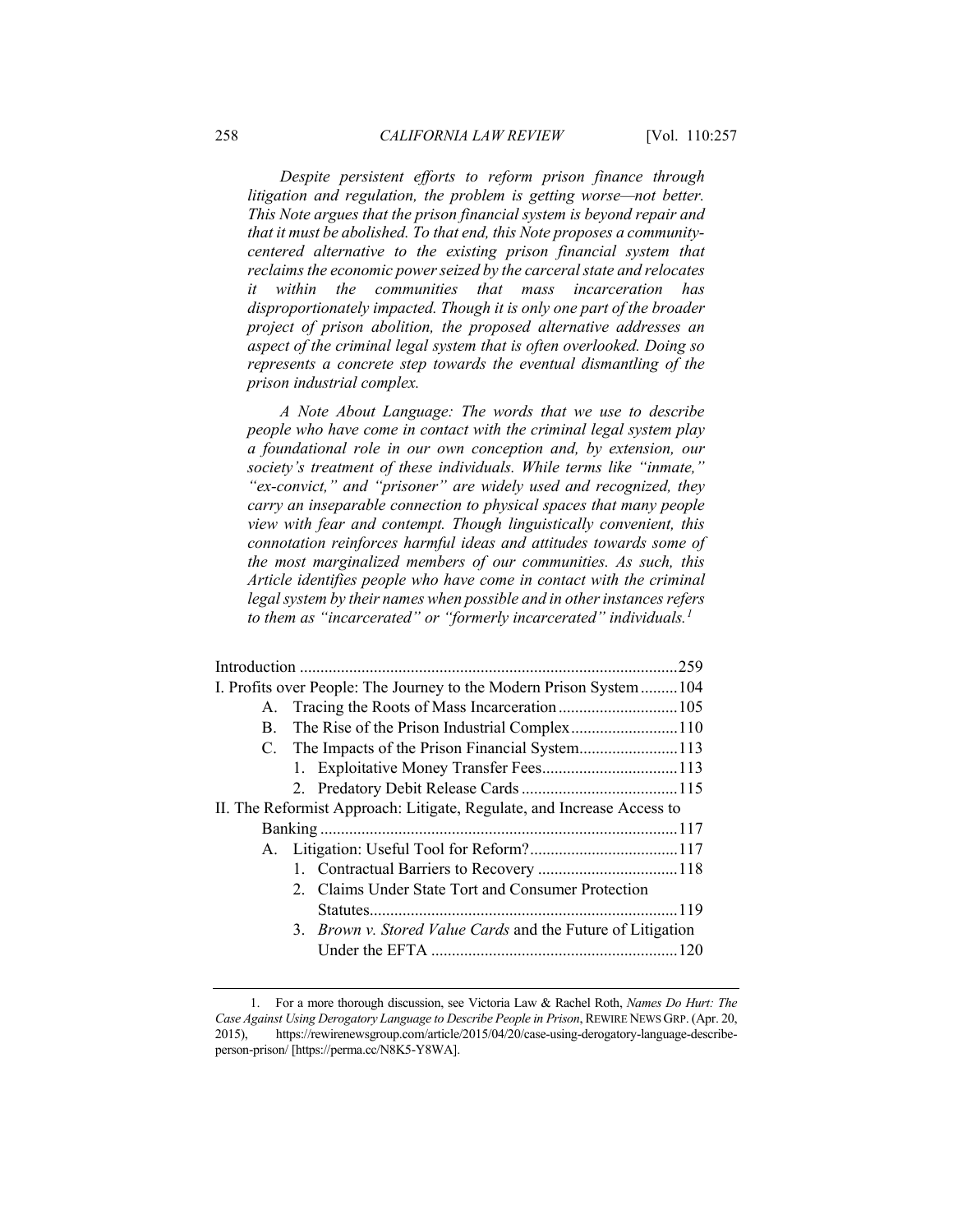*Despite persistent efforts to reform prison finance through litigation and regulation, the problem is getting worse—not better. This Note argues that the prison financial system is beyond repair and that it must be abolished. To that end, this Note proposes a communitycentered alternative to the existing prison financial system that reclaims the economic power seized by the carceral state and relocates it within the communities that mass incarceration has disproportionately impacted. Though it is only one part of the broader project of prison abolition, the proposed alternative addresses an aspect of the criminal legal system that is often overlooked. Doing so represents a concrete step towards the eventual dismantling of the prison industrial complex.*

*A Note About Language: The words that we use to describe people who have come in contact with the criminal legal system play a foundational role in our own conception and, by extension, our society's treatment of these individuals. While terms like "inmate," "ex-convict," and "prisoner" are widely used and recognized, they carry an inseparable connection to physical spaces that many people view with fear and contempt. Though linguistically convenient, this connotation reinforces harmful ideas and attitudes towards some of the most marginalized members of our communities. As such, this Article identifies people who have come in contact with the criminal legal system by their names when possible and in other instances refers to them as "incarcerated" or "formerly incarcerated" individuals.[1](#page-1-0)*

| I. Profits over People: The Journey to the Modern Prison System104     |  |                                                                    |  |  |
|------------------------------------------------------------------------|--|--------------------------------------------------------------------|--|--|
| A.                                                                     |  |                                                                    |  |  |
| В.                                                                     |  | The Rise of the Prison Industrial Complex110                       |  |  |
|                                                                        |  |                                                                    |  |  |
|                                                                        |  |                                                                    |  |  |
|                                                                        |  |                                                                    |  |  |
| II. The Reformist Approach: Litigate, Regulate, and Increase Access to |  |                                                                    |  |  |
|                                                                        |  |                                                                    |  |  |
|                                                                        |  |                                                                    |  |  |
|                                                                        |  |                                                                    |  |  |
|                                                                        |  | 2. Claims Under State Tort and Consumer Protection                 |  |  |
|                                                                        |  |                                                                    |  |  |
|                                                                        |  | 3. <i>Brown v. Stored Value Cards</i> and the Future of Litigation |  |  |
|                                                                        |  |                                                                    |  |  |
|                                                                        |  |                                                                    |  |  |

<span id="page-1-0"></span><sup>1.</sup> For a more thorough discussion, see Victoria Law & Rachel Roth, *Names Do Hurt: The Case Against Using Derogatory Language to Describe People in Prison*, REWIRE NEWS GRP. (Apr. 20, 2015), https://rewirenewsgroup.com/article/2015/04/20/case-using-derogatory-language-describeperson-prison/ [https://perma.cc/N8K5-Y8WA].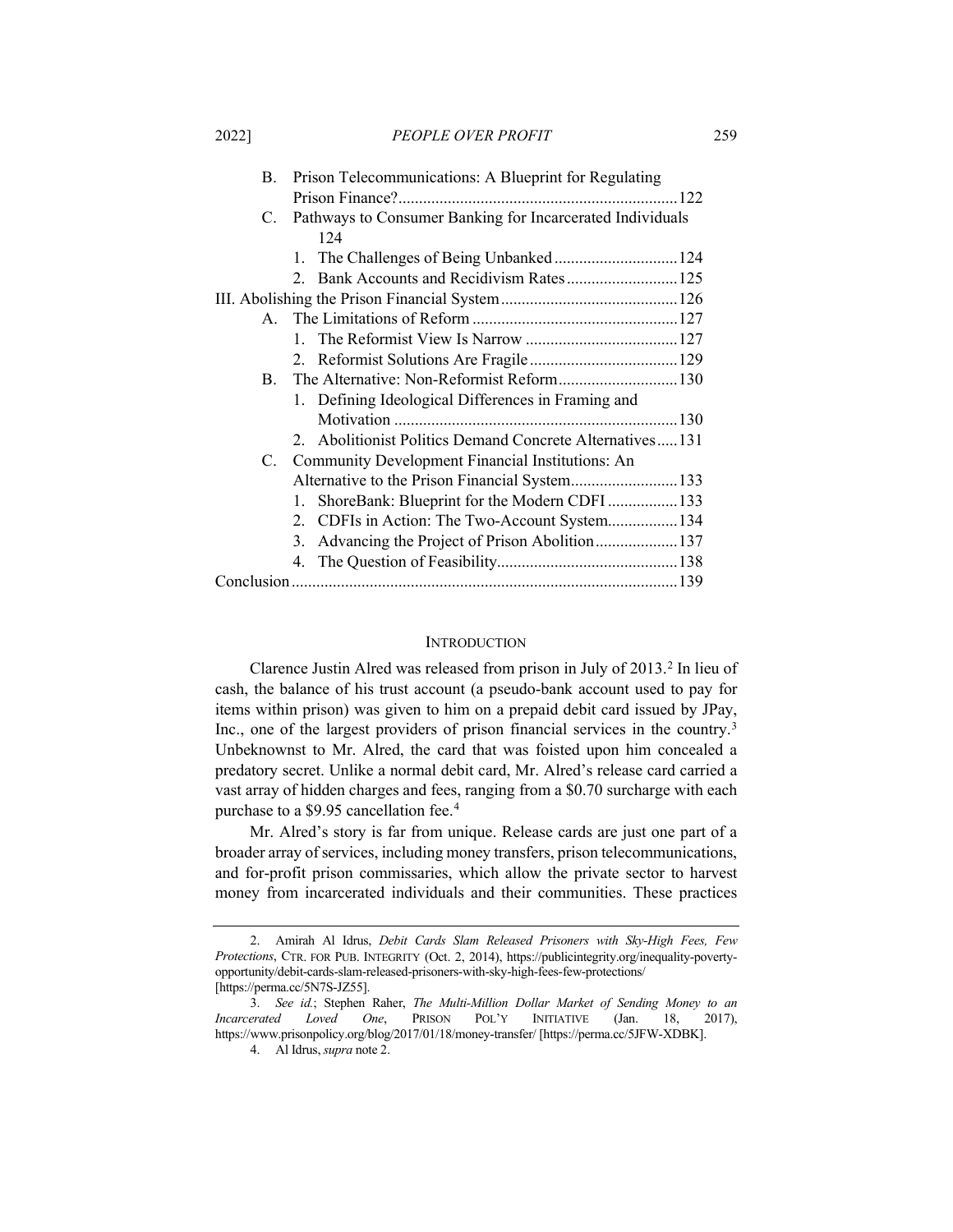2022] *PEOPLE OVER PROFIT* 259

|  | В.           | Prison Telecommunications: A Blueprint for Regulating     |  |  |
|--|--------------|-----------------------------------------------------------|--|--|
|  |              | .122                                                      |  |  |
|  | C.           | Pathways to Consumer Banking for Incarcerated Individuals |  |  |
|  |              | 124                                                       |  |  |
|  |              | 1. The Challenges of Being Unbanked 124                   |  |  |
|  |              |                                                           |  |  |
|  |              |                                                           |  |  |
|  | $\mathbf{A}$ |                                                           |  |  |
|  |              | $1 \quad$                                                 |  |  |
|  |              |                                                           |  |  |
|  | B.           | The Alternative: Non-Reformist Reform130                  |  |  |
|  |              | 1. Defining Ideological Differences in Framing and        |  |  |
|  |              |                                                           |  |  |
|  |              | 2. Abolitionist Politics Demand Concrete Alternatives131  |  |  |
|  | C.           | Community Development Financial Institutions: An          |  |  |
|  |              |                                                           |  |  |
|  |              | ShoreBank: Blueprint for the Modern CDFI133<br>1.         |  |  |
|  |              | 2. CDFIs in Action: The Two-Account System134             |  |  |
|  |              | Advancing the Project of Prison Abolition137<br>3.        |  |  |
|  |              |                                                           |  |  |
|  |              |                                                           |  |  |

## <span id="page-2-1"></span>**INTRODUCTION**

<span id="page-2-0"></span>Clarence Justin Alred was released from prison in July of [2](#page-2-2)013.<sup>2</sup> In lieu of cash, the balance of his trust account (a pseudo-bank account used to pay for items within prison) was given to him on a prepaid debit card issued by JPay, Inc., one of the largest providers of prison financial services in the country.<sup>[3](#page-2-3)</sup> Unbeknownst to Mr. Alred, the card that was foisted upon him concealed a predatory secret. Unlike a normal debit card, Mr. Alred's release card carried a vast array of hidden charges and fees, ranging from a \$0.70 surcharge with each purchase to a \$9.95 cancellation fee.[4](#page-2-4)

Mr. Alred's story is far from unique. Release cards are just one part of a broader array of services, including money transfers, prison telecommunications, and for-profit prison commissaries, which allow the private sector to harvest money from incarcerated individuals and their communities. These practices

<span id="page-2-2"></span><sup>2.</sup> Amirah Al Idrus, *Debit Cards Slam Released Prisoners with Sky-High Fees, Few Protections*, CTR. FOR PUB. INTEGRITY (Oct. 2, 2014), https://publicintegrity.org/inequality-povertyopportunity/debit-cards-slam-released-prisoners-with-sky-high-fees-few-protections/ [https://perma.cc/5N7S-JZ55].

<span id="page-2-4"></span><span id="page-2-3"></span><sup>3.</sup> *See id.*; Stephen Raher, *The Multi-Million Dollar Market of Sending Money to an Incarcerated Loved One*, PRISON POL'Y INITIATIVE (Jan. 18, 2017), https://www.prisonpolicy.org/blog/2017/01/18/money-transfer/ [https://perma.cc/5JFW-XDBK].

<sup>4.</sup> Al Idrus, *supra* not[e 2.](#page-2-1)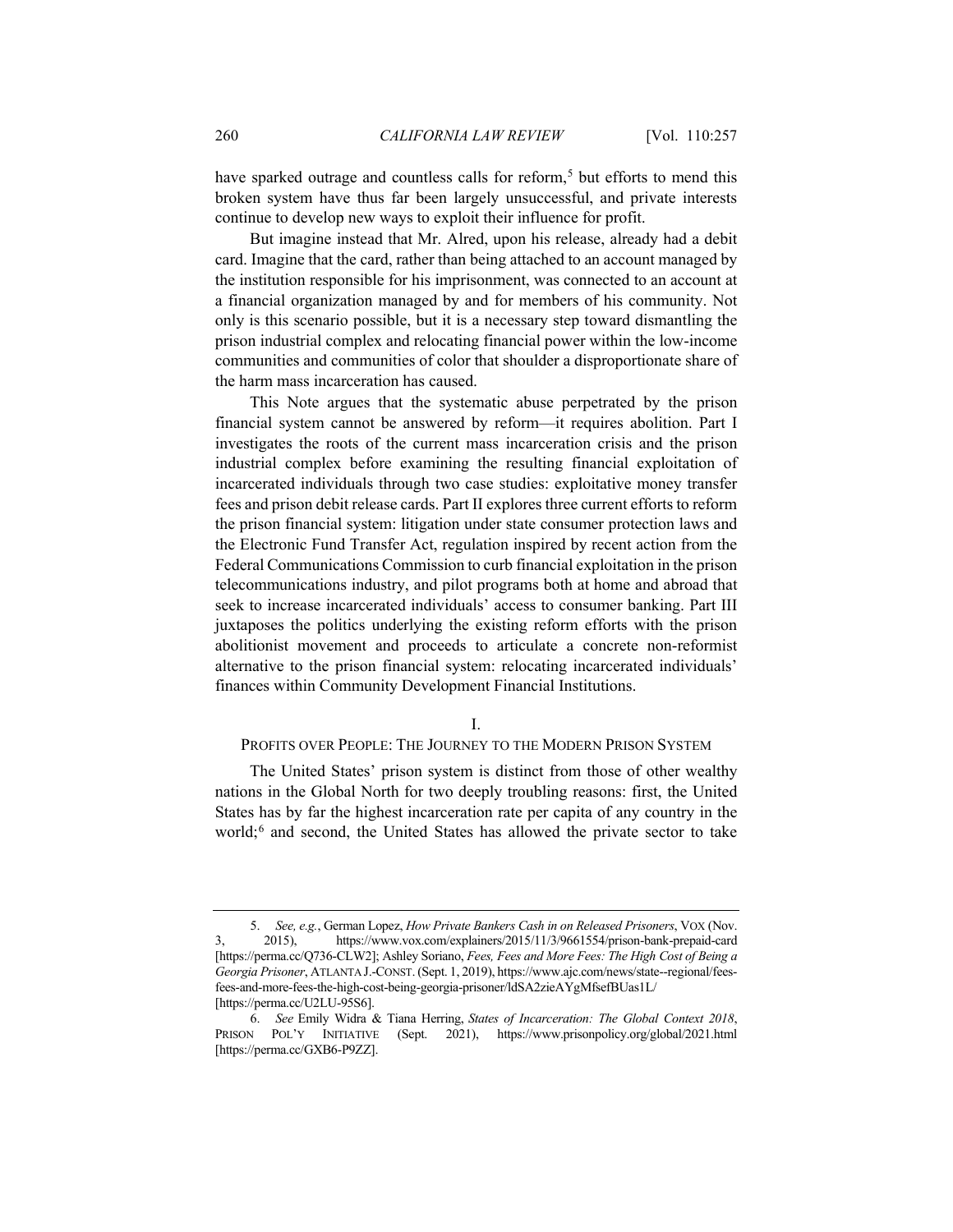have sparked outrage and countless calls for reform,<sup>[5](#page-3-0)</sup> but efforts to mend this broken system have thus far been largely unsuccessful, and private interests continue to develop new ways to exploit their influence for profit.

But imagine instead that Mr. Alred, upon his release, already had a debit card. Imagine that the card, rather than being attached to an account managed by the institution responsible for his imprisonment, was connected to an account at a financial organization managed by and for members of his community. Not only is this scenario possible, but it is a necessary step toward dismantling the prison industrial complex and relocating financial power within the low-income communities and communities of color that shoulder a disproportionate share of the harm mass incarceration has caused.

This Note argues that the systematic abuse perpetrated by the prison financial system cannot be answered by reform—it requires abolition. Part I investigates the roots of the current mass incarceration crisis and the prison industrial complex before examining the resulting financial exploitation of incarcerated individuals through two case studies: exploitative money transfer fees and prison debit release cards. Part II explores three current efforts to reform the prison financial system: litigation under state consumer protection laws and the Electronic Fund Transfer Act, regulation inspired by recent action from the Federal Communications Commission to curb financial exploitation in the prison telecommunications industry, and pilot programs both at home and abroad that seek to increase incarcerated individuals' access to consumer banking. Part III juxtaposes the politics underlying the existing reform efforts with the prison abolitionist movement and proceeds to articulate a concrete non-reformist alternative to the prison financial system: relocating incarcerated individuals' finances within Community Development Financial Institutions.

#### I.

#### PROFITS OVER PEOPLE: THE JOURNEY TO THE MODERN PRISON SYSTEM

The United States' prison system is distinct from those of other wealthy nations in the Global North for two deeply troubling reasons: first, the United States has by far the highest incarceration rate per capita of any country in the world;<sup>[6](#page-3-1)</sup> and second, the United States has allowed the private sector to take

<span id="page-3-0"></span><sup>5.</sup> *See, e.g.*, German Lopez, *How Private Bankers Cash in on Released Prisoners*, VOX (Nov. 3, 2015), https://www.vox.com/explainers/2015/11/3/9661554/prison-bank-prepaid-card [https://perma.cc/Q736-CLW2]; Ashley Soriano, *Fees, Fees and More Fees: The High Cost of Being a Georgia Prisoner*, ATLANTA J.-CONST. (Sept. 1, 2019), https://www.ajc.com/news/state--regional/feesfees-and-more-fees-the-high-cost-being-georgia-prisoner/ldSA2zieAYgMfsefBUas1L/ [https://perma.cc/U2LU-95S6].

<span id="page-3-1"></span><sup>6.</sup> *See* Emily Widra & Tiana Herring, *States of Incarceration: The Global Context 2018*, PRISON POL'Y INITIATIVE (Sept. 2021), https://www.prisonpolicy.org/global/2021.html [https://perma.cc/GXB6-P9ZZ].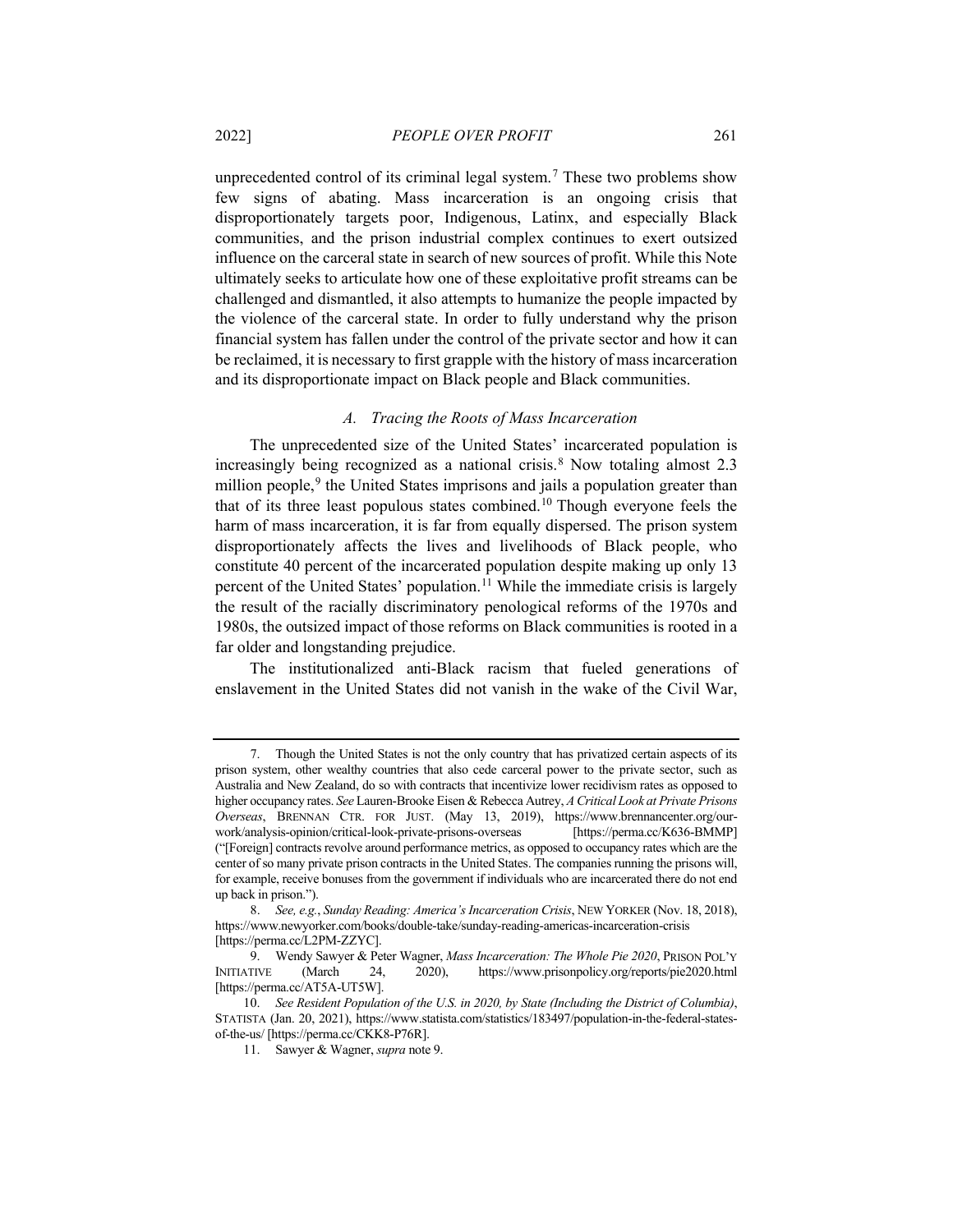unprecedented control of its criminal legal system.<sup>[7](#page-4-1)</sup> These two problems show few signs of abating. Mass incarceration is an ongoing crisis that disproportionately targets poor, Indigenous, Latinx, and especially Black communities, and the prison industrial complex continues to exert outsized influence on the carceral state in search of new sources of profit. While this Note ultimately seeks to articulate how one of these exploitative profit streams can be challenged and dismantled, it also attempts to humanize the people impacted by the violence of the carceral state. In order to fully understand why the prison financial system has fallen under the control of the private sector and how it can be reclaimed, it is necessary to first grapple with the history of mass incarceration and its disproportionate impact on Black people and Black communities.

## <span id="page-4-0"></span>*A. Tracing the Roots of Mass Incarceration*

The unprecedented size of the United States' incarcerated population is increasingly being recognized as a national crisis.<sup>[8](#page-4-2)</sup> Now totaling almost 2.3 million people, $9$  the United States imprisons and jails a population greater than that of its three least populous states combined.[10](#page-4-4) Though everyone feels the harm of mass incarceration, it is far from equally dispersed. The prison system disproportionately affects the lives and livelihoods of Black people, who constitute 40 percent of the incarcerated population despite making up only 13 percent of the United States' population[.11](#page-4-5) While the immediate crisis is largely the result of the racially discriminatory penological reforms of the 1970s and 1980s, the outsized impact of those reforms on Black communities is rooted in a far older and longstanding prejudice.

The institutionalized anti-Black racism that fueled generations of enslavement in the United States did not vanish in the wake of the Civil War,

<span id="page-4-1"></span><sup>7.</sup> Though the United States is not the only country that has privatized certain aspects of its prison system, other wealthy countries that also cede carceral power to the private sector, such as Australia and New Zealand, do so with contracts that incentivize lower recidivism rates as opposed to higher occupancy rates. *See* Lauren-Brooke Eisen & Rebecca Autrey, *A Critical Look at Private Prisons Overseas*, BRENNAN CTR. FOR JUST. (May 13, 2019), https://www.brennancenter.org/ourwork/analysis-opinion/critical-look-private-prisons-overseas [https://perma.cc/K636-BMMP] ("[Foreign] contracts revolve around performance metrics, as opposed to occupancy rates which are the center of so many private prison contracts in the United States. The companies running the prisons will, for example, receive bonuses from the government if individuals who are incarcerated there do not end up back in prison.").

<span id="page-4-2"></span><sup>8.</sup> *See, e.g.*, *Sunday Reading: America's Incarceration Crisis*, NEW YORKER (Nov. 18, 2018), https://www.newyorker.com/books/double-take/sunday-reading-americas-incarceration-crisis [https://perma.cc/L2PM-ZZYC].

<span id="page-4-3"></span><sup>9.</sup> Wendy Sawyer & Peter Wagner, *Mass Incarceration: The Whole Pie 2020*, PRISON POL'Y INITIATIVE (March 24, 2020), https://www.prisonpolicy.org/reports/pie2020.html [https://perma.cc/AT5A-UT5W].

<span id="page-4-5"></span><span id="page-4-4"></span><sup>10.</sup> *See Resident Population of the U.S. in 2020, by State (Including the District of Columbia)*, STATISTA (Jan. 20, 2021), https://www.statista.com/statistics/183497/population-in-the-federal-statesof-the-us/ [https://perma.cc/CKK8-P76R].

<sup>11.</sup> Sawyer & Wagner, *supra* not[e 9.](#page-4-0)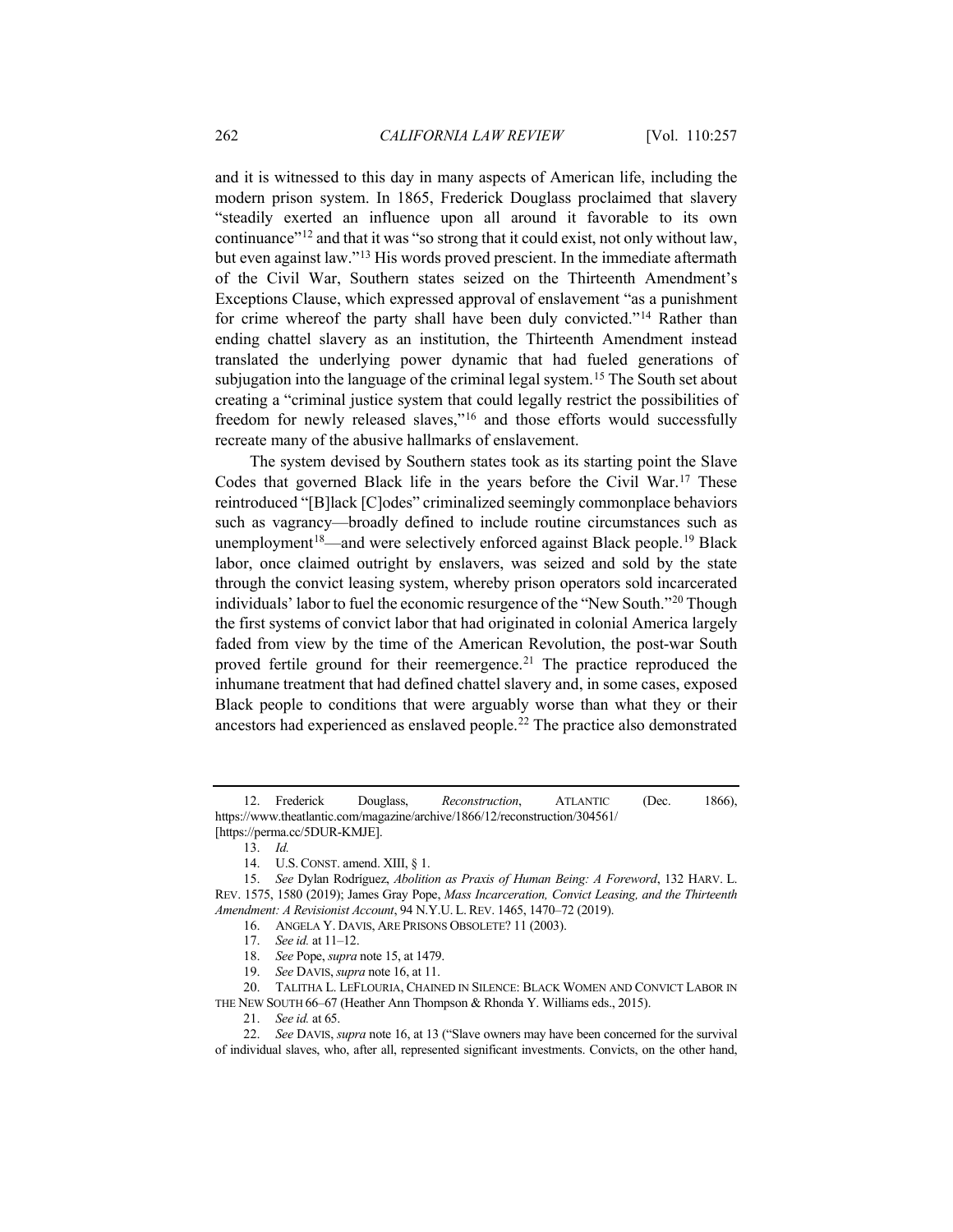and it is witnessed to this day in many aspects of American life, including the modern prison system. In 1865, Frederick Douglass proclaimed that slavery "steadily exerted an influence upon all around it favorable to its own continuance"[12](#page-5-2) and that it was "so strong that it could exist, not only without law, but even against law.["13](#page-5-3) His words proved prescient. In the immediate aftermath of the Civil War, Southern states seized on the Thirteenth Amendment's Exceptions Clause, which expressed approval of enslavement "as a punishment for crime whereof the party shall have been duly convicted."<sup>[14](#page-5-4)</sup> Rather than ending chattel slavery as an institution, the Thirteenth Amendment instead translated the underlying power dynamic that had fueled generations of subjugation into the language of the criminal legal system.<sup>[15](#page-5-5)</sup> The South set about creating a "criminal justice system that could legally restrict the possibilities of freedom for newly released slaves,"[16](#page-5-6) and those efforts would successfully recreate many of the abusive hallmarks of enslavement.

<span id="page-5-13"></span><span id="page-5-1"></span><span id="page-5-0"></span>The system devised by Southern states took as its starting point the Slave Codes that governed Black life in the years before the Civil War.[17](#page-5-7) These reintroduced "[B]lack [C]odes" criminalized seemingly commonplace behaviors such as vagrancy—broadly defined to include routine circumstances such as unemployment<sup>18</sup>—and were selectively enforced against Black people.<sup>[19](#page-5-9)</sup> Black labor, once claimed outright by enslavers, was seized and sold by the state through the convict leasing system, whereby prison operators sold incarcerated individuals' labor to fuel the economic resurgence of the "New South."[20](#page-5-10) Though the first systems of convict labor that had originated in colonial America largely faded from view by the time of the American Revolution, the post-war South proved fertile ground for their reemergence.<sup>21</sup> The practice reproduced the inhumane treatment that had defined chattel slavery and, in some cases, exposed Black people to conditions that were arguably worse than what they or their ancestors had experienced as enslaved people.[22](#page-5-12) The practice also demonstrated

- 18. *See* Pope, *supra* not[e 15,](#page-5-0) at 1479.
- 19. *See* DAVIS, *supra* not[e 16,](#page-5-1) at 11.

<span id="page-5-10"></span><span id="page-5-9"></span><span id="page-5-8"></span><span id="page-5-7"></span>20. TALITHA L. LEFLOURIA, CHAINED IN SILENCE: BLACK WOMEN AND CONVICT LABOR IN THE NEW SOUTH 66–67 (Heather Ann Thompson & Rhonda Y. Williams eds., 2015).

21. *See id.* at 65.

<span id="page-5-2"></span><sup>12.</sup> Frederick Douglass, *Reconstruction*, ATLANTIC (Dec. 1866), https://www.theatlantic.com/magazine/archive/1866/12/reconstruction/304561/ [https://perma.cc/5DUR-KMJE].

<sup>13.</sup> *Id.*

<sup>14.</sup> U.S. CONST. amend. XIII, § 1.

<span id="page-5-6"></span><span id="page-5-5"></span><span id="page-5-4"></span><span id="page-5-3"></span><sup>15.</sup> *See* Dylan Rodríguez, *Abolition as Praxis of Human Being: A Foreword*, 132 HARV. L. REV. 1575, 1580 (2019); James Gray Pope, *Mass Incarceration, Convict Leasing, and the Thirteenth Amendment: A Revisionist Account*, 94 N.Y.U. L. REV. 1465, 1470–72 (2019).

<sup>16.</sup> ANGELA Y. DAVIS, ARE PRISONS OBSOLETE? 11 (2003).

<sup>17.</sup> *See id.* at 11–12.

<span id="page-5-12"></span><span id="page-5-11"></span><sup>22.</sup> *See* DAVIS, *supra* not[e 16,](#page-5-1) at 13 ("Slave owners may have been concerned for the survival of individual slaves, who, after all, represented significant investments. Convicts, on the other hand,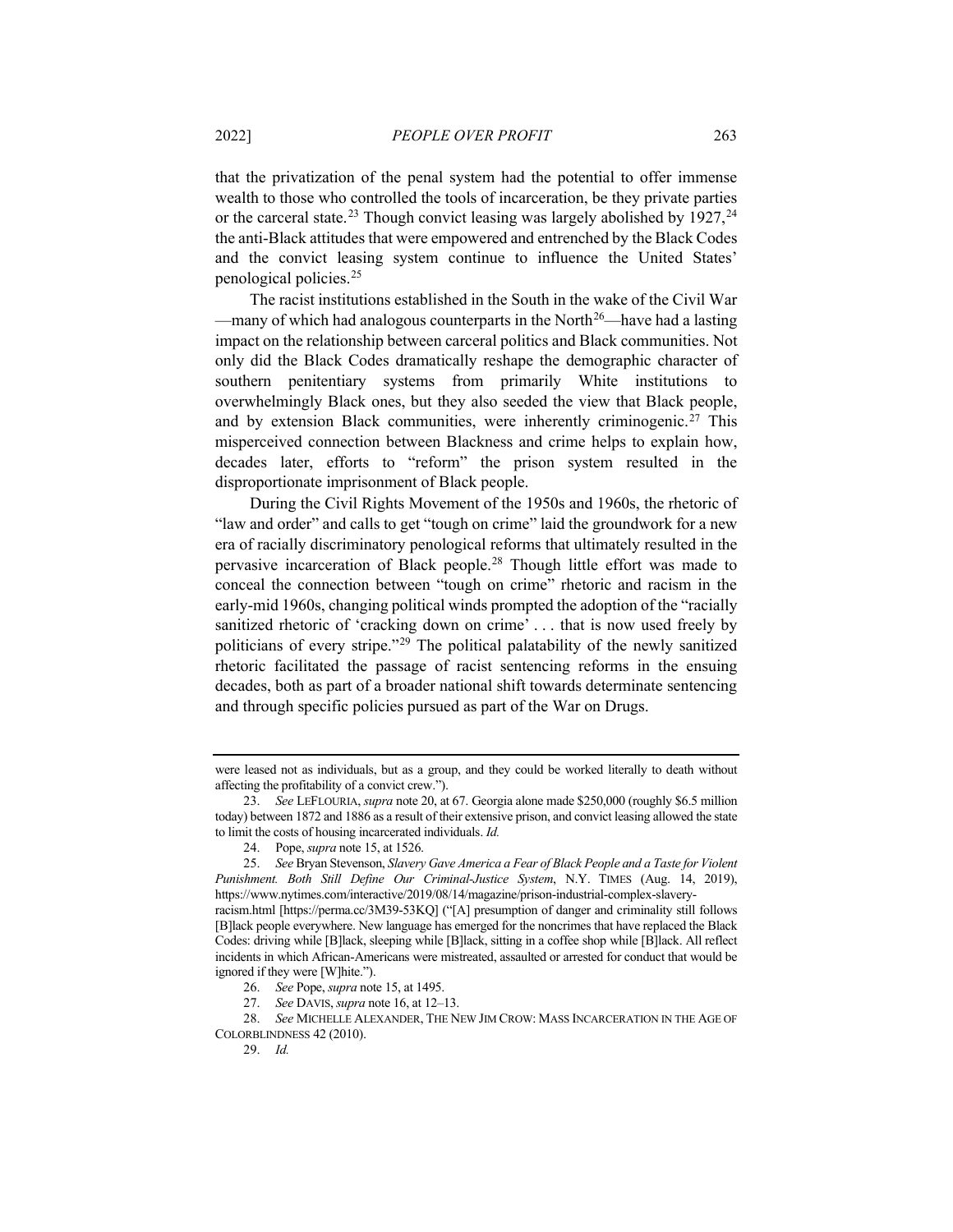that the privatization of the penal system had the potential to offer immense wealth to those who controlled the tools of incarceration, be they private parties or the carceral state.<sup>[23](#page-6-0)</sup> Though convict leasing was largely abolished by  $1927$ ,<sup>[24](#page-6-1)</sup> the anti-Black attitudes that were empowered and entrenched by the Black Codes and the convict leasing system continue to influence the United States' penological policies.[25](#page-6-2)

The racist institutions established in the South in the wake of the Civil War —many of which had analogous counterparts in the North<sup>[26](#page-6-3)</sup>—have had a lasting impact on the relationship between carceral politics and Black communities. Not only did the Black Codes dramatically reshape the demographic character of southern penitentiary systems from primarily White institutions to overwhelmingly Black ones, but they also seeded the view that Black people, and by extension Black communities, were inherently criminogenic.[27](#page-6-4) This misperceived connection between Blackness and crime helps to explain how, decades later, efforts to "reform" the prison system resulted in the disproportionate imprisonment of Black people.

<span id="page-6-7"></span>During the Civil Rights Movement of the 1950s and 1960s, the rhetoric of "law and order" and calls to get "tough on crime" laid the groundwork for a new era of racially discriminatory penological reforms that ultimately resulted in the pervasive incarceration of Black people.[28](#page-6-5) Though little effort was made to conceal the connection between "tough on crime" rhetoric and racism in the early-mid 1960s, changing political winds prompted the adoption of the "racially sanitized rhetoric of 'cracking down on crime' . . . that is now used freely by politicians of every stripe."[29](#page-6-6) The political palatability of the newly sanitized rhetoric facilitated the passage of racist sentencing reforms in the ensuing decades, both as part of a broader national shift towards determinate sentencing and through specific policies pursued as part of the War on Drugs.

were leased not as individuals, but as a group, and they could be worked literally to death without affecting the profitability of a convict crew.").

<span id="page-6-0"></span><sup>23.</sup> *See* LEFLOURIA, *supra* not[e 20,](#page-5-13) at 67. Georgia alone made \$250,000 (roughly \$6.5 million today) between 1872 and 1886 as a result of their extensive prison, and convict leasing allowed the state to limit the costs of housing incarcerated individuals. *Id.*

<sup>24.</sup> Pope, *supra* not[e 15,](#page-5-0) at 1526.

<span id="page-6-2"></span><span id="page-6-1"></span><sup>25.</sup> *See* Bryan Stevenson, *Slavery Gave America a Fear of Black People and a Taste for Violent Punishment. Both Still Define Our Criminal-Justice System*, N.Y. TIMES (Aug. 14, 2019), https://www.nytimes.com/interactive/2019/08/14/magazine/prison-industrial-complex-slaveryracism.html [https://perma.cc/3M39-53KQ] ("[A] presumption of danger and criminality still follows [B]lack people everywhere. New language has emerged for the noncrimes that have replaced the Black

Codes: driving while [B]lack, sleeping while [B]lack, sitting in a coffee shop while [B]lack. All reflect incidents in which African-Americans were mistreated, assaulted or arrested for conduct that would be ignored if they were [W]hite.").

<sup>26.</sup> *See* Pope, *supra* not[e 15,](#page-5-0) at 1495.

<sup>27.</sup> *See* DAVIS, *supra* not[e 16,](#page-5-1) at 12–13.

<span id="page-6-6"></span><span id="page-6-5"></span><span id="page-6-4"></span><span id="page-6-3"></span><sup>28.</sup> *See* MICHELLE ALEXANDER, THE NEW JIM CROW: MASS INCARCERATION IN THE AGE OF COLORBLINDNESS 42 (2010).

<sup>29.</sup> *Id.*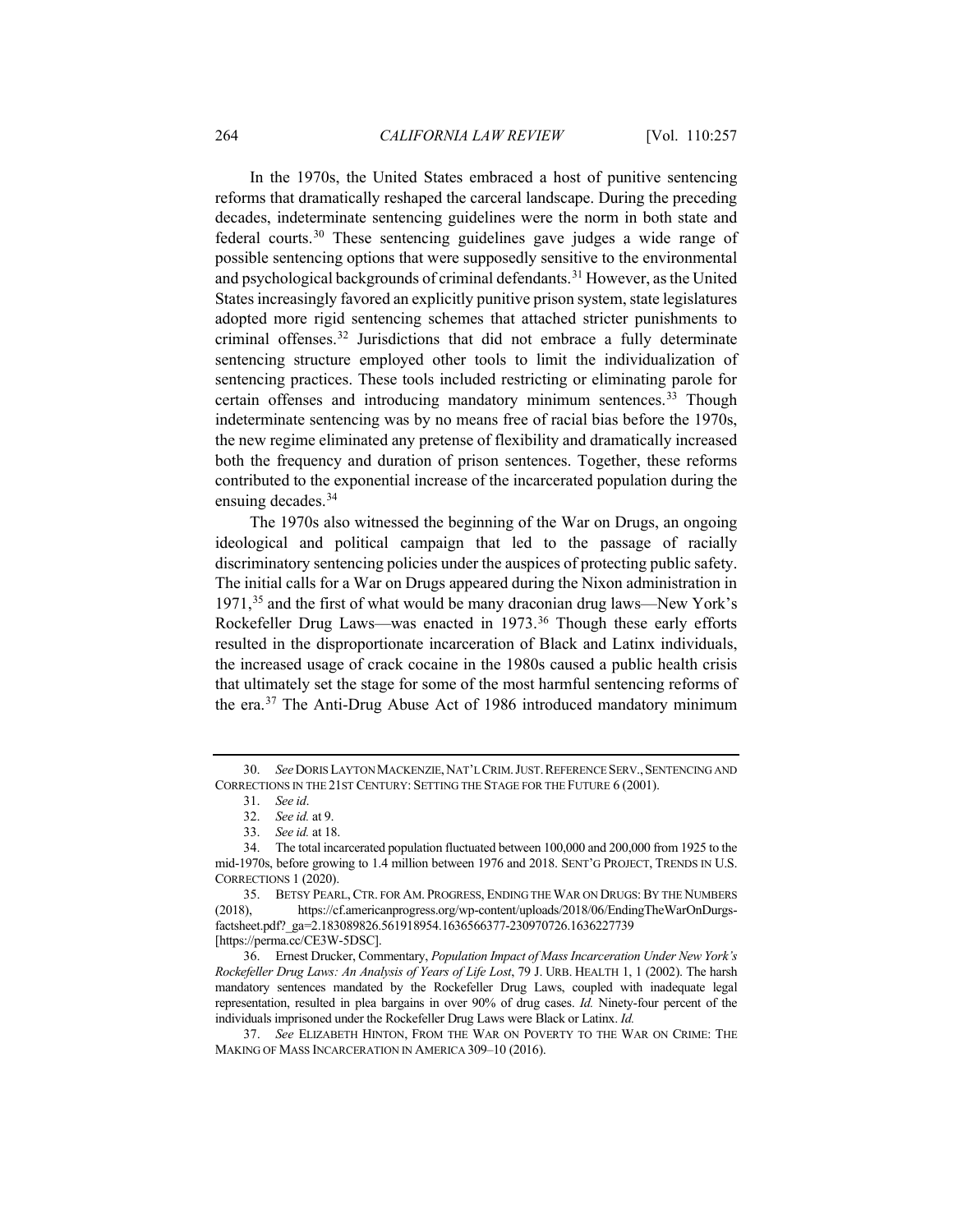In the 1970s, the United States embraced a host of punitive sentencing reforms that dramatically reshaped the carceral landscape. During the preceding decades, indeterminate sentencing guidelines were the norm in both state and federal courts[.30](#page-7-0) These sentencing guidelines gave judges a wide range of possible sentencing options that were supposedly sensitive to the environmental and psychological backgrounds of criminal defendants.[31](#page-7-1) However, as the United States increasingly favored an explicitly punitive prison system, state legislatures adopted more rigid sentencing schemes that attached stricter punishments to criminal offenses. [32](#page-7-2) Jurisdictions that did not embrace a fully determinate sentencing structure employed other tools to limit the individualization of sentencing practices. These tools included restricting or eliminating parole for certain offenses and introducing mandatory minimum sentences.<sup>[33](#page-7-3)</sup> Though indeterminate sentencing was by no means free of racial bias before the 1970s, the new regime eliminated any pretense of flexibility and dramatically increased both the frequency and duration of prison sentences. Together, these reforms contributed to the exponential increase of the incarcerated population during the ensuing decades.<sup>[34](#page-7-4)</sup>

The 1970s also witnessed the beginning of the War on Drugs, an ongoing ideological and political campaign that led to the passage of racially discriminatory sentencing policies under the auspices of protecting public safety. The initial calls for a War on Drugs appeared during the Nixon administration in 1971,[35](#page-7-5) and the first of what would be many draconian drug laws—New York's Rockefeller Drug Laws—was enacted in 1973. [36](#page-7-6) Though these early efforts resulted in the disproportionate incarceration of Black and Latinx individuals, the increased usage of crack cocaine in the 1980s caused a public health crisis that ultimately set the stage for some of the most harmful sentencing reforms of the era.[37](#page-7-7) The Anti-Drug Abuse Act of 1986 introduced mandatory minimum

<span id="page-7-1"></span><span id="page-7-0"></span><sup>30.</sup> *See*DORIS LAYTON MACKENZIE,NAT'L CRIM.JUST.REFERENCESERV.,SENTENCING AND CORRECTIONS IN THE 21ST CENTURY: SETTING THE STAGE FOR THE FUTURE 6 (2001).

<sup>31.</sup> *See id*.

<sup>32.</sup> *See id.* at 9.

<sup>33.</sup> *See id.* at 18.

<span id="page-7-4"></span><span id="page-7-3"></span><span id="page-7-2"></span><sup>34.</sup> The total incarcerated population fluctuated between 100,000 and 200,000 from 1925 to the mid-1970s, before growing to 1.4 million between 1976 and 2018. SENT'G PROJECT, TRENDS IN U.S. CORRECTIONS 1 (2020).

<span id="page-7-5"></span><sup>35.</sup> BETSY PEARL,CTR. FOR AM. PROGRESS, ENDING THE WAR ON DRUGS: BY THE NUMBERS (2018), https://cf.americanprogress.org/wp-content/uploads/2018/06/EndingTheWarOnDurgsfactsheet.pdf?\_ga=2.183089826.561918954.1636566377-230970726.1636227739 [https://perma.cc/CE3W-5DSC].

<span id="page-7-6"></span><sup>36.</sup> Ernest Drucker, Commentary, *Population Impact of Mass Incarceration Under New York's Rockefeller Drug Laws: An Analysis of Years of Life Lost*, 79 J. URB. HEALTH 1, 1 (2002). The harsh mandatory sentences mandated by the Rockefeller Drug Laws, coupled with inadequate legal representation, resulted in plea bargains in over 90% of drug cases. *Id.* Ninety-four percent of the individuals imprisoned under the Rockefeller Drug Laws were Black or Latinx. *Id.*

<span id="page-7-7"></span><sup>37.</sup> *See* ELIZABETH HINTON, FROM THE WAR ON POVERTY TO THE WAR ON CRIME: THE MAKING OF MASS INCARCERATION IN AMERICA 309–10 (2016).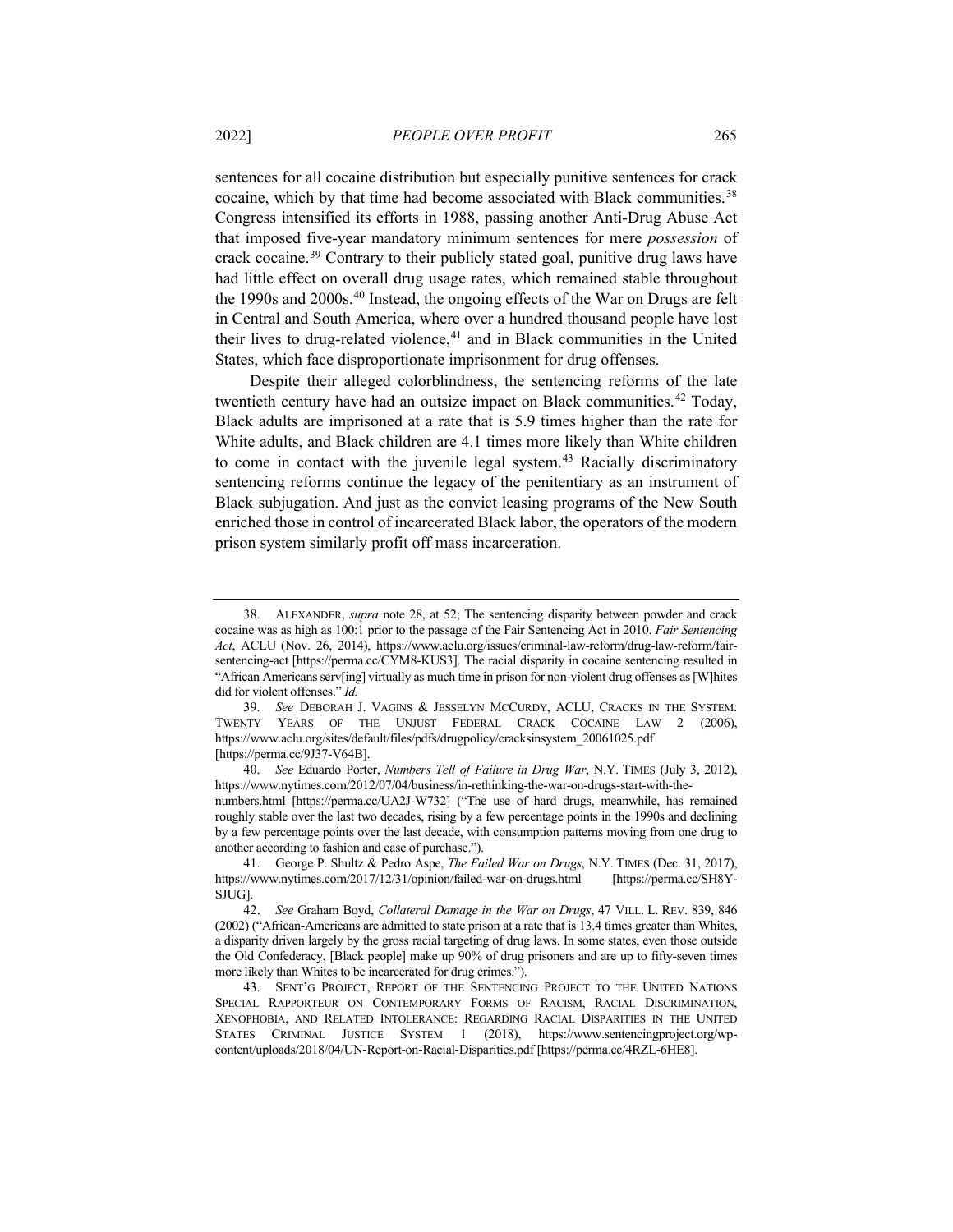sentences for all cocaine distribution but especially punitive sentences for crack cocaine, which by that time had become associated with Black communities.<sup>[38](#page-8-0)</sup> Congress intensified its efforts in 1988, passing another Anti-Drug Abuse Act that imposed five-year mandatory minimum sentences for mere *possession* of crack cocaine.[39](#page-8-1) Contrary to their publicly stated goal, punitive drug laws have had little effect on overall drug usage rates, which remained stable throughout the 1990s and 2000s.<sup>[40](#page-8-2)</sup> Instead, the ongoing effects of the War on Drugs are felt in Central and South America, where over a hundred thousand people have lost their lives to drug-related violence,<sup>[41](#page-8-3)</sup> and in Black communities in the United States, which face disproportionate imprisonment for drug offenses.

Despite their alleged colorblindness, the sentencing reforms of the late twentieth century have had an outsize impact on Black communities.<sup>[42](#page-8-4)</sup> Today, Black adults are imprisoned at a rate that is 5.9 times higher than the rate for White adults, and Black children are 4.1 times more likely than White children to come in contact with the juvenile legal system.<sup>[43](#page-8-5)</sup> Racially discriminatory sentencing reforms continue the legacy of the penitentiary as an instrument of Black subjugation. And just as the convict leasing programs of the New South enriched those in control of incarcerated Black labor, the operators of the modern prison system similarly profit off mass incarceration.

<span id="page-8-0"></span><sup>38.</sup> ALEXANDER, *supra* note [28,](#page-6-7) at 52; The sentencing disparity between powder and crack cocaine was as high as 100:1 prior to the passage of the Fair Sentencing Act in 2010. *Fair Sentencing Act*, ACLU (Nov. 26, 2014), https://www.aclu.org/issues/criminal-law-reform/drug-law-reform/fairsentencing-act [https://perma.cc/CYM8-KUS3]. The racial disparity in cocaine sentencing resulted in "African Americans serv[ing] virtually as much time in prison for non-violent drug offenses as [W]hites did for violent offenses." *Id.*

<span id="page-8-1"></span><sup>39.</sup> *See* DEBORAH J. VAGINS & JESSELYN MCCURDY, ACLU, CRACKS IN THE SYSTEM: TWENTY YEARS OF THE UNJUST FEDERAL CRACK COCAINE LAW 2 (2006), https://www.aclu.org/sites/default/files/pdfs/drugpolicy/cracksinsystem\_20061025.pdf [https://perma.cc/9J37-V64B].

<span id="page-8-2"></span><sup>40.</sup> *See* Eduardo Porter, *Numbers Tell of Failure in Drug War*, N.Y. TIMES (July 3, 2012), https://www.nytimes.com/2012/07/04/business/in-rethinking-the-war-on-drugs-start-with-the-

numbers.html [https://perma.cc/UA2J-W732] ("The use of hard drugs, meanwhile, has remained roughly stable over the last two decades, rising by a few percentage points in the 1990s and declining by a few percentage points over the last decade, with consumption patterns moving from one drug to another according to fashion and ease of purchase.").

<span id="page-8-3"></span><sup>41.</sup> George P. Shultz & Pedro Aspe, *The Failed War on Drugs*, N.Y. TIMES (Dec. 31, 2017), https://www.nytimes.com/2017/12/31/opinion/failed-war-on-drugs.html [https://perma.cc/SH8Y-SJUG].

<span id="page-8-4"></span><sup>42.</sup> *See* Graham Boyd, *Collateral Damage in the War on Drugs*, 47 VILL. L. REV. 839, 846 (2002) ("African-Americans are admitted to state prison at a rate that is 13.4 times greater than Whites, a disparity driven largely by the gross racial targeting of drug laws. In some states, even those outside the Old Confederacy, [Black people] make up 90% of drug prisoners and are up to fifty-seven times more likely than Whites to be incarcerated for drug crimes.").

<span id="page-8-5"></span><sup>43.</sup> SENT'G PROJECT, REPORT OF THE SENTENCING PROJECT TO THE UNITED NATIONS SPECIAL RAPPORTEUR ON CONTEMPORARY FORMS OF RACISM, RACIAL DISCRIMINATION, XENOPHOBIA, AND RELATED INTOLERANCE: REGARDING RACIAL DISPARITIES IN THE UNITED STATES CRIMINAL JUSTICE SYSTEM 1 (2018), https://www.sentencingproject.org/wpcontent/uploads/2018/04/UN-Report-on-Racial-Disparities.pdf [https://perma.cc/4RZL-6HE8].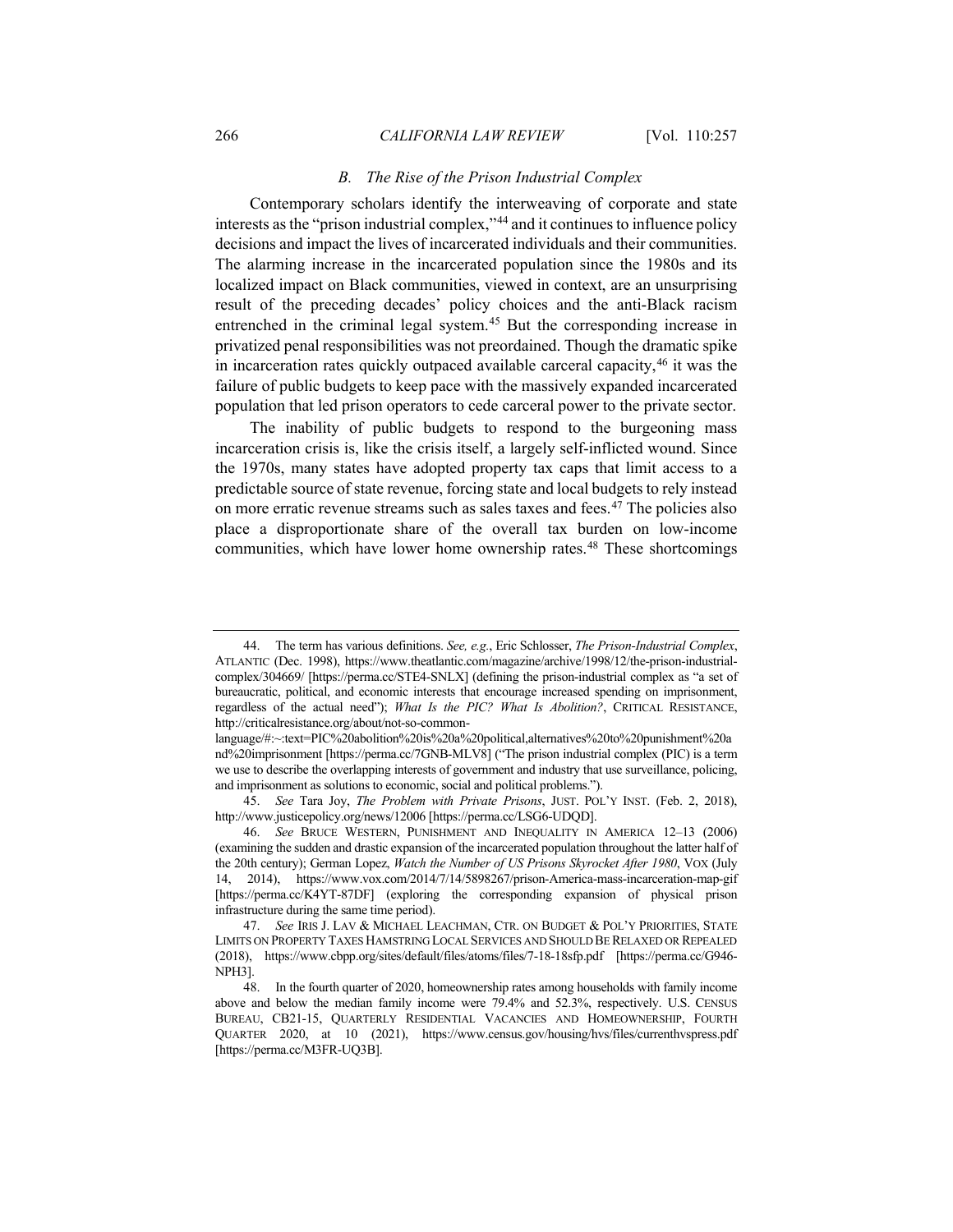## *B. The Rise of the Prison Industrial Complex*

Contemporary scholars identify the interweaving of corporate and state interests as the "prison industrial complex,"[44](#page-9-0) and it continues to influence policy decisions and impact the lives of incarcerated individuals and their communities. The alarming increase in the incarcerated population since the 1980s and its localized impact on Black communities, viewed in context, are an unsurprising result of the preceding decades' policy choices and the anti-Black racism entrenched in the criminal legal system.[45](#page-9-1) But the corresponding increase in privatized penal responsibilities was not preordained. Though the dramatic spike in incarceration rates quickly outpaced available carceral capacity,  $46$  it was the failure of public budgets to keep pace with the massively expanded incarcerated population that led prison operators to cede carceral power to the private sector.

The inability of public budgets to respond to the burgeoning mass incarceration crisis is, like the crisis itself, a largely self-inflicted wound. Since the 1970s, many states have adopted property tax caps that limit access to a predictable source of state revenue, forcing state and local budgets to rely instead on more erratic revenue streams such as sales taxes and fees.[47](#page-9-3) The policies also place a disproportionate share of the overall tax burden on low-income communities, which have lower home ownership rates.<sup>[48](#page-9-4)</sup> These shortcomings

<span id="page-9-0"></span><sup>44.</sup> The term has various definitions. *See, e.g.*, Eric Schlosser, *The Prison-Industrial Complex*, ATLANTIC (Dec. 1998), https://www.theatlantic.com/magazine/archive/1998/12/the-prison-industrialcomplex/304669/ [https://perma.cc/STE4-SNLX] (defining the prison-industrial complex as "a set of bureaucratic, political, and economic interests that encourage increased spending on imprisonment, regardless of the actual need"); *What Is the PIC? What Is Abolition?*, CRITICAL RESISTANCE, http://criticalresistance.org/about/not-so-common-

language/#:~:text=PIC%20abolition%20is%20a%20political,alternatives%20to%20punishment%20a nd%20imprisonment [https://perma.cc/7GNB-MLV8] ("The prison industrial complex (PIC) is a term we use to describe the overlapping interests of government and industry that use surveillance, policing, and imprisonment as solutions to economic, social and political problems.").

<span id="page-9-1"></span><sup>45.</sup> *See* Tara Joy, *The Problem with Private Prisons*, JUST. POL'Y INST. (Feb. 2, 2018), http://www.justicepolicy.org/news/12006 [https://perma.cc/LSG6-UDQD].

<span id="page-9-2"></span><sup>46.</sup> *See* BRUCE WESTERN, PUNISHMENT AND INEQUALITY IN AMERICA 12–13 (2006) (examining the sudden and drastic expansion of the incarcerated population throughout the latter half of the 20th century); German Lopez, *Watch the Number of US Prisons Skyrocket After 1980*, VOX (July 14, 2014), https://www.vox.com/2014/7/14/5898267/prison-America-mass-incarceration-map-gif [https://perma.cc/K4YT-87DF] (exploring the corresponding expansion of physical prison infrastructure during the same time period).

<span id="page-9-3"></span><sup>47.</sup> *See* IRIS J. LAV & MICHAEL LEACHMAN, CTR. ON BUDGET & POL'Y PRIORITIES, STATE LIMITS ON PROPERTY TAXES HAMSTRING LOCAL SERVICES AND SHOULD BE RELAXED OR REPEALED (2018), https://www.cbpp.org/sites/default/files/atoms/files/7-18-18sfp.pdf [https://perma.cc/G946- NPH3].

<span id="page-9-4"></span><sup>48.</sup> In the fourth quarter of 2020, homeownership rates among households with family income above and below the median family income were 79.4% and 52.3%, respectively. U.S. CENSUS BUREAU, CB21-15, QUARTERLY RESIDENTIAL VACANCIES AND HOMEOWNERSHIP, FOURTH QUARTER 2020, at 10 (2021), https://www.census.gov/housing/hvs/files/currenthvspress.pdf [https://perma.cc/M3FR-UQ3B].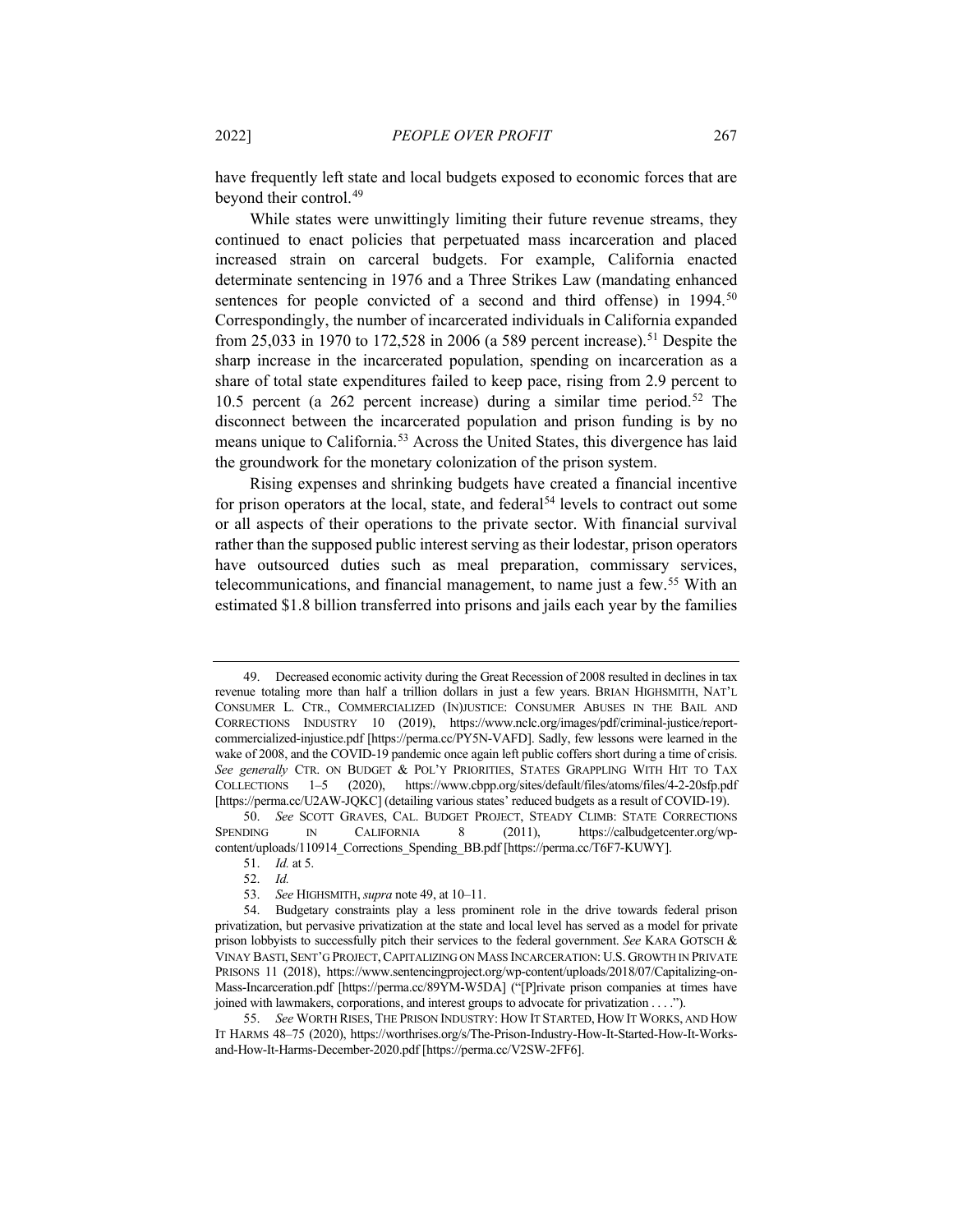<span id="page-10-0"></span>have frequently left state and local budgets exposed to economic forces that are beyond their control.<sup>[49](#page-10-1)</sup>

While states were unwittingly limiting their future revenue streams, they continued to enact policies that perpetuated mass incarceration and placed increased strain on carceral budgets. For example, California enacted determinate sentencing in 1976 and a Three Strikes Law (mandating enhanced sentences for people convicted of a second and third offense) in 1994.<sup>[50](#page-10-2)</sup> Correspondingly, the number of incarcerated individuals in California expanded from 25,033 in 1970 to 172,528 in 2006 (a 589 percent increase).<sup>[51](#page-10-3)</sup> Despite the sharp increase in the incarcerated population, spending on incarceration as a share of total state expenditures failed to keep pace, rising from 2.9 percent to 10.5 percent (a  $262$  percent increase) during a similar time period.<sup>[52](#page-10-4)</sup> The disconnect between the incarcerated population and prison funding is by no means unique to California.<sup>[53](#page-10-5)</sup> Across the United States, this divergence has laid the groundwork for the monetary colonization of the prison system.

Rising expenses and shrinking budgets have created a financial incentive for prison operators at the local, state, and federal<sup>[54](#page-10-6)</sup> levels to contract out some or all aspects of their operations to the private sector. With financial survival rather than the supposed public interest serving as their lodestar, prison operators have outsourced duties such as meal preparation, commissary services, telecommunications, and financial management, to name just a few.[55](#page-10-7) With an estimated \$1.8 billion transferred into prisons and jails each year by the families

<span id="page-10-8"></span><span id="page-10-1"></span><sup>49.</sup> Decreased economic activity during the Great Recession of 2008 resulted in declines in tax revenue totaling more than half a trillion dollars in just a few years. BRIAN HIGHSMITH, NAT'L CONSUMER L. CTR., COMMERCIALIZED (IN)JUSTICE: CONSUMER ABUSES IN THE BAIL AND CORRECTIONS INDUSTRY 10 (2019), https://www.nclc.org/images/pdf/criminal-justice/reportcommercialized-injustice.pdf [https://perma.cc/PY5N-VAFD]. Sadly, few lessons were learned in the wake of 2008, and the COVID-19 pandemic once again left public coffers short during a time of crisis. *See generally* CTR. ON BUDGET & POL'Y PRIORITIES, STATES GRAPPLING WITH HIT TO TAX COLLECTIONS 1–5 (2020), https://www.cbpp.org/sites/default/files/atoms/files/4-2-20sfp.pdf [https://perma.cc/U2AW-JQKC] (detailing various states' reduced budgets as a result of COVID-19).

<span id="page-10-3"></span><span id="page-10-2"></span><sup>50.</sup> *See* SCOTT GRAVES, CAL. BUDGET PROJECT, STEADY CLIMB: STATE CORRECTIONS SPENDING IN CALIFORNIA 8 (2011), https://calbudgetcenter.org/wpcontent/uploads/110914\_Corrections\_Spending\_BB.pdf [https://perma.cc/T6F7-KUWY].

<sup>51.</sup> *Id.* at 5.

<sup>52.</sup> *Id.*

<sup>53.</sup> *See* HIGHSMITH, *supra* not[e 49,](#page-10-0) at 10–11.

<span id="page-10-6"></span><span id="page-10-5"></span><span id="page-10-4"></span><sup>54.</sup> Budgetary constraints play a less prominent role in the drive towards federal prison privatization, but pervasive privatization at the state and local level has served as a model for private prison lobbyists to successfully pitch their services to the federal government. *See* KARA GOTSCH & VINAY BASTI, SENT'G PROJECT,CAPITALIZING ON MASS INCARCERATION: U.S. GROWTH IN PRIVATE PRISONS 11 (2018), https://www.sentencingproject.org/wp-content/uploads/2018/07/Capitalizing-on-Mass-Incarceration.pdf [https://perma.cc/89YM-W5DA] ("[P]rivate prison companies at times have joined with lawmakers, corporations, and interest groups to advocate for privatization . . . .").

<span id="page-10-7"></span><sup>55.</sup> *See* WORTH RISES, THE PRISON INDUSTRY: HOW IT STARTED, HOW IT WORKS, AND HOW IT HARMS 48–75 (2020), https://worthrises.org/s/The-Prison-Industry-How-It-Started-How-It-Worksand-How-It-Harms-December-2020.pdf [https://perma.cc/V2SW-2FF6].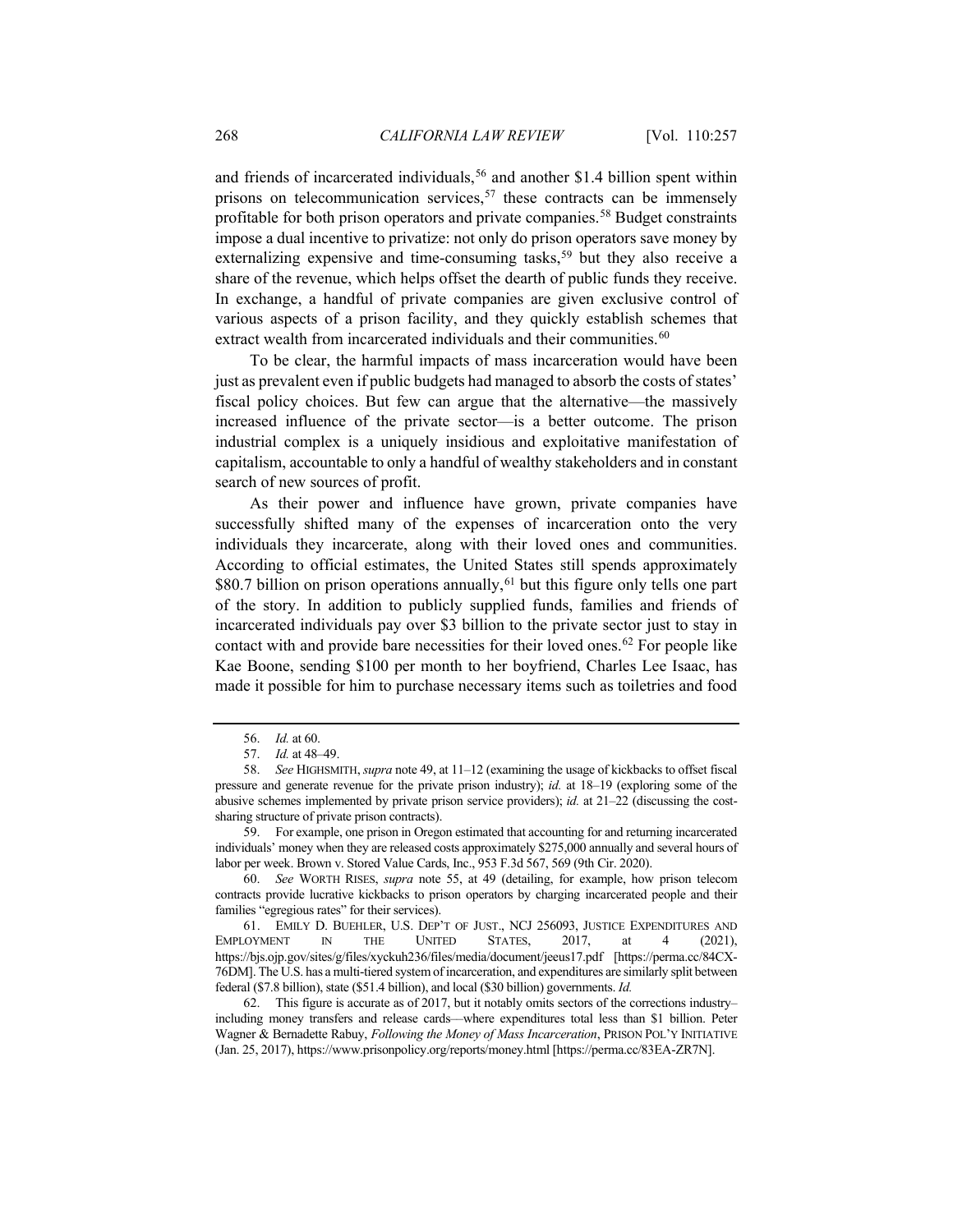and friends of incarcerated individuals,<sup>[56](#page-11-0)</sup> and another \$1.4 billion spent within prisons on telecommunication services,<sup>[57](#page-11-1)</sup> these contracts can be immensely profitable for both prison operators and private companies.[58](#page-11-2) Budget constraints impose a dual incentive to privatize: not only do prison operators save money by externalizing expensive and time-consuming tasks,<sup>[59](#page-11-3)</sup> but they also receive a share of the revenue, which helps offset the dearth of public funds they receive. In exchange, a handful of private companies are given exclusive control of various aspects of a prison facility, and they quickly establish schemes that extract wealth from incarcerated individuals and their communities.<sup>[60](#page-11-4)</sup>

To be clear, the harmful impacts of mass incarceration would have been just as prevalent even if public budgets had managed to absorb the costs of states' fiscal policy choices. But few can argue that the alternative—the massively increased influence of the private sector—is a better outcome. The prison industrial complex is a uniquely insidious and exploitative manifestation of capitalism, accountable to only a handful of wealthy stakeholders and in constant search of new sources of profit.

As their power and influence have grown, private companies have successfully shifted many of the expenses of incarceration onto the very individuals they incarcerate, along with their loved ones and communities. According to official estimates, the United States still spends approximately \$80.7 billion on prison operations annually,<sup>[61](#page-11-5)</sup> but this figure only tells one part of the story. In addition to publicly supplied funds, families and friends of incarcerated individuals pay over \$3 billion to the private sector just to stay in contact with and provide bare necessities for their loved ones.[62](#page-11-6) For people like Kae Boone, sending \$100 per month to her boyfriend, Charles Lee Isaac, has made it possible for him to purchase necessary items such as toiletries and food

<sup>56.</sup> *Id.* at 60.

<sup>57.</sup> *Id.* at 48–49.

<span id="page-11-2"></span><span id="page-11-1"></span><span id="page-11-0"></span><sup>58.</sup> *See* HIGHSMITH, *supra* not[e 49,](#page-10-0) at 11–12 (examining the usage of kickbacks to offset fiscal pressure and generate revenue for the private prison industry); *id.* at 18–19 (exploring some of the abusive schemes implemented by private prison service providers); *id.* at 21–22 (discussing the costsharing structure of private prison contracts).

<span id="page-11-3"></span><sup>59.</sup> For example, one prison in Oregon estimated that accounting for and returning incarcerated individuals' money when they are released costs approximately \$275,000 annually and several hours of labor per week. Brown v. Stored Value Cards, Inc., 953 F.3d 567, 569 (9th Cir. 2020).

<span id="page-11-4"></span><sup>60.</sup> *See* WORTH RISES, *supra* note [55,](#page-10-8) at 49 (detailing, for example, how prison telecom contracts provide lucrative kickbacks to prison operators by charging incarcerated people and their families "egregious rates" for their services).

<span id="page-11-5"></span><sup>61.</sup> EMILY D. BUEHLER, U.S. DEP'T OF JUST., NCJ 256093, JUSTICE EXPENDITURES AND EMPLOYMENT IN THE UNITED STATES, 2017, at 4 (2021), https://bjs.ojp.gov/sites/g/files/xyckuh236/files/media/document/jeeus17.pdf [https://perma.cc/84CX-76DM]. The U.S. has a multi-tiered system of incarceration, and expenditures are similarly split between federal (\$7.8 billion), state (\$51.4 billion), and local (\$30 billion) governments. *Id.*

<span id="page-11-6"></span><sup>62.</sup> This figure is accurate as of 2017, but it notably omits sectors of the corrections industry– including money transfers and release cards––where expenditures total less than \$1 billion. Peter Wagner & Bernadette Rabuy, *Following the Money of Mass Incarceration*, PRISON POL'Y INITIATIVE (Jan. 25, 2017), https://www.prisonpolicy.org/reports/money.html [https://perma.cc/83EA-ZR7N].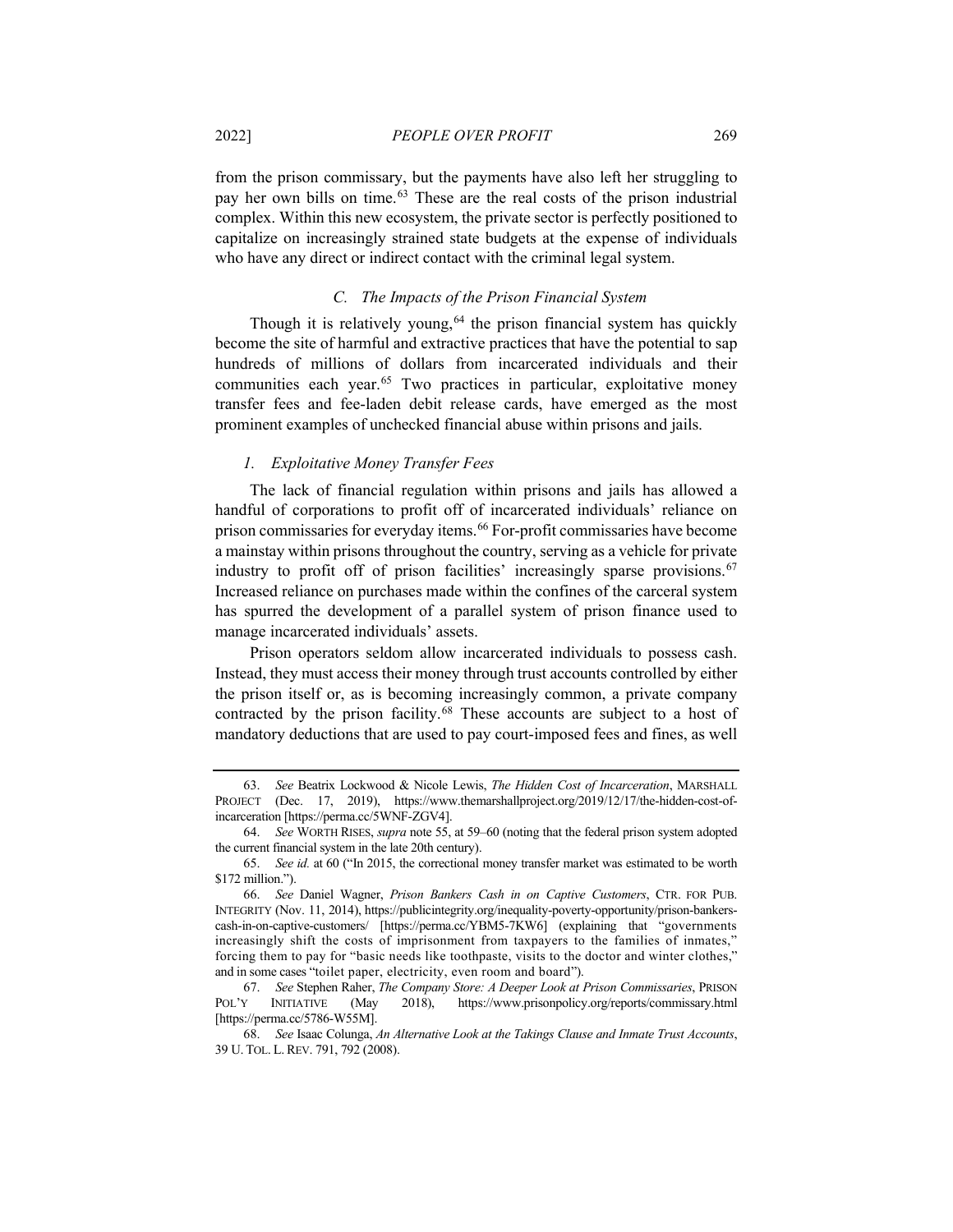from the prison commissary, but the payments have also left her struggling to pay her own bills on time.[63](#page-12-0) These are the real costs of the prison industrial complex. Within this new ecosystem, the private sector is perfectly positioned to capitalize on increasingly strained state budgets at the expense of individuals who have any direct or indirect contact with the criminal legal system.

## <span id="page-12-6"></span>*C. The Impacts of the Prison Financial System*

Though it is relatively young,  $64$  the prison financial system has quickly become the site of harmful and extractive practices that have the potential to sap hundreds of millions of dollars from incarcerated individuals and their communities each year.<sup>[65](#page-12-2)</sup> Two practices in particular, exploitative money transfer fees and fee-laden debit release cards, have emerged as the most prominent examples of unchecked financial abuse within prisons and jails.

## <span id="page-12-7"></span>*1. Exploitative Money Transfer Fees*

The lack of financial regulation within prisons and jails has allowed a handful of corporations to profit off of incarcerated individuals' reliance on prison commissaries for everyday items.[66](#page-12-3) For-profit commissaries have become a mainstay within prisons throughout the country, serving as a vehicle for private industry to profit off of prison facilities' increasingly sparse provisions.<sup>[67](#page-12-4)</sup> Increased reliance on purchases made within the confines of the carceral system has spurred the development of a parallel system of prison finance used to manage incarcerated individuals' assets.

Prison operators seldom allow incarcerated individuals to possess cash. Instead, they must access their money through trust accounts controlled by either the prison itself or, as is becoming increasingly common, a private company contracted by the prison facility.[68](#page-12-5) These accounts are subject to a host of mandatory deductions that are used to pay court-imposed fees and fines, as well

<span id="page-12-0"></span><sup>63.</sup> *See* Beatrix Lockwood & Nicole Lewis, *The Hidden Cost of Incarceration*, MARSHALL PROJECT (Dec. 17, 2019), https://www.themarshallproject.org/2019/12/17/the-hidden-cost-ofincarceration [https://perma.cc/5WNF-ZGV4].

<span id="page-12-1"></span><sup>64.</sup> *See* WORTH RISES, *supra* not[e 55,](#page-10-8) at 59–60 (noting that the federal prison system adopted the current financial system in the late 20th century).

<span id="page-12-2"></span><sup>65.</sup> *See id.* at 60 ("In 2015, the correctional money transfer market was estimated to be worth \$172 million.").

<span id="page-12-3"></span><sup>66.</sup> *See* Daniel Wagner, *Prison Bankers Cash in on Captive Customers*, CTR. FOR PUB. INTEGRITY (Nov. 11, 2014), https://publicintegrity.org/inequality-poverty-opportunity/prison-bankerscash-in-on-captive-customers/ [https://perma.cc/YBM5-7KW6] (explaining that "governments increasingly shift the costs of imprisonment from taxpayers to the families of inmates," forcing them to pay for "basic needs like toothpaste, visits to the doctor and winter clothes," and in some cases "toilet paper, electricity, even room and board").

<span id="page-12-4"></span><sup>67.</sup> *See* Stephen Raher, *The Company Store: A Deeper Look at Prison Commissaries*, PRISON POL'Y INITIATIVE (May 2018), https://www.prisonpolicy.org/reports/commissary.html [https://perma.cc/5786-W55M].

<span id="page-12-5"></span><sup>68.</sup> *See* Isaac Colunga, *An Alternative Look at the Takings Clause and Inmate Trust Accounts*, 39 U. TOL. L. REV. 791, 792 (2008).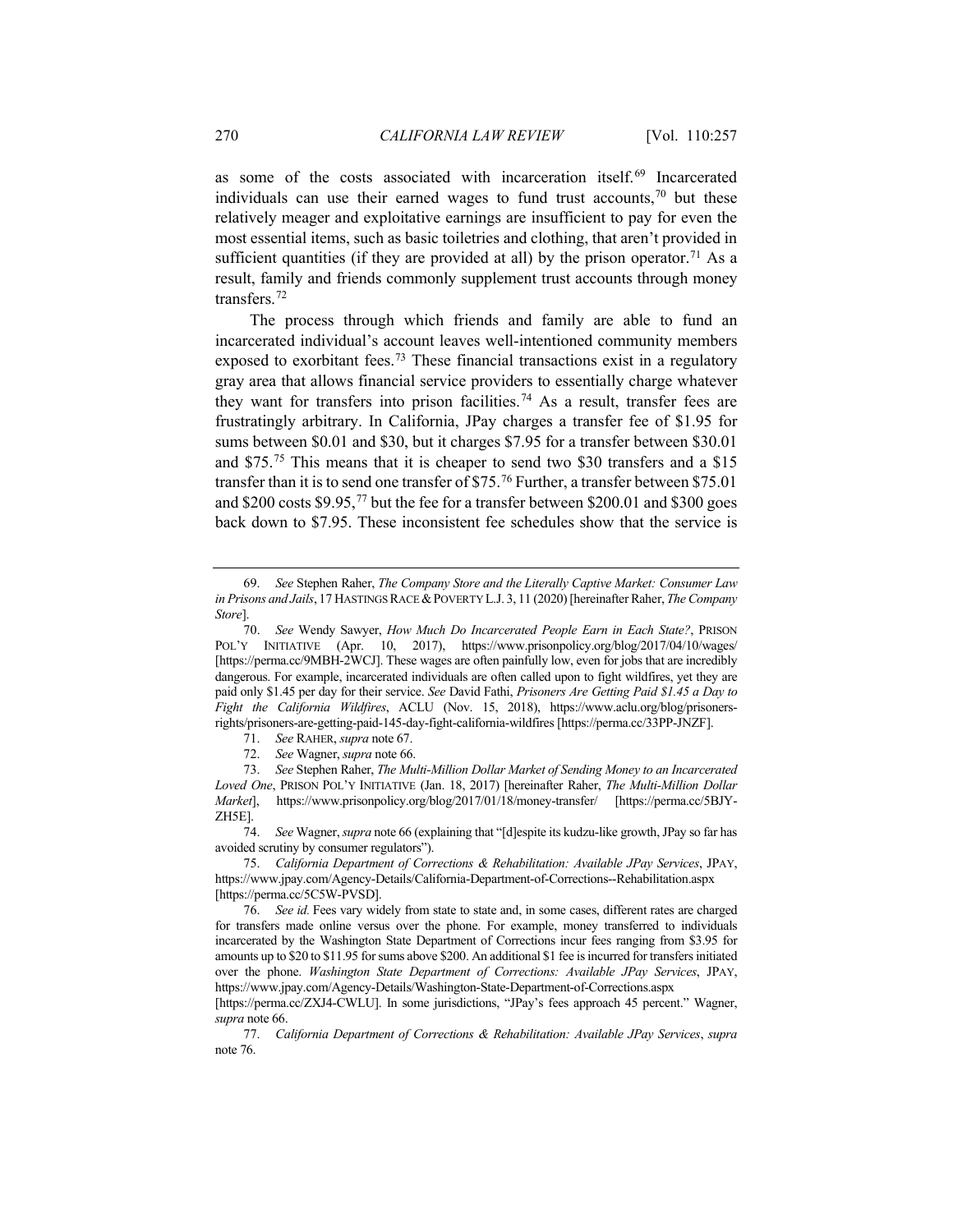<span id="page-13-11"></span>as some of the costs associated with incarceration itself.[69](#page-13-1) Incarcerated individuals can use their earned wages to fund trust accounts, [70](#page-13-2) but these relatively meager and exploitative earnings are insufficient to pay for even the most essential items, such as basic toiletries and clothing, that aren't provided in sufficient quantities (if they are provided at all) by the prison operator.<sup>[71](#page-13-3)</sup> As a result, family and friends commonly supplement trust accounts through money transfers[.72](#page-13-4)

<span id="page-13-10"></span>The process through which friends and family are able to fund an incarcerated individual's account leaves well-intentioned community members exposed to exorbitant fees.<sup>[73](#page-13-5)</sup> These financial transactions exist in a regulatory gray area that allows financial service providers to essentially charge whatever they want for transfers into prison facilities.<sup>[74](#page-13-6)</sup> As a result, transfer fees are frustratingly arbitrary. In California, JPay charges a transfer fee of \$1.95 for sums between \$0.01 and \$30, but it charges \$7.95 for a transfer between \$30.01 and \$75.[75](#page-13-7) This means that it is cheaper to send two \$30 transfers and a \$15 transfer than it is to send one transfer of \$75.[76](#page-13-8) Further, a transfer between \$75.01 and \$200 costs \$9.95,[77](#page-13-9) but the fee for a transfer between \$200.01 and \$300 goes back down to \$7.95. These inconsistent fee schedules show that the service is

- 71. *See* RAHER, *supra* not[e 67.](#page-12-6)
- 72. *See* Wagner, *supra* not[e 66.](#page-12-7)

<span id="page-13-1"></span><span id="page-13-0"></span><sup>69.</sup> *See* Stephen Raher, *The Company Store and the Literally Captive Market: Consumer Law*  in Prisons and Jails, 17 HASTINGS RACE & POVERTY L.J. 3, 11 (2020) [hereinafter Raher, *The Company Store*].

<span id="page-13-2"></span><sup>70.</sup> *See* Wendy Sawyer, *How Much Do Incarcerated People Earn in Each State?*, PRISON POL'Y INITIATIVE (Apr. 10, 2017), https://www.prisonpolicy.org/blog/2017/04/10/wages/ [https://perma.cc/9MBH-2WCJ]. These wages are often painfully low, even for jobs that are incredibly dangerous. For example, incarcerated individuals are often called upon to fight wildfires, yet they are paid only \$1.45 per day for their service. *See* David Fathi, *Prisoners Are Getting Paid \$1.45 a Day to Fight the California Wildfires*, ACLU (Nov. 15, 2018), https://www.aclu.org/blog/prisonersrights/prisoners-are-getting-paid-145-day-fight-california-wildfires [https://perma.cc/33PP-JNZF].

<span id="page-13-5"></span><span id="page-13-4"></span><span id="page-13-3"></span><sup>73.</sup> *See* Stephen Raher, *The Multi-Million Dollar Market of Sending Money to an Incarcerated Loved One*, PRISON POL'Y INITIATIVE (Jan. 18, 2017) [hereinafter Raher, *The Multi-Million Dollar Market*], https://www.prisonpolicy.org/blog/2017/01/18/money-transfer/ [https://perma.cc/5BJY-ZH5E].

<span id="page-13-6"></span><sup>74.</sup> *See* Wagner, *supra* not[e 66](#page-12-7) (explaining that "[d]espite its kudzu-like growth, JPay so far has avoided scrutiny by consumer regulators").

<span id="page-13-7"></span><sup>75.</sup> *California Department of Corrections & Rehabilitation: Available JPay Services*, JPAY, https://www.jpay.com/Agency-Details/California-Department-of-Corrections--Rehabilitation.aspx [https://perma.cc/5C5W-PVSD].

<span id="page-13-8"></span><sup>76.</sup> *See id.* Fees vary widely from state to state and, in some cases, different rates are charged for transfers made online versus over the phone. For example, money transferred to individuals incarcerated by the Washington State Department of Corrections incur fees ranging from \$3.95 for amounts up to \$20 to \$11.95 for sums above \$200. An additional \$1 fee is incurred for transfers initiated over the phone. *Washington State Department of Corrections: Available JPay Services*, JPAY, https://www.jpay.com/Agency-Details/Washington-State-Department-of-Corrections.aspx

<sup>[</sup>https://perma.cc/ZXJ4-CWLU]. In some jurisdictions, "JPay's fees approach 45 percent." Wagner, *supra* not[e 66.](#page-12-7)

<span id="page-13-9"></span><sup>77.</sup> *California Department of Corrections & Rehabilitation: Available JPay Services*, *supra*  not[e 76.](#page-13-0)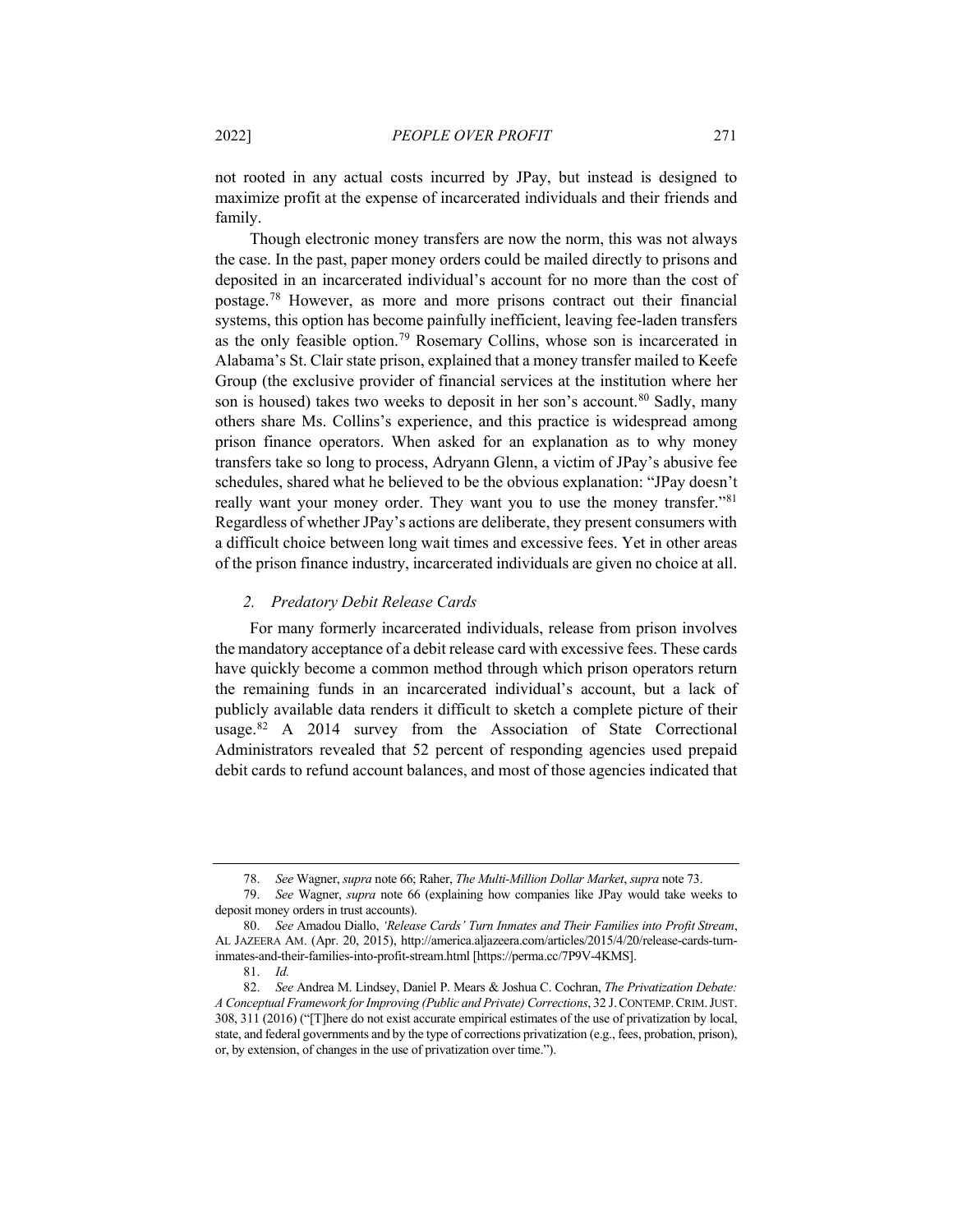not rooted in any actual costs incurred by JPay, but instead is designed to maximize profit at the expense of incarcerated individuals and their friends and family.

Though electronic money transfers are now the norm, this was not always the case. In the past, paper money orders could be mailed directly to prisons and deposited in an incarcerated individual's account for no more than the cost of postage[.78](#page-14-0) However, as more and more prisons contract out their financial systems, this option has become painfully inefficient, leaving fee-laden transfers as the only feasible option[.79](#page-14-1) Rosemary Collins, whose son is incarcerated in Alabama's St. Clair state prison, explained that a money transfer mailed to Keefe Group (the exclusive provider of financial services at the institution where her son is housed) takes two weeks to deposit in her son's account.<sup>[80](#page-14-2)</sup> Sadly, many others share Ms. Collins's experience, and this practice is widespread among prison finance operators. When asked for an explanation as to why money transfers take so long to process, Adryann Glenn, a victim of JPay's abusive fee schedules, shared what he believed to be the obvious explanation: "JPay doesn't really want your money order. They want you to use the money transfer."<sup>[81](#page-14-3)</sup> Regardless of whether JPay's actions are deliberate, they present consumers with a difficult choice between long wait times and excessive fees. Yet in other areas of the prison finance industry, incarcerated individuals are given no choice at all.

#### <span id="page-14-5"></span>*2. Predatory Debit Release Cards*

For many formerly incarcerated individuals, release from prison involves the mandatory acceptance of a debit release card with excessive fees. These cards have quickly become a common method through which prison operators return the remaining funds in an incarcerated individual's account, but a lack of publicly available data renders it difficult to sketch a complete picture of their usage.[82](#page-14-4) A 2014 survey from the Association of State Correctional Administrators revealed that 52 percent of responding agencies used prepaid debit cards to refund account balances, and most of those agencies indicated that

<sup>78.</sup> *See* Wagner, *supra* not[e 66;](#page-12-7) Raher, *The Multi-Million Dollar Market*, *supra* not[e 73.](#page-13-10)

<span id="page-14-1"></span><span id="page-14-0"></span><sup>79.</sup> *See* Wagner, *supra* note [66](#page-12-7) (explaining how companies like JPay would take weeks to deposit money orders in trust accounts).

<span id="page-14-2"></span><sup>80.</sup> *See* Amadou Diallo, *'Release Cards' Turn Inmates and Their Families into Profit Stream*, AL JAZEERA AM. (Apr. 20, 2015), http://america.aljazeera.com/articles/2015/4/20/release-cards-turninmates-and-their-families-into-profit-stream.html [https://perma.cc/7P9V-4KMS].

<sup>81.</sup> *Id.*

<span id="page-14-4"></span><span id="page-14-3"></span><sup>82.</sup> *See* Andrea M. Lindsey, Daniel P. Mears & Joshua C. Cochran, *The Privatization Debate: A Conceptual Framework for Improving (Public and Private) Corrections*, 32 J.CONTEMP.CRIM.JUST. 308, 311 (2016) ("[T]here do not exist accurate empirical estimates of the use of privatization by local, state, and federal governments and by the type of corrections privatization (e.g., fees, probation, prison), or, by extension, of changes in the use of privatization over time.").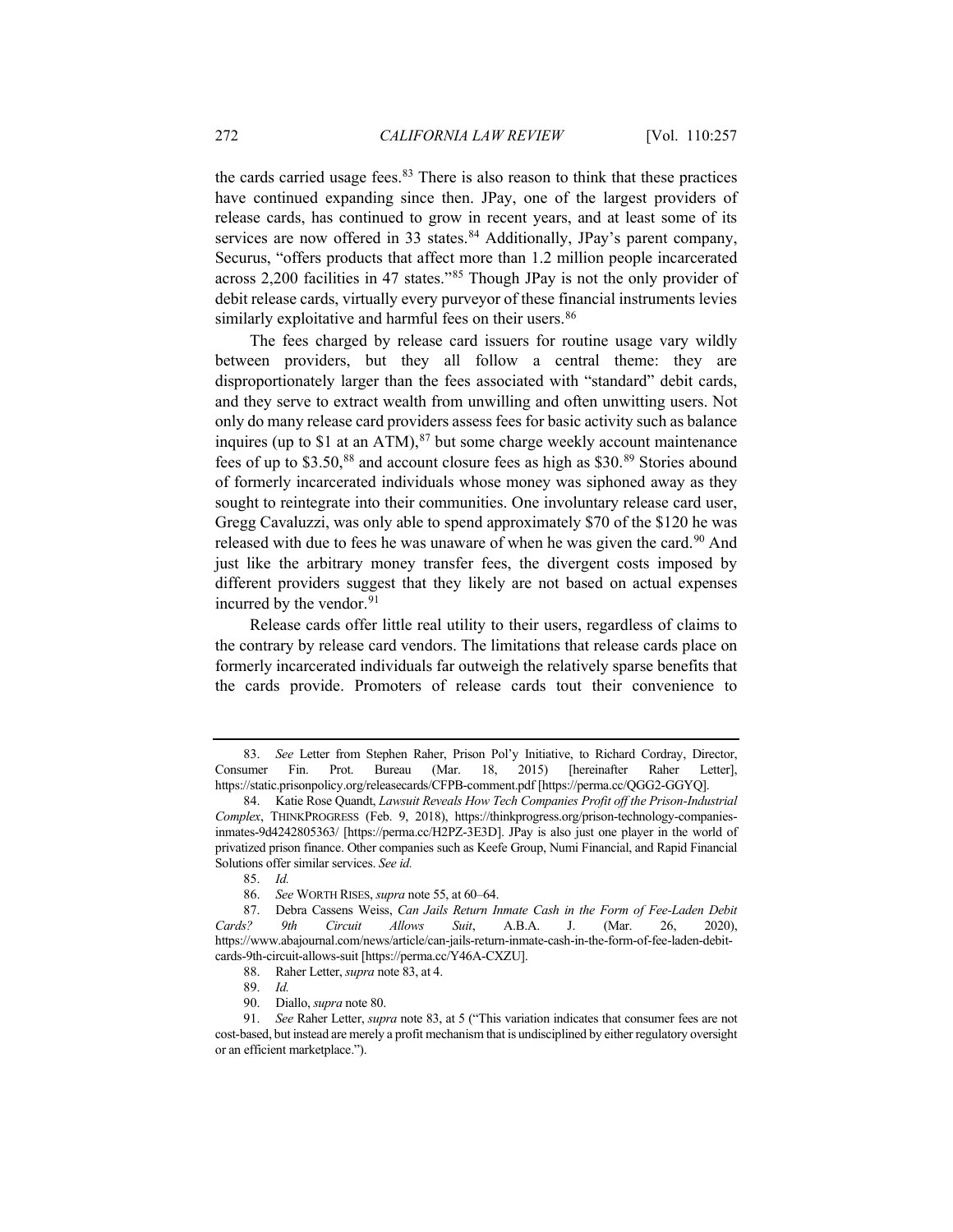<span id="page-15-0"></span>the cards carried usage fees. $83$  There is also reason to think that these practices have continued expanding since then. JPay, one of the largest providers of release cards, has continued to grow in recent years, and at least some of its services are now offered in 33 states.<sup>[84](#page-15-2)</sup> Additionally, JPay's parent company, Securus, "offers products that affect more than 1.2 million people incarcerated across 2,200 facilities in 47 states."[85](#page-15-3) Though JPay is not the only provider of debit release cards, virtually every purveyor of these financial instruments levies similarly exploitative and harmful fees on their users.<sup>[86](#page-15-4)</sup>

The fees charged by release card issuers for routine usage vary wildly between providers, but they all follow a central theme: they are disproportionately larger than the fees associated with "standard" debit cards, and they serve to extract wealth from unwilling and often unwitting users. Not only do many release card providers assess fees for basic activity such as balance inquires (up to  $$1$  at an ATM),<sup>[87](#page-15-5)</sup> but some charge weekly account maintenance fees of up to \$3.50,<sup>[88](#page-15-6)</sup> and account closure fees as high as \$30.[89](#page-15-7) Stories abound of formerly incarcerated individuals whose money was siphoned away as they sought to reintegrate into their communities. One involuntary release card user, Gregg Cavaluzzi, was only able to spend approximately \$70 of the \$120 he was released with due to fees he was unaware of when he was given the card.<sup>[90](#page-15-8)</sup> And just like the arbitrary money transfer fees, the divergent costs imposed by different providers suggest that they likely are not based on actual expenses incurred by the vendor.<sup>[91](#page-15-9)</sup>

Release cards offer little real utility to their users, regardless of claims to the contrary by release card vendors. The limitations that release cards place on formerly incarcerated individuals far outweigh the relatively sparse benefits that the cards provide. Promoters of release cards tout their convenience to

<span id="page-15-1"></span><sup>83.</sup> *See* Letter from Stephen Raher, Prison Pol'y Initiative, to Richard Cordray, Director, Consumer Fin. Prot. Bureau (Mar. 18, 2015) [hereinafter Raher Letter], https://static.prisonpolicy.org/releasecards/CFPB-comment.pdf [https://perma.cc/QGG2-GGYQ].

<span id="page-15-2"></span><sup>84.</sup> Katie Rose Quandt, *Lawsuit Reveals How Tech Companies Profit off the Prison-Industrial Complex*, THINKPROGRESS (Feb. 9, 2018), https://thinkprogress.org/prison-technology-companiesinmates-9d4242805363/ [https://perma.cc/H2PZ-3E3D]. JPay is also just one player in the world of privatized prison finance. Other companies such as Keefe Group, Numi Financial, and Rapid Financial Solutions offer similar services. *See id.*

<sup>85.</sup> *Id.*

<sup>86.</sup> *See* WORTH RISES, *supra* not[e 55,](#page-10-8) at 60–64.

<span id="page-15-5"></span><span id="page-15-4"></span><span id="page-15-3"></span><sup>87.</sup> Debra Cassens Weiss, *Can Jails Return Inmate Cash in the Form of Fee-Laden Debit Cards? 9th Circuit Allows Suit*, A.B.A. J. (Mar. 26, 2020), https://www.abajournal.com/news/article/can-jails-return-inmate-cash-in-the-form-of-fee-laden-debitcards-9th-circuit-allows-suit [https://perma.cc/Y46A-CXZU].

<sup>88.</sup> Raher Letter, *supra* not[e 83,](#page-15-0) at 4.

<sup>89.</sup> *Id.*

<sup>90.</sup> Diallo, *supra* not[e 80.](#page-14-5)

<span id="page-15-9"></span><span id="page-15-8"></span><span id="page-15-7"></span><span id="page-15-6"></span><sup>91.</sup> *See* Raher Letter, *supra* note [83,](#page-15-0) at 5 ("This variation indicates that consumer fees are not cost-based, but instead are merely a profit mechanism that is undisciplined by either regulatory oversight or an efficient marketplace.").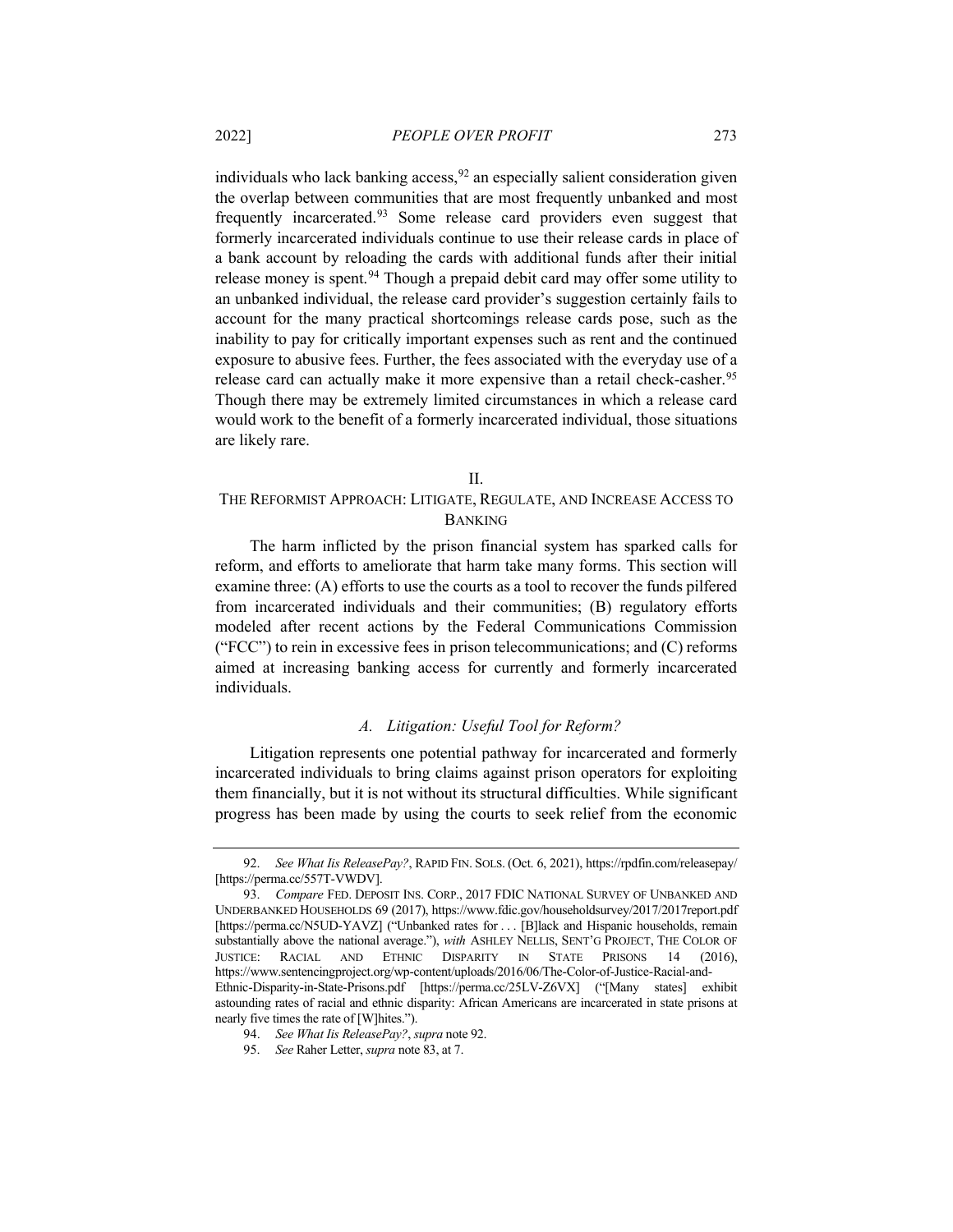<span id="page-16-0"></span>individuals who lack banking access,  $92$  an especially salient consideration given the overlap between communities that are most frequently unbanked and most frequently incarcerated[.93](#page-16-2) Some release card providers even suggest that formerly incarcerated individuals continue to use their release cards in place of a bank account by reloading the cards with additional funds after their initial release money is spent.<sup>[94](#page-16-3)</sup> Though a prepaid debit card may offer some utility to an unbanked individual, the release card provider's suggestion certainly fails to account for the many practical shortcomings release cards pose, such as the inability to pay for critically important expenses such as rent and the continued exposure to abusive fees. Further, the fees associated with the everyday use of a release card can actually make it more expensive than a retail check-casher.<sup>[95](#page-16-4)</sup> Though there may be extremely limited circumstances in which a release card would work to the benefit of a formerly incarcerated individual, those situations are likely rare.

## II.

# THE REFORMIST APPROACH: LITIGATE, REGULATE, AND INCREASE ACCESS TO BANKING

The harm inflicted by the prison financial system has sparked calls for reform, and efforts to ameliorate that harm take many forms. This section will examine three: (A) efforts to use the courts as a tool to recover the funds pilfered from incarcerated individuals and their communities; (B) regulatory efforts modeled after recent actions by the Federal Communications Commission ("FCC") to rein in excessive fees in prison telecommunications; and (C) reforms aimed at increasing banking access for currently and formerly incarcerated individuals.

## *A. Litigation: Useful Tool for Reform?*

Litigation represents one potential pathway for incarcerated and formerly incarcerated individuals to bring claims against prison operators for exploiting them financially, but it is not without its structural difficulties. While significant progress has been made by using the courts to seek relief from the economic

<span id="page-16-1"></span><sup>92.</sup> *See What Iis ReleasePay?*, RAPID FIN. SOLS. (Oct. 6, 2021), https://rpdfin.com/releasepay/ [https://perma.cc/557T-VWDV].

<span id="page-16-2"></span><sup>93.</sup> *Compare* FED. DEPOSIT INS. CORP., 2017 FDIC NATIONAL SURVEY OF UNBANKED AND UNDERBANKED HOUSEHOLDS 69 (2017), https://www.fdic.gov/householdsurvey/2017/2017report.pdf [https://perma.cc/N5UD-YAVZ] ("Unbanked rates for . . . [B]lack and Hispanic households, remain substantially above the national average."), *with* ASHLEY NELLIS, SENT'G PROJECT, THE COLOR OF JUSTICE: RACIAL AND ETHNIC DISPARITY IN STATE PRISONS 14 (2016), https://www.sentencingproject.org/wp-content/uploads/2016/06/The-Color-of-Justice-Racial-and-Ethnic-Disparity-in-State-Prisons.pdf [https://perma.cc/25LV-Z6VX] ("[Many states] exhibit astounding rates of racial and ethnic disparity: African Americans are incarcerated in state prisons at nearly five times the rate of [W]hites.").

<sup>94.</sup> *See What Iis ReleasePay?*, *supra* not[e 92.](#page-16-0)

<span id="page-16-4"></span><span id="page-16-3"></span><sup>95.</sup> *See* Raher Letter, *supra* not[e 83,](#page-15-0) at 7.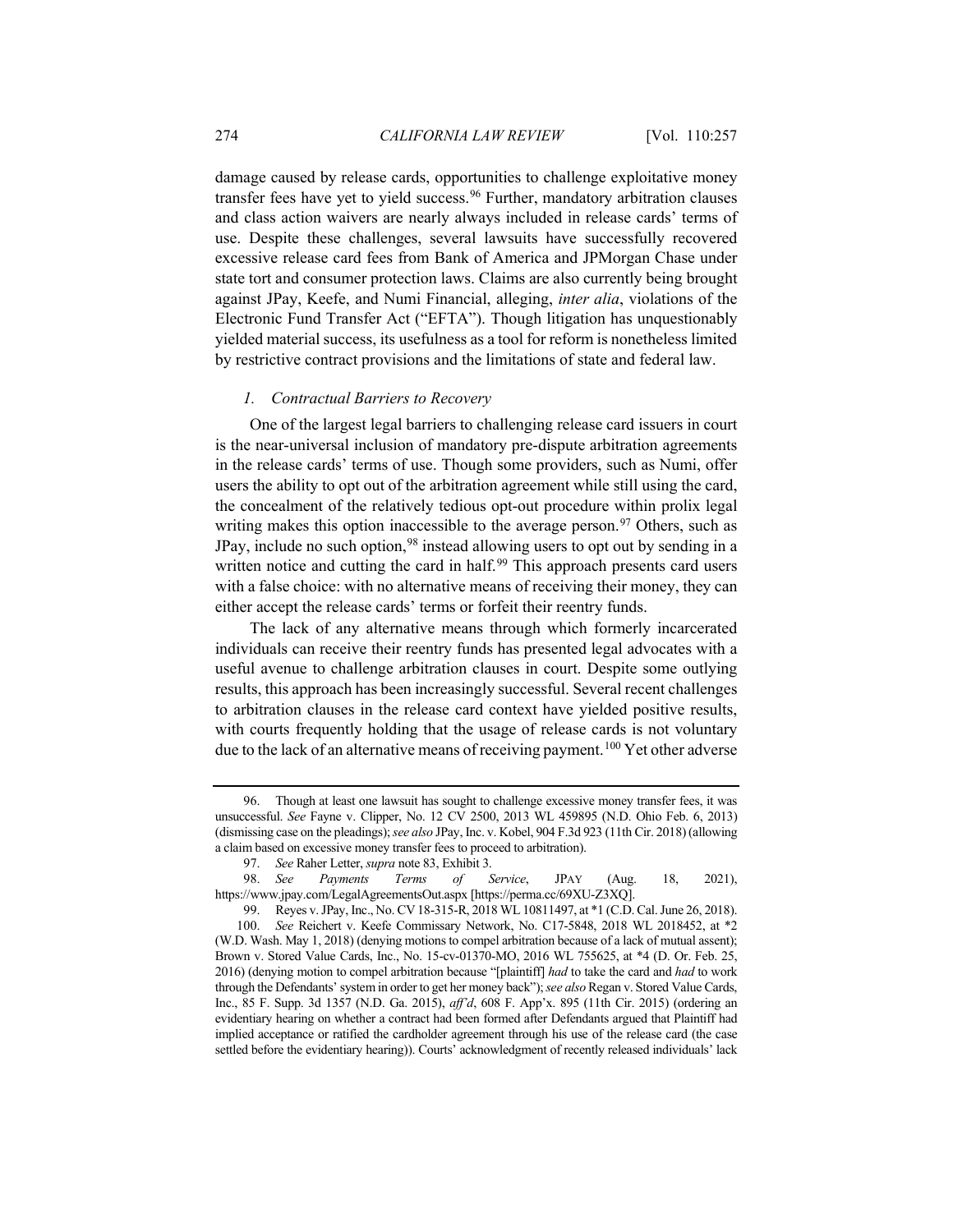damage caused by release cards, opportunities to challenge exploitative money transfer fees have yet to yield success.<sup>[96](#page-17-0)</sup> Further, mandatory arbitration clauses and class action waivers are nearly always included in release cards' terms of use. Despite these challenges, several lawsuits have successfully recovered excessive release card fees from Bank of America and JPMorgan Chase under state tort and consumer protection laws. Claims are also currently being brought against JPay, Keefe, and Numi Financial, alleging, *inter alia*, violations of the Electronic Fund Transfer Act ("EFTA"). Though litigation has unquestionably yielded material success, its usefulness as a tool for reform is nonetheless limited by restrictive contract provisions and the limitations of state and federal law.

#### *1. Contractual Barriers to Recovery*

One of the largest legal barriers to challenging release card issuers in court is the near-universal inclusion of mandatory pre-dispute arbitration agreements in the release cards' terms of use. Though some providers, such as Numi, offer users the ability to opt out of the arbitration agreement while still using the card, the concealment of the relatively tedious opt-out procedure within prolix legal writing makes this option inaccessible to the average person.  $97$  Others, such as JPay, include no such option,<sup>[98](#page-17-2)</sup> instead allowing users to opt out by sending in a written notice and cutting the card in half.<sup>[99](#page-17-3)</sup> This approach presents card users with a false choice: with no alternative means of receiving their money, they can either accept the release cards' terms or forfeit their reentry funds.

<span id="page-17-5"></span>The lack of any alternative means through which formerly incarcerated individuals can receive their reentry funds has presented legal advocates with a useful avenue to challenge arbitration clauses in court. Despite some outlying results, this approach has been increasingly successful. Several recent challenges to arbitration clauses in the release card context have yielded positive results, with courts frequently holding that the usage of release cards is not voluntary due to the lack of an alternative means of receiving payment.<sup>[100](#page-17-4)</sup> Yet other adverse

<span id="page-17-0"></span><sup>96.</sup> Though at least one lawsuit has sought to challenge excessive money transfer fees, it was unsuccessful. *See* Fayne v. Clipper, No. 12 CV 2500, 2013 WL 459895 (N.D. Ohio Feb. 6, 2013) (dismissing case on the pleadings); *see also* JPay, Inc. v. Kobel, 904 F.3d 923 (11th Cir. 2018) (allowing a claim based on excessive money transfer fees to proceed to arbitration).

<sup>97.</sup> *See* Raher Letter, *supra* not[e 83,](#page-15-0) Exhibit 3.

<span id="page-17-2"></span><span id="page-17-1"></span><sup>98.</sup> *See Payments Terms of Service*, JPAY (Aug. 18, 2021), https://www.jpay.com/LegalAgreementsOut.aspx [https://perma.cc/69XU-Z3XQ].

<span id="page-17-4"></span><span id="page-17-3"></span><sup>99.</sup> Reyes v. JPay, Inc., No. CV 18-315-R, 2018 WL 10811497, at \*1 (C.D. Cal. June 26, 2018). 100. *See* Reichert v. Keefe Commissary Network, No. C17-5848, 2018 WL 2018452, at \*2 (W.D. Wash. May 1, 2018) (denying motions to compel arbitration because of a lack of mutual assent); Brown v. Stored Value Cards, Inc., No. 15-cv-01370-MO, 2016 WL 755625, at \*4 (D. Or. Feb. 25, 2016) (denying motion to compel arbitration because "[plaintiff] *had* to take the card and *had* to work through the Defendants'system in order to get her money back"); *see also*Regan v. Stored Value Cards, Inc., 85 F. Supp. 3d 1357 (N.D. Ga. 2015), *aff'd*, 608 F. App'x. 895 (11th Cir. 2015) (ordering an evidentiary hearing on whether a contract had been formed after Defendants argued that Plaintiff had implied acceptance or ratified the cardholder agreement through his use of the release card (the case settled before the evidentiary hearing)). Courts' acknowledgment of recently released individuals' lack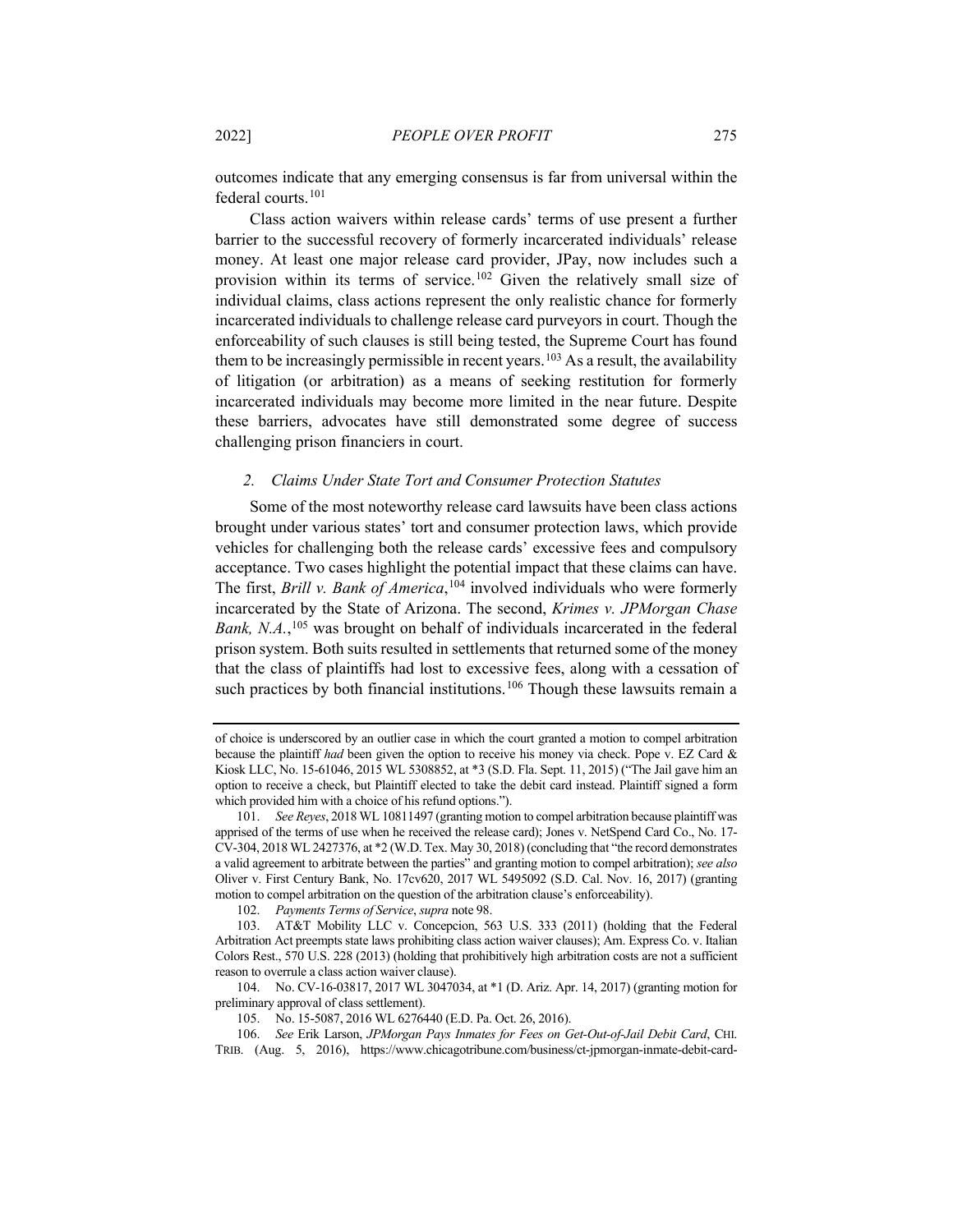outcomes indicate that any emerging consensus is far from universal within the federal courts.[101](#page-18-0)

Class action waivers within release cards' terms of use present a further barrier to the successful recovery of formerly incarcerated individuals' release money. At least one major release card provider, JPay, now includes such a provision within its terms of service.[102](#page-18-1) Given the relatively small size of individual claims, class actions represent the only realistic chance for formerly incarcerated individuals to challenge release card purveyors in court. Though the enforceability of such clauses is still being tested, the Supreme Court has found them to be increasingly permissible in recent years.<sup>[103](#page-18-2)</sup> As a result, the availability of litigation (or arbitration) as a means of seeking restitution for formerly incarcerated individuals may become more limited in the near future. Despite these barriers, advocates have still demonstrated some degree of success challenging prison financiers in court.

## *2. Claims Under State Tort and Consumer Protection Statutes*

Some of the most noteworthy release card lawsuits have been class actions brought under various states' tort and consumer protection laws, which provide vehicles for challenging both the release cards' excessive fees and compulsory acceptance. Two cases highlight the potential impact that these claims can have. The first, *Brill v. Bank of America*, [104](#page-18-3) involved individuals who were formerly incarcerated by the State of Arizona. The second, *Krimes v. JPMorgan Chase*  Bank, N.A.,<sup>[105](#page-18-4)</sup> was brought on behalf of individuals incarcerated in the federal prison system. Both suits resulted in settlements that returned some of the money that the class of plaintiffs had lost to excessive fees, along with a cessation of such practices by both financial institutions.<sup>[106](#page-18-5)</sup> Though these lawsuits remain a

of choice is underscored by an outlier case in which the court granted a motion to compel arbitration because the plaintiff *had* been given the option to receive his money via check. Pope v. EZ Card & Kiosk LLC, No. 15-61046, 2015 WL 5308852, at \*3 (S.D. Fla. Sept. 11, 2015) ("The Jail gave him an option to receive a check, but Plaintiff elected to take the debit card instead. Plaintiff signed a form which provided him with a choice of his refund options.").

<span id="page-18-0"></span><sup>101.</sup> *See Reyes*, 2018 WL 10811497 (granting motion to compel arbitration because plaintiff was apprised of the terms of use when he received the release card); Jones v. NetSpend Card Co., No. 17- CV-304, 2018 WL 2427376, at \*2 (W.D. Tex. May 30, 2018) (concluding that "the record demonstrates a valid agreement to arbitrate between the parties" and granting motion to compel arbitration); *see also*  Oliver v. First Century Bank, No. 17cv620, 2017 WL 5495092 (S.D. Cal. Nov. 16, 2017) (granting motion to compel arbitration on the question of the arbitration clause's enforceability).

<sup>102.</sup> *Payments Terms of Service*, *supra* not[e 98.](#page-17-5)

<span id="page-18-2"></span><span id="page-18-1"></span><sup>103.</sup> AT&T Mobility LLC v. Concepcion, 563 U.S. 333 (2011) (holding that the Federal Arbitration Act preempts state laws prohibiting class action waiver clauses); Am. Express Co. v. Italian Colors Rest., 570 U.S. 228 (2013) (holding that prohibitively high arbitration costs are not a sufficient reason to overrule a class action waiver clause).

<span id="page-18-3"></span><sup>104.</sup> No. CV-16-03817, 2017 WL 3047034, at \*1 (D. Ariz. Apr. 14, 2017) (granting motion for preliminary approval of class settlement).

<sup>105.</sup> No. 15-5087, 2016 WL 6276440 (E.D. Pa. Oct. 26, 2016).

<span id="page-18-5"></span><span id="page-18-4"></span><sup>106.</sup> *See* Erik Larson, *JPMorgan Pays Inmates for Fees on Get-Out-of-Jail Debit Card*, CHI. TRIB. (Aug. 5, 2016), https://www.chicagotribune.com/business/ct-jpmorgan-inmate-debit-card-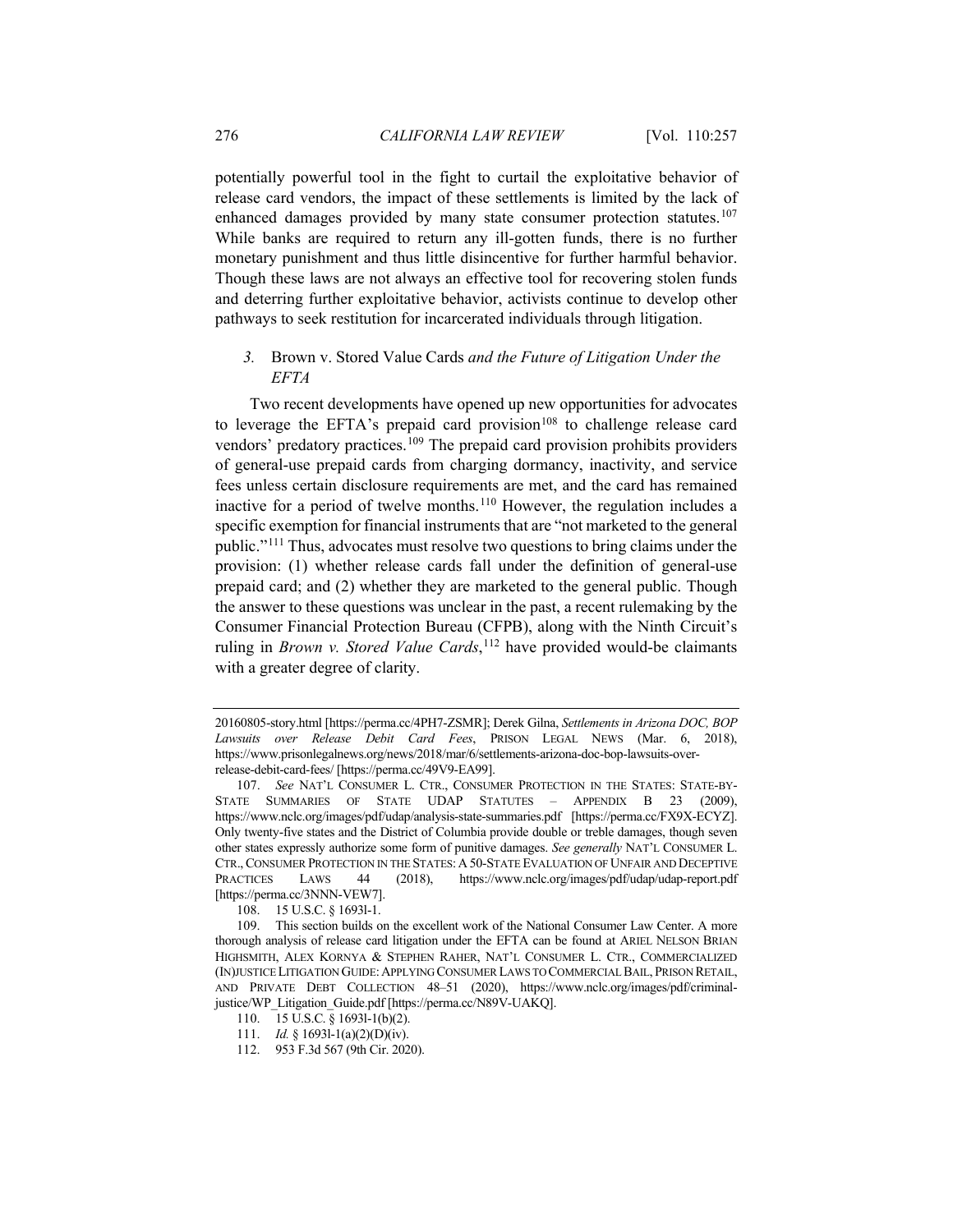potentially powerful tool in the fight to curtail the exploitative behavior of release card vendors, the impact of these settlements is limited by the lack of enhanced damages provided by many state consumer protection statutes.<sup>[107](#page-19-0)</sup> While banks are required to return any ill-gotten funds, there is no further monetary punishment and thus little disincentive for further harmful behavior. Though these laws are not always an effective tool for recovering stolen funds and deterring further exploitative behavior, activists continue to develop other pathways to seek restitution for incarcerated individuals through litigation.

# *3.* Brown v. Stored Value Cards *and the Future of Litigation Under the EFTA*

Two recent developments have opened up new opportunities for advocates to leverage the EFTA's prepaid card provision<sup>[108](#page-19-1)</sup> to challenge release card vendors' predatory practices.<sup>[109](#page-19-2)</sup> The prepaid card provision prohibits providers of general-use prepaid cards from charging dormancy, inactivity, and service fees unless certain disclosure requirements are met, and the card has remained inactive for a period of twelve months.[110](#page-19-3) However, the regulation includes a specific exemption for financial instruments that are "not marketed to the general public."[111](#page-19-4) Thus, advocates must resolve two questions to bring claims under the provision: (1) whether release cards fall under the definition of general-use prepaid card; and (2) whether they are marketed to the general public. Though the answer to these questions was unclear in the past, a recent rulemaking by the Consumer Financial Protection Bureau (CFPB), along with the Ninth Circuit's ruling in *Brown v. Stored Value Cards*, [112](#page-19-5) have provided would-be claimants with a greater degree of clarity.

<sup>20160805-</sup>story.html [https://perma.cc/4PH7-ZSMR]; Derek Gilna, *Settlements in Arizona DOC, BOP Lawsuits over Release Debit Card Fees*, PRISON LEGAL NEWS (Mar. 6, 2018), https://www.prisonlegalnews.org/news/2018/mar/6/settlements-arizona-doc-bop-lawsuits-overrelease-debit-card-fees/ [https://perma.cc/49V9-EA99].

<span id="page-19-0"></span><sup>107.</sup> *See* NAT'L CONSUMER L. CTR., CONSUMER PROTECTION IN THE STATES: STATE-BY-STATE SUMMARIES OF STATE UDAP STATUTES – APPENDIX B 23 (2009), https://www.nclc.org/images/pdf/udap/analysis-state-summaries.pdf [https://perma.cc/FX9X-ECYZ]. Only twenty-five states and the District of Columbia provide double or treble damages, though seven other states expressly authorize some form of punitive damages. *See generally* NAT'L CONSUMER L. CTR.,CONSUMER PROTECTION IN THE STATES: A50-STATE EVALUATION OF UNFAIR AND DECEPTIVE PRACTICES LAWS 44 (2018), https://www.nclc.org/images/pdf/udap/udap-report.pdf [https://perma.cc/3NNN-VEW7].

<sup>108.</sup> 15 U.S.C. § 1693l-1.

<span id="page-19-3"></span><span id="page-19-2"></span><span id="page-19-1"></span><sup>109.</sup> This section builds on the excellent work of the National Consumer Law Center. A more thorough analysis of release card litigation under the EFTA can be found at ARIEL NELSON BRIAN HIGHSMITH, ALEX KORNYA & STEPHEN RAHER, NAT'L CONSUMER L. CTR., COMMERCIALIZED (IN)JUSTICE LITIGATION GUIDE:APPLYING CONSUMER LAWS TO COMMERCIAL BAIL, PRISON RETAIL, AND PRIVATE DEBT COLLECTION 48–51 (2020), https://www.nclc.org/images/pdf/criminaljustice/WP\_Litigation\_Guide.pdf [https://perma.cc/N89V-UAKQ].

<sup>110.</sup> 15 U.S.C. § 1693l-1(b)(2).

<sup>111.</sup> *Id.* § 1693l-1(a)(2)(D)(iv).

<span id="page-19-5"></span><span id="page-19-4"></span><sup>112.</sup> 953 F.3d 567 (9th Cir. 2020).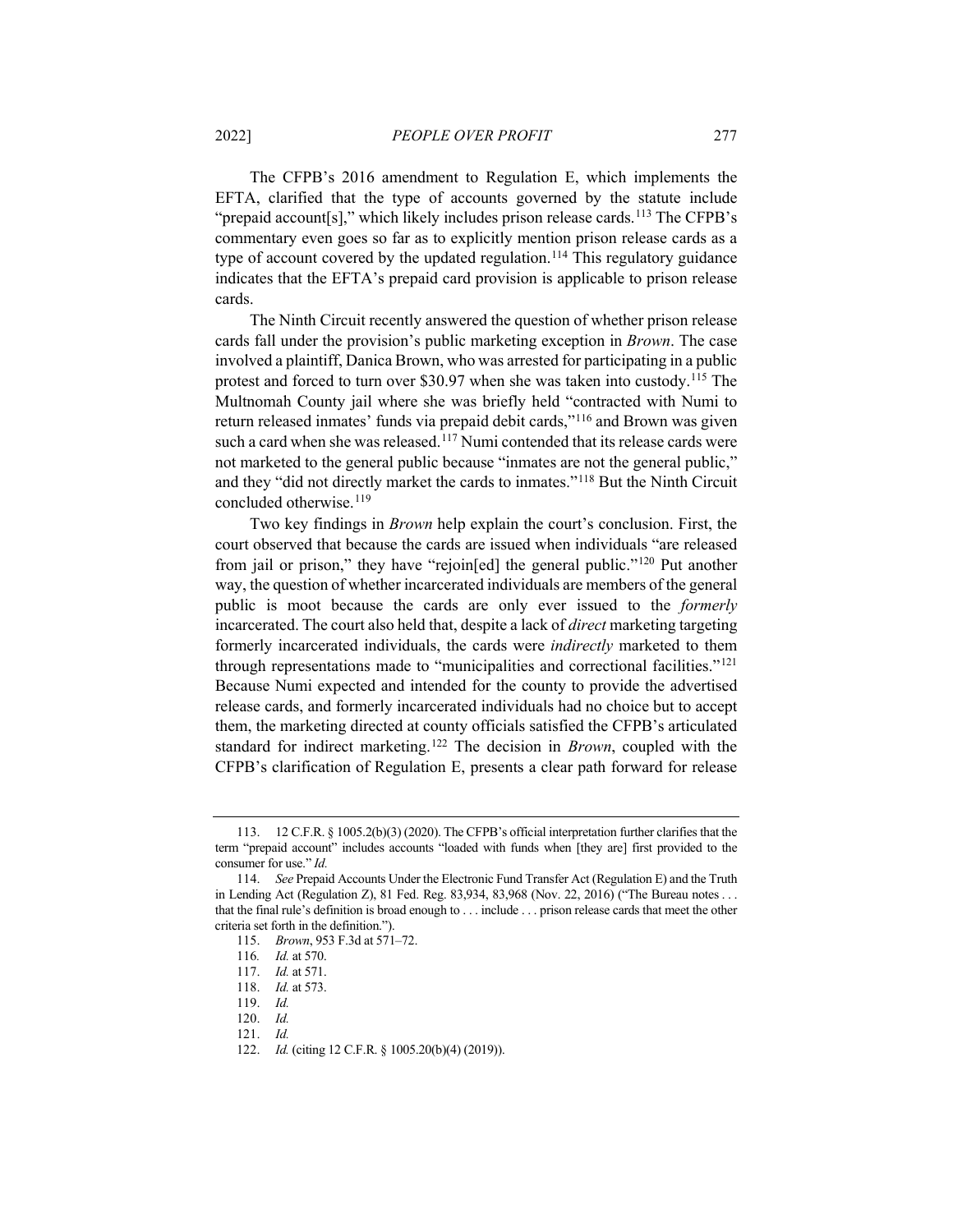The CFPB's 2016 amendment to Regulation E, which implements the EFTA, clarified that the type of accounts governed by the statute include "prepaid account[s]," which likely includes prison release cards.<sup>113</sup> The CFPB's commentary even goes so far as to explicitly mention prison release cards as a type of account covered by the updated regulation.<sup>114</sup> This regulatory guidance indicates that the EFTA's prepaid card provision is applicable to prison release cards.

The Ninth Circuit recently answered the question of whether prison release cards fall under the provision's public marketing exception in *Brown*. The case involved a plaintiff, Danica Brown, who was arrested for participating in a public protest and forced to turn over \$30.97 when she was taken into custody.[115](#page-20-2) The Multnomah County jail where she was briefly held "contracted with Numi to return released inmates' funds via prepaid debit cards,"[116](#page-20-3) and Brown was given such a card when she was released.<sup>[117](#page-20-4)</sup> Numi contended that its release cards were not marketed to the general public because "inmates are not the general public," and they "did not directly market the cards to inmates."[118](#page-20-5) But the Ninth Circuit concluded otherwise.<sup>[119](#page-20-6)</sup>

Two key findings in *Brown* help explain the court's conclusion. First, the court observed that because the cards are issued when individuals "are released from jail or prison," they have "rejoin[ed] the general public."[120](#page-20-7) Put another way, the question of whether incarcerated individuals are members of the general public is moot because the cards are only ever issued to the *formerly*  incarcerated. The court also held that, despite a lack of *direct* marketing targeting formerly incarcerated individuals, the cards were *indirectly* marketed to them through representations made to "municipalities and correctional facilities."[121](#page-20-8) Because Numi expected and intended for the county to provide the advertised release cards, and formerly incarcerated individuals had no choice but to accept them, the marketing directed at county officials satisfied the CFPB's articulated standard for indirect marketing.[122](#page-20-9) The decision in *Brown*, coupled with the CFPB's clarification of Regulation E, presents a clear path forward for release

<span id="page-20-0"></span><sup>113.</sup> 12 C.F.R. § 1005.2(b)(3) (2020). The CFPB's official interpretation further clarifies that the term "prepaid account" includes accounts "loaded with funds when [they are] first provided to the consumer for use." *Id.*

<span id="page-20-4"></span><span id="page-20-3"></span><span id="page-20-2"></span><span id="page-20-1"></span><sup>114.</sup> *See* Prepaid Accounts Under the Electronic Fund Transfer Act (Regulation E) and the Truth in Lending Act (Regulation Z), 81 Fed. Reg. 83,934, 83,968 (Nov. 22, 2016) ("The Bureau notes . . . that the final rule's definition is broad enough to . . . include . . . prison release cards that meet the other criteria set forth in the definition.").

<sup>115.</sup> *Brown*, 953 F.3d at 571–72.

<sup>116</sup>*. Id.* at 570.

<sup>117.</sup> *Id.* at 571.

<span id="page-20-6"></span><span id="page-20-5"></span><sup>118.</sup> *Id.* at 573.

<sup>119.</sup> *Id.*

<span id="page-20-7"></span><sup>120.</sup> *Id.*

<span id="page-20-8"></span><sup>121.</sup> *Id.*

<span id="page-20-9"></span><sup>122.</sup> *Id.* (citing 12 C.F.R. § 1005.20(b)(4) (2019)).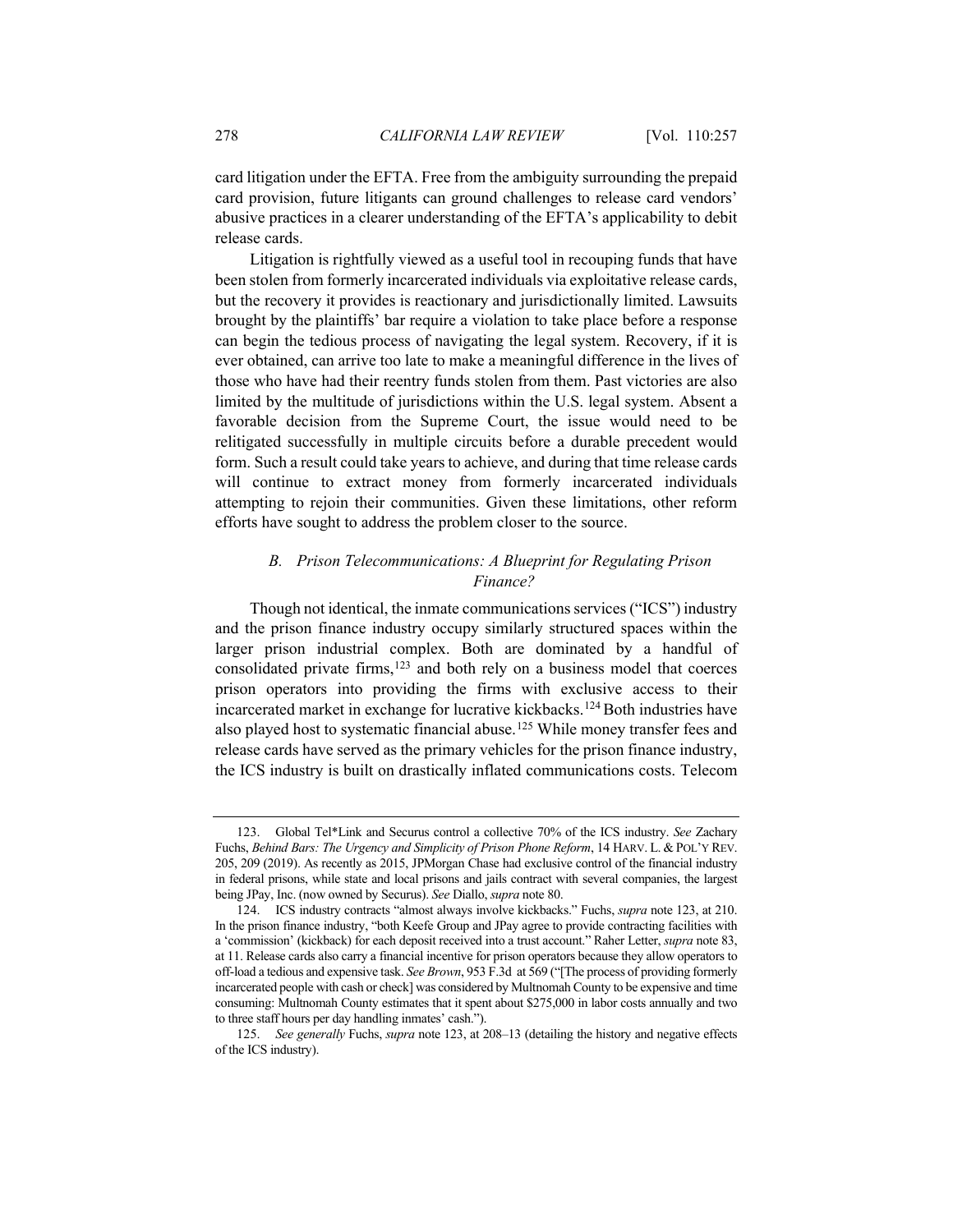card litigation under the EFTA. Free from the ambiguity surrounding the prepaid card provision, future litigants can ground challenges to release card vendors' abusive practices in a clearer understanding of the EFTA's applicability to debit release cards.

Litigation is rightfully viewed as a useful tool in recouping funds that have been stolen from formerly incarcerated individuals via exploitative release cards, but the recovery it provides is reactionary and jurisdictionally limited. Lawsuits brought by the plaintiffs' bar require a violation to take place before a response can begin the tedious process of navigating the legal system. Recovery, if it is ever obtained, can arrive too late to make a meaningful difference in the lives of those who have had their reentry funds stolen from them. Past victories are also limited by the multitude of jurisdictions within the U.S. legal system. Absent a favorable decision from the Supreme Court, the issue would need to be relitigated successfully in multiple circuits before a durable precedent would form. Such a result could take years to achieve, and during that time release cards will continue to extract money from formerly incarcerated individuals attempting to rejoin their communities. Given these limitations, other reform efforts have sought to address the problem closer to the source.

# <span id="page-21-0"></span>*B. Prison Telecommunications: A Blueprint for Regulating Prison Finance?*

Though not identical, the inmate communications services ("ICS") industry and the prison finance industry occupy similarly structured spaces within the larger prison industrial complex. Both are dominated by a handful of consolidated private firms,[123](#page-21-1) and both rely on a business model that coerces prison operators into providing the firms with exclusive access to their incarcerated market in exchange for lucrative kickbacks.<sup>[124](#page-21-2)</sup> Both industries have also played host to systematic financial abuse.<sup>[125](#page-21-3)</sup> While money transfer fees and release cards have served as the primary vehicles for the prison finance industry, the ICS industry is built on drastically inflated communications costs. Telecom

<span id="page-21-1"></span><sup>123.</sup> Global Tel\*Link and Securus control a collective 70% of the ICS industry. *See* Zachary Fuchs, *Behind Bars: The Urgency and Simplicity of Prison Phone Reform*, 14 HARV. L. & POL'Y REV. 205, 209 (2019). As recently as 2015, JPMorgan Chase had exclusive control of the financial industry in federal prisons, while state and local prisons and jails contract with several companies, the largest being JPay, Inc. (now owned by Securus). *See* Diallo, *supra* not[e 80.](#page-14-5)

<span id="page-21-2"></span><sup>124.</sup> ICS industry contracts "almost always involve kickbacks." Fuchs, *supra* not[e 123,](#page-21-0) at 210. In the prison finance industry, "both Keefe Group and JPay agree to provide contracting facilities with a 'commission' (kickback) for each deposit received into a trust account." Raher Letter, *supra* not[e 83,](#page-15-0)  at 11. Release cards also carry a financial incentive for prison operators because they allow operators to off-load a tedious and expensive task. *See Brown*, 953 F.3d at 569 ("[The process of providing formerly incarcerated people with cash or check] was considered by Multnomah County to be expensive and time consuming: Multnomah County estimates that it spent about \$275,000 in labor costs annually and two to three staff hours per day handling inmates' cash.").

<span id="page-21-3"></span><sup>125.</sup> *See generally* Fuchs, *supra* not[e 123,](#page-21-0) at 208–13 (detailing the history and negative effects of the ICS industry).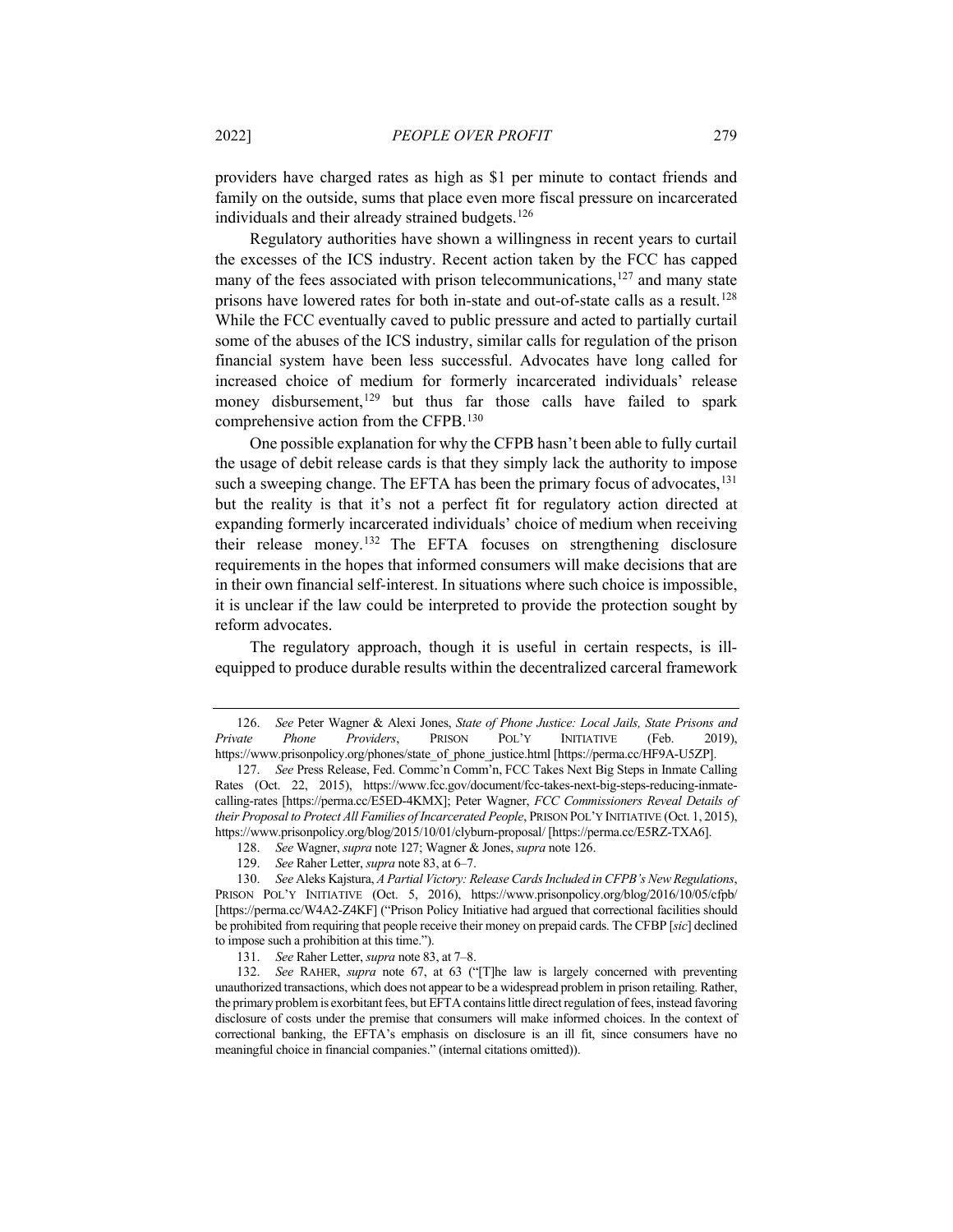providers have charged rates as high as \$1 per minute to contact friends and family on the outside, sums that place even more fiscal pressure on incarcerated individuals and their already strained budgets.<sup>126</sup>

<span id="page-22-1"></span><span id="page-22-0"></span>Regulatory authorities have shown a willingness in recent years to curtail the excesses of the ICS industry. Recent action taken by the FCC has capped many of the fees associated with prison telecommunications, $127$  and many state prisons have lowered rates for both in-state and out-of-state calls as a result.<sup>[128](#page-22-4)</sup> While the FCC eventually caved to public pressure and acted to partially curtail some of the abuses of the ICS industry, similar calls for regulation of the prison financial system have been less successful. Advocates have long called for increased choice of medium for formerly incarcerated individuals' release money disbursement,<sup>[129](#page-22-5)</sup> but thus far those calls have failed to spark comprehensive action from the CFPB.[130](#page-22-6)

One possible explanation for why the CFPB hasn't been able to fully curtail the usage of debit release cards is that they simply lack the authority to impose such a sweeping change. The EFTA has been the primary focus of advocates,<sup>[131](#page-22-7)</sup> but the reality is that it's not a perfect fit for regulatory action directed at expanding formerly incarcerated individuals' choice of medium when receiving their release money.[132](#page-22-8) The EFTA focuses on strengthening disclosure requirements in the hopes that informed consumers will make decisions that are in their own financial self-interest. In situations where such choice is impossible, it is unclear if the law could be interpreted to provide the protection sought by reform advocates.

The regulatory approach, though it is useful in certain respects, is illequipped to produce durable results within the decentralized carceral framework

<span id="page-22-2"></span><sup>126.</sup> *See* Peter Wagner & Alexi Jones, *State of Phone Justice: Local Jails, State Prisons and Private Phone Providers*, PRISON POL'Y INITIATIVE (Feb. 2019), https://www.prisonpolicy.org/phones/state\_of\_phone\_justice.html [https://perma.cc/HF9A-U5ZP].

<span id="page-22-3"></span><sup>127.</sup> *See* Press Release, Fed. Commc'n Comm'n, FCC Takes Next Big Steps in Inmate Calling Rates (Oct. 22, 2015), https://www.fcc.gov/document/fcc-takes-next-big-steps-reducing-inmatecalling-rates [https://perma.cc/E5ED-4KMX]; Peter Wagner, *FCC Commissioners Reveal Details of their Proposal to Protect All Families of Incarcerated People*, PRISON POL'Y INITIATIVE (Oct. 1, 2015), https://www.prisonpolicy.org/blog/2015/10/01/clyburn-proposal/ [https://perma.cc/E5RZ-TXA6].

<sup>128.</sup> *See* Wagner, *supra* not[e 127;](#page-22-0) Wagner & Jones, *supra* not[e 126.](#page-22-1)

<sup>129.</sup> *See* Raher Letter, *supra* not[e 83,](#page-15-0) at 6–7.

<span id="page-22-6"></span><span id="page-22-5"></span><span id="page-22-4"></span><sup>130.</sup> *See* Aleks Kajstura, *A Partial Victory: Release Cards Included in CFPB's New Regulations*, PRISON POL'Y INITIATIVE (Oct. 5, 2016), https://www.prisonpolicy.org/blog/2016/10/05/cfpb/ [https://perma.cc/W4A2-Z4KF] ("Prison Policy Initiative had argued that correctional facilities should be prohibited from requiring that people receive their money on prepaid cards. The CFBP [*sic*] declined to impose such a prohibition at this time.").

<sup>131.</sup> *See* Raher Letter, *supra* not[e 83,](#page-15-0) at 7–8.

<span id="page-22-8"></span><span id="page-22-7"></span><sup>132.</sup> *See* RAHER, *supra* note [67,](#page-12-6) at 63 ("[T]he law is largely concerned with preventing unauthorized transactions, which does not appear to be a widespread problem in prison retailing. Rather, the primary problem is exorbitant fees, but EFTA contains little direct regulation of fees, instead favoring disclosure of costs under the premise that consumers will make informed choices. In the context of correctional banking, the EFTA's emphasis on disclosure is an ill fit, since consumers have no meaningful choice in financial companies." (internal citations omitted)).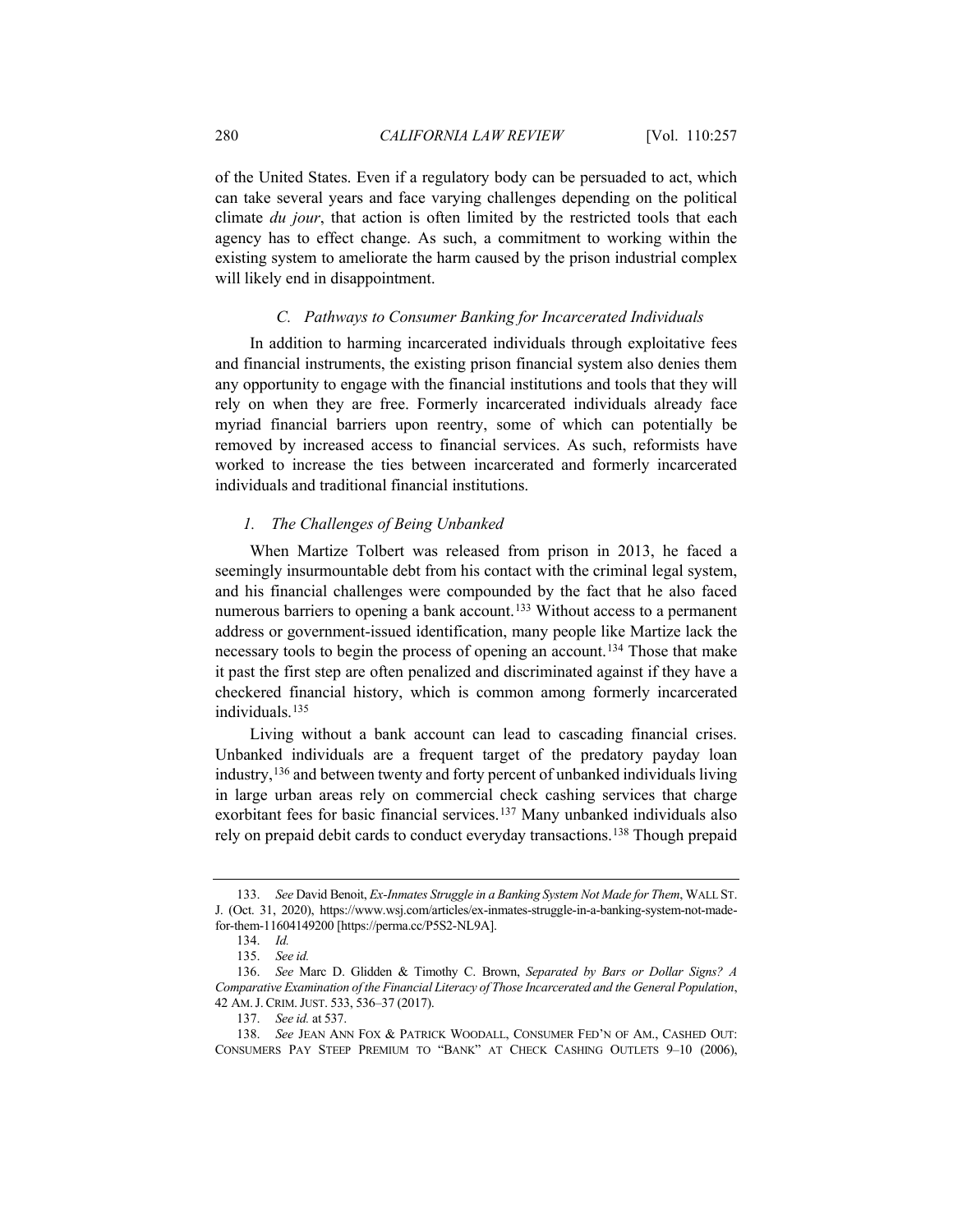of the United States. Even if a regulatory body can be persuaded to act, which can take several years and face varying challenges depending on the political climate *du jour*, that action is often limited by the restricted tools that each agency has to effect change. As such, a commitment to working within the existing system to ameliorate the harm caused by the prison industrial complex will likely end in disappointment.

## *C. Pathways to Consumer Banking for Incarcerated Individuals*

In addition to harming incarcerated individuals through exploitative fees and financial instruments, the existing prison financial system also denies them any opportunity to engage with the financial institutions and tools that they will rely on when they are free. Formerly incarcerated individuals already face myriad financial barriers upon reentry, some of which can potentially be removed by increased access to financial services. As such, reformists have worked to increase the ties between incarcerated and formerly incarcerated individuals and traditional financial institutions.

## <span id="page-23-6"></span>*1. The Challenges of Being Unbanked*

When Martize Tolbert was released from prison in 2013, he faced a seemingly insurmountable debt from his contact with the criminal legal system, and his financial challenges were compounded by the fact that he also faced numerous barriers to opening a bank account.<sup>[133](#page-23-0)</sup> Without access to a permanent address or government-issued identification, many people like Martize lack the necessary tools to begin the process of opening an account. [134](#page-23-1) Those that make it past the first step are often penalized and discriminated against if they have a checkered financial history, which is common among formerly incarcerated individuals.<sup>[135](#page-23-2)</sup>

Living without a bank account can lead to cascading financial crises. Unbanked individuals are a frequent target of the predatory payday loan industry,[136](#page-23-3) and between twenty and forty percent of unbanked individuals living in large urban areas rely on commercial check cashing services that charge exorbitant fees for basic financial services.<sup>[137](#page-23-4)</sup> Many unbanked individuals also rely on prepaid debit cards to conduct everyday transactions.[138](#page-23-5) Though prepaid

<span id="page-23-0"></span><sup>133.</sup> *See* David Benoit, *Ex-Inmates Struggle in a Banking System Not Made for Them*, WALL ST. J. (Oct. 31, 2020), https://www.wsj.com/articles/ex-inmates-struggle-in-a-banking-system-not-madefor-them-11604149200 [https://perma.cc/P5S2-NL9A].

<sup>134.</sup> *Id.*

<sup>135.</sup> *See id.*

<span id="page-23-3"></span><span id="page-23-2"></span><span id="page-23-1"></span><sup>136.</sup> *See* Marc D. Glidden & Timothy C. Brown, *Separated by Bars or Dollar Signs? A Comparative Examination of the Financial Literacy of Those Incarcerated and the General Population*, 42 AM.J. CRIM.JUST. 533, 536–37 (2017).

<sup>137.</sup> *See id.* at 537.

<span id="page-23-5"></span><span id="page-23-4"></span><sup>138.</sup> *See* JEAN ANN FOX & PATRICK WOODALL, CONSUMER FED'N OF AM., CASHED OUT: CONSUMERS PAY STEEP PREMIUM TO "BANK" AT CHECK CASHING OUTLETS 9–10 (2006),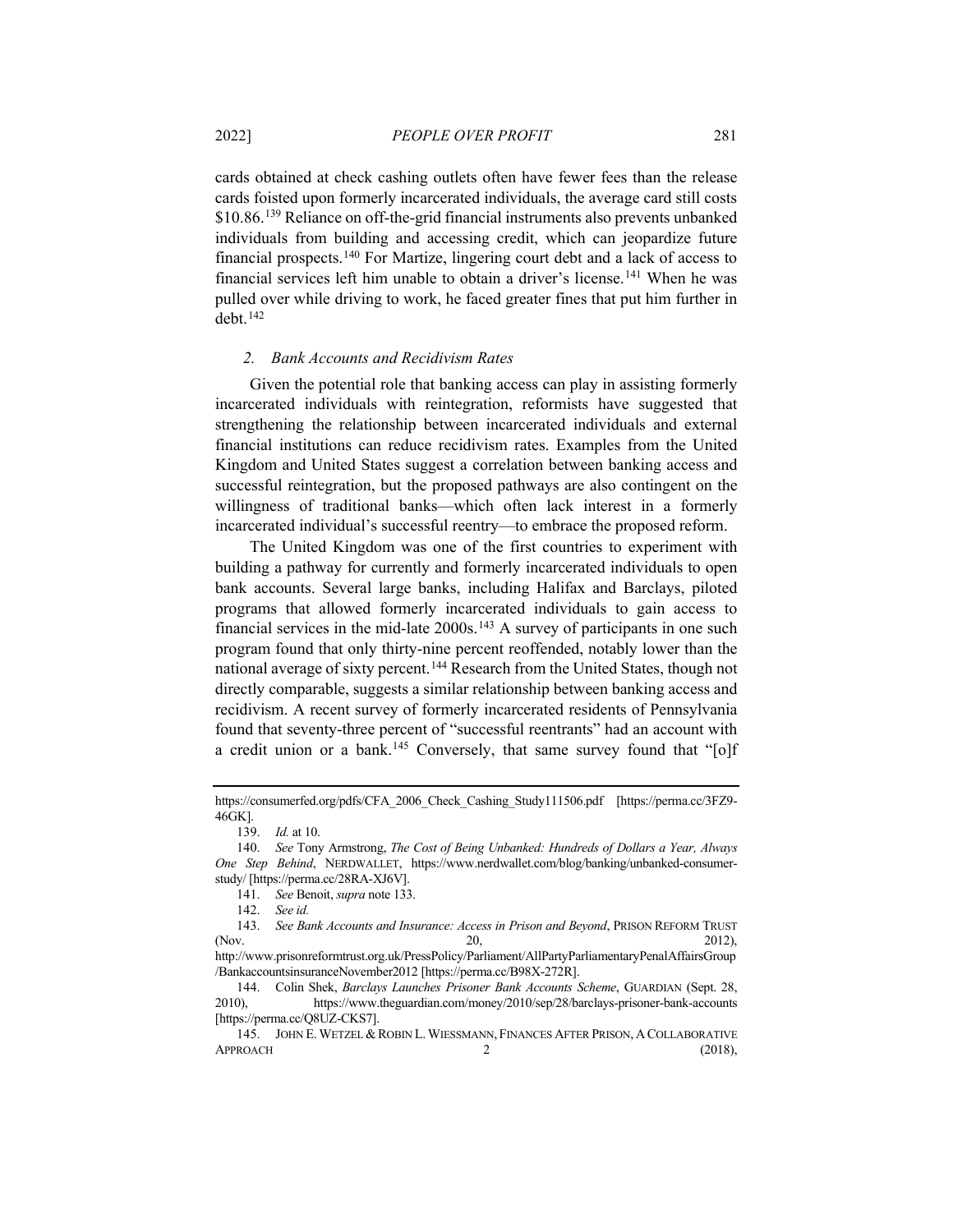cards obtained at check cashing outlets often have fewer fees than the release cards foisted upon formerly incarcerated individuals, the average card still costs \$10.86.[139](#page-24-0) Reliance on off-the-grid financial instruments also prevents unbanked individuals from building and accessing credit, which can jeopardize future financial prospects.[140](#page-24-1) For Martize, lingering court debt and a lack of access to financial services left him unable to obtain a driver's license.[141](#page-24-2) When he was pulled over while driving to work, he faced greater fines that put him further in debt[.142](#page-24-3)

#### *2. Bank Accounts and Recidivism Rates*

Given the potential role that banking access can play in assisting formerly incarcerated individuals with reintegration, reformists have suggested that strengthening the relationship between incarcerated individuals and external financial institutions can reduce recidivism rates. Examples from the United Kingdom and United States suggest a correlation between banking access and successful reintegration, but the proposed pathways are also contingent on the willingness of traditional banks—which often lack interest in a formerly incarcerated individual's successful reentry—to embrace the proposed reform.

The United Kingdom was one of the first countries to experiment with building a pathway for currently and formerly incarcerated individuals to open bank accounts. Several large banks, including Halifax and Barclays, piloted programs that allowed formerly incarcerated individuals to gain access to financial services in the mid-late  $2000s$ .<sup>[143](#page-24-4)</sup> A survey of participants in one such program found that only thirty-nine percent reoffended, notably lower than the national average of sixty percent.<sup>[144](#page-24-5)</sup> Research from the United States, though not directly comparable, suggests a similar relationship between banking access and recidivism. A recent survey of formerly incarcerated residents of Pennsylvania found that seventy-three percent of "successful reentrants" had an account with a credit union or a bank.<sup>145</sup> Conversely, that same survey found that "[o]f

https://consumerfed.org/pdfs/CFA\_2006\_Check\_Cashing\_Study111506.pdf [https://perma.cc/3FZ9- 46GK].

<sup>139.</sup> *Id.* at 10.

<span id="page-24-1"></span><span id="page-24-0"></span><sup>140.</sup> *See* Tony Armstrong, *The Cost of Being Unbanked: Hundreds of Dollars a Year, Always One Step Behind*, NERDWALLET, https://www.nerdwallet.com/blog/banking/unbanked-consumerstudy/ [https://perma.cc/28RA-XJ6V].

<sup>141.</sup> *See* Benoit, *supra* note [133.](#page-23-6)

<sup>142.</sup> *See id.*

<span id="page-24-4"></span><span id="page-24-3"></span><span id="page-24-2"></span><sup>143.</sup> *See Bank Accounts and Insurance: Access in Prison and Beyond*, PRISON REFORM TRUST (Nov. 2012), 2012),

http://www.prisonreformtrust.org.uk/PressPolicy/Parliament/AllPartyParliamentaryPenalAffairsGroup /BankaccountsinsuranceNovember2012 [https://perma.cc/B98X-272R].

<span id="page-24-5"></span><sup>144.</sup> Colin Shek, *Barclays Launches Prisoner Bank Accounts Scheme*, GUARDIAN (Sept. 28, 2010), https://www.theguardian.com/money/2010/sep/28/barclays-prisoner-bank-accounts [https://perma.cc/Q8UZ-CKS7].

<span id="page-24-6"></span><sup>145.</sup> JOHN E. WETZEL & ROBIN L. WIESSMANN, FINANCES AFTER PRISON, A COLLABORATIVE  $APPROACH$  2 (2018),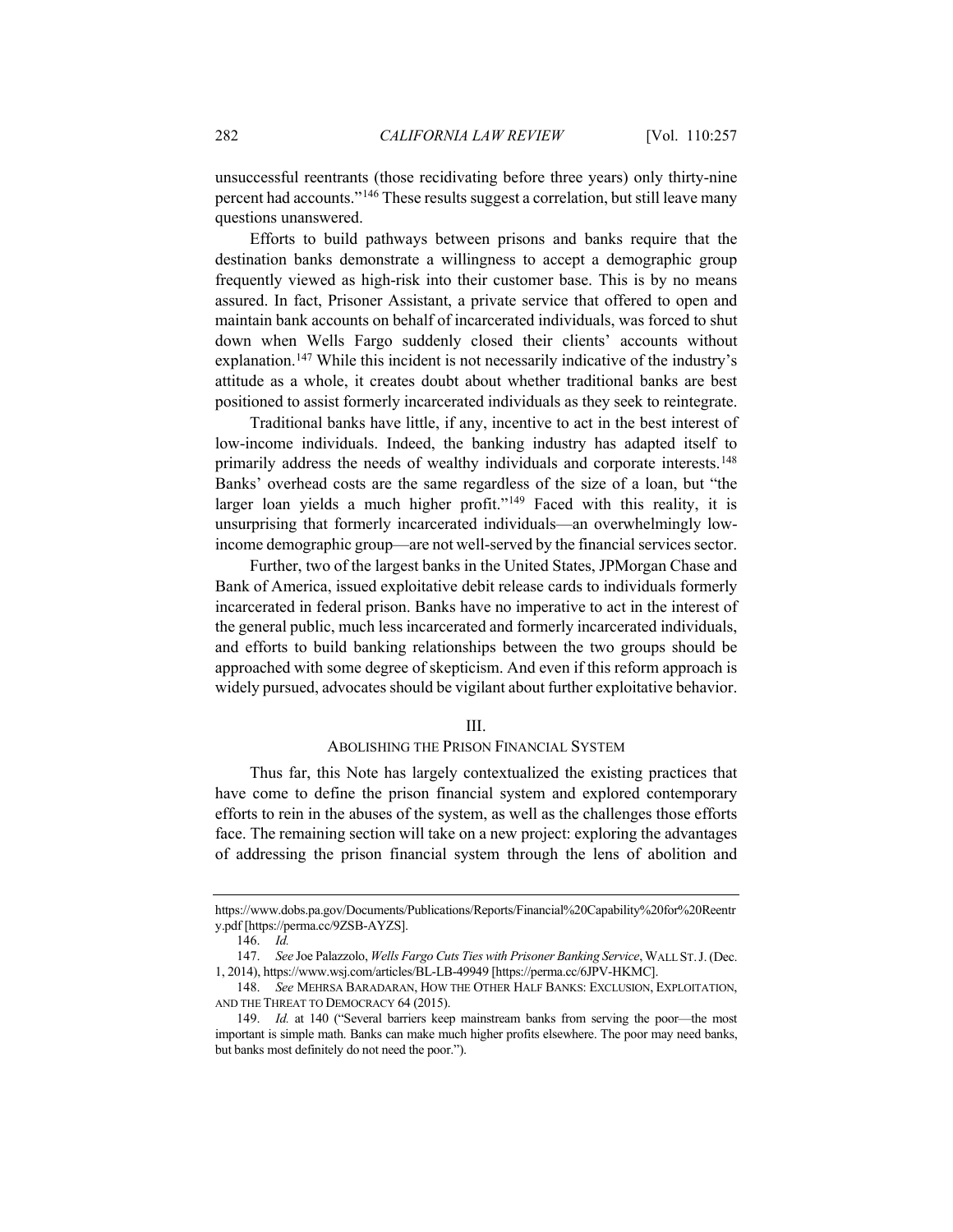unsuccessful reentrants (those recidivating before three years) only thirty-nine percent had accounts."[146](#page-25-0) These results suggest a correlation, but still leave many questions unanswered.

Efforts to build pathways between prisons and banks require that the destination banks demonstrate a willingness to accept a demographic group frequently viewed as high-risk into their customer base. This is by no means assured. In fact, Prisoner Assistant, a private service that offered to open and maintain bank accounts on behalf of incarcerated individuals, was forced to shut down when Wells Fargo suddenly closed their clients' accounts without explanation.[147](#page-25-1) While this incident is not necessarily indicative of the industry's attitude as a whole, it creates doubt about whether traditional banks are best positioned to assist formerly incarcerated individuals as they seek to reintegrate.

Traditional banks have little, if any, incentive to act in the best interest of low-income individuals. Indeed, the banking industry has adapted itself to primarily address the needs of wealthy individuals and corporate interests.<sup>[148](#page-25-2)</sup> Banks' overhead costs are the same regardless of the size of a loan, but "the larger loan yields a much higher profit."<sup>[149](#page-25-3)</sup> Faced with this reality, it is unsurprising that formerly incarcerated individuals—an overwhelmingly lowincome demographic group—are not well-served by the financial services sector.

Further, two of the largest banks in the United States, JPMorgan Chase and Bank of America, issued exploitative debit release cards to individuals formerly incarcerated in federal prison. Banks have no imperative to act in the interest of the general public, much less incarcerated and formerly incarcerated individuals, and efforts to build banking relationships between the two groups should be approached with some degree of skepticism. And even if this reform approach is widely pursued, advocates should be vigilant about further exploitative behavior.

#### <span id="page-25-4"></span>III.

#### ABOLISHING THE PRISON FINANCIAL SYSTEM

Thus far, this Note has largely contextualized the existing practices that have come to define the prison financial system and explored contemporary efforts to rein in the abuses of the system, as well as the challenges those efforts face. The remaining section will take on a new project: exploring the advantages of addressing the prison financial system through the lens of abolition and

<span id="page-25-0"></span>https://www.dobs.pa.gov/Documents/Publications/Reports/Financial%20Capability%20for%20Reentr y.pdf [https://perma.cc/9ZSB-AYZS].

<sup>146.</sup> *Id.*

<span id="page-25-1"></span><sup>147.</sup> *See* Joe Palazzolo, *Wells Fargo Cuts Ties with Prisoner Banking Service*, WALL ST.J. (Dec. 1, 2014), https://www.wsj.com/articles/BL-LB-49949 [https://perma.cc/6JPV-HKMC].

<span id="page-25-2"></span><sup>148.</sup> *See* MEHRSA BARADARAN, HOW THE OTHER HALF BANKS: EXCLUSION, EXPLOITATION, AND THE THREAT TO DEMOCRACY 64 (2015).

<span id="page-25-3"></span><sup>149.</sup> *Id.* at 140 ("Several barriers keep mainstream banks from serving the poor—the most important is simple math. Banks can make much higher profits elsewhere. The poor may need banks, but banks most definitely do not need the poor.").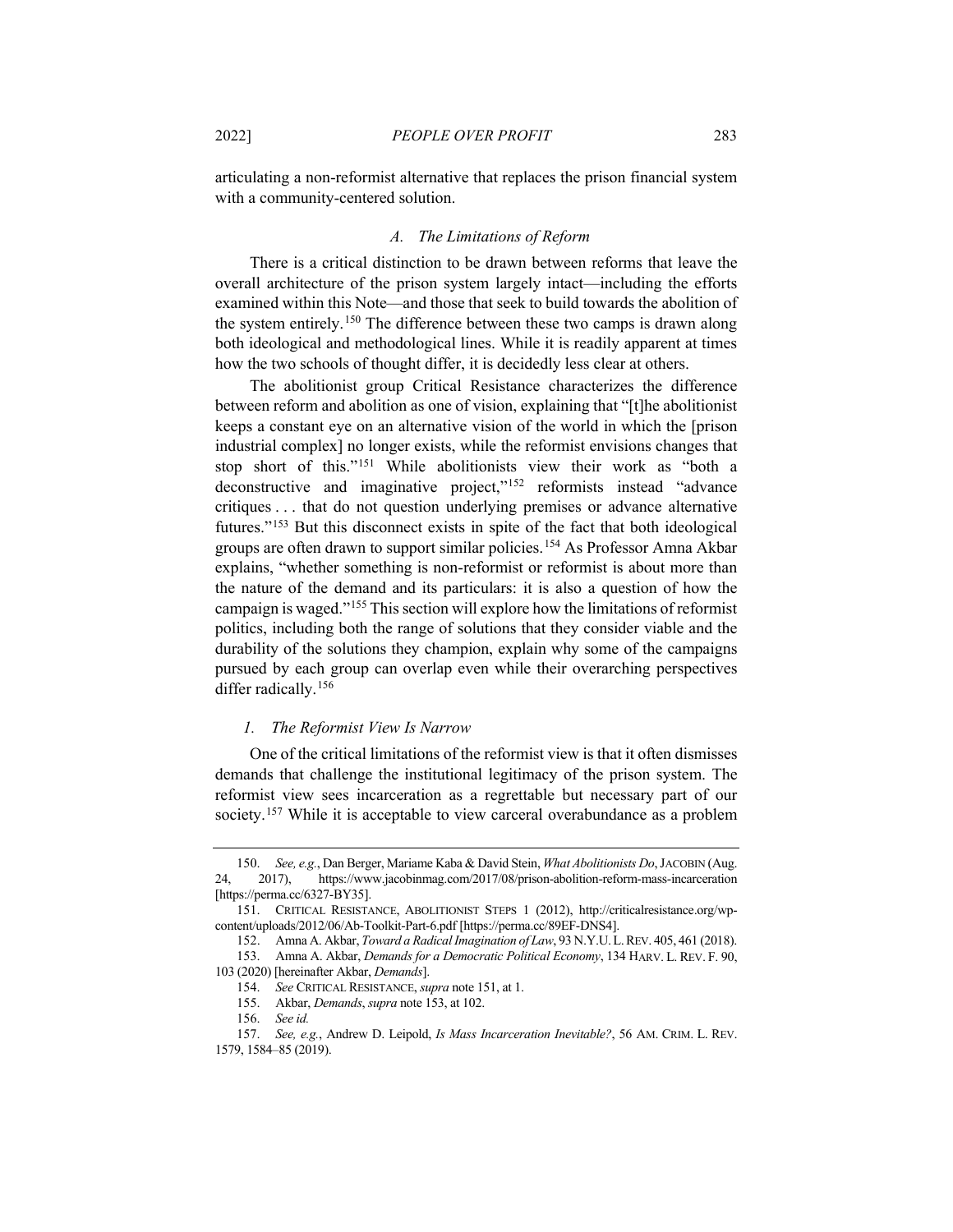articulating a non-reformist alternative that replaces the prison financial system with a community-centered solution.

#### <span id="page-26-10"></span>*A. The Limitations of Reform*

There is a critical distinction to be drawn between reforms that leave the overall architecture of the prison system largely intact—including the efforts examined within this Note—and those that seek to build towards the abolition of the system entirely.[150](#page-26-2) The difference between these two camps is drawn along both ideological and methodological lines. While it is readily apparent at times how the two schools of thought differ, it is decidedly less clear at others.

<span id="page-26-1"></span><span id="page-26-0"></span>The abolitionist group Critical Resistance characterizes the difference between reform and abolition as one of vision, explaining that "[t]he abolitionist keeps a constant eye on an alternative vision of the world in which the [prison industrial complex] no longer exists, while the reformist envisions changes that stop short of this."[151](#page-26-3) While abolitionists view their work as "both a deconstructive and imaginative project,"[152](#page-26-4) reformists instead "advance critiques . . . that do not question underlying premises or advance alternative futures."[153](#page-26-5) But this disconnect exists in spite of the fact that both ideological groups are often drawn to support similar policies.[154](#page-26-6) As Professor Amna Akbar explains, "whether something is non-reformist or reformist is about more than the nature of the demand and its particulars: it is also a question of how the campaign is waged.["155](#page-26-7) This section will explore how the limitations of reformist politics, including both the range of solutions that they consider viable and the durability of the solutions they champion, explain why some of the campaigns pursued by each group can overlap even while their overarching perspectives differ radically.<sup>[156](#page-26-8)</sup>

## *1. The Reformist View Is Narrow*

One of the critical limitations of the reformist view is that it often dismisses demands that challenge the institutional legitimacy of the prison system. The reformist view sees incarceration as a regrettable but necessary part of our society.<sup>[157](#page-26-9)</sup> While it is acceptable to view carceral overabundance as a problem

<span id="page-26-2"></span><sup>150.</sup> *See, e.g.*, Dan Berger, Mariame Kaba & David Stein, *What Abolitionists Do*, JACOBIN (Aug. 24, 2017), https://www.jacobinmag.com/2017/08/prison-abolition-reform-mass-incarceration [https://perma.cc/6327-BY35].

<span id="page-26-4"></span><span id="page-26-3"></span><sup>151.</sup> CRITICAL RESISTANCE, ABOLITIONIST STEPS 1 (2012), http://criticalresistance.org/wpcontent/uploads/2012/06/Ab-Toolkit-Part-6.pdf [https://perma.cc/89EF-DNS4].

<sup>152.</sup> Amna A. Akbar, *Toward a Radical Imagination of Law*, 93 N.Y.U.L.REV. 405, 461 (2018).

<span id="page-26-6"></span><span id="page-26-5"></span><sup>153.</sup> Amna A. Akbar, *Demands for a Democratic Political Economy*, 134 HARV. L. REV. F. 90, 103 (2020) [hereinafter Akbar, *Demands*].

<sup>154.</sup> *See* CRITICAL RESISTANCE, *supra* not[e 151,](#page-26-0) at 1.

<sup>155.</sup> Akbar, *Demands*, *supra* not[e 153,](#page-26-1) at 102.

<sup>156.</sup> *See id.*

<span id="page-26-9"></span><span id="page-26-8"></span><span id="page-26-7"></span><sup>157.</sup> *See, e.g.*, Andrew D. Leipold, *Is Mass Incarceration Inevitable?*, 56 AM. CRIM. L. REV. 1579, 1584–85 (2019).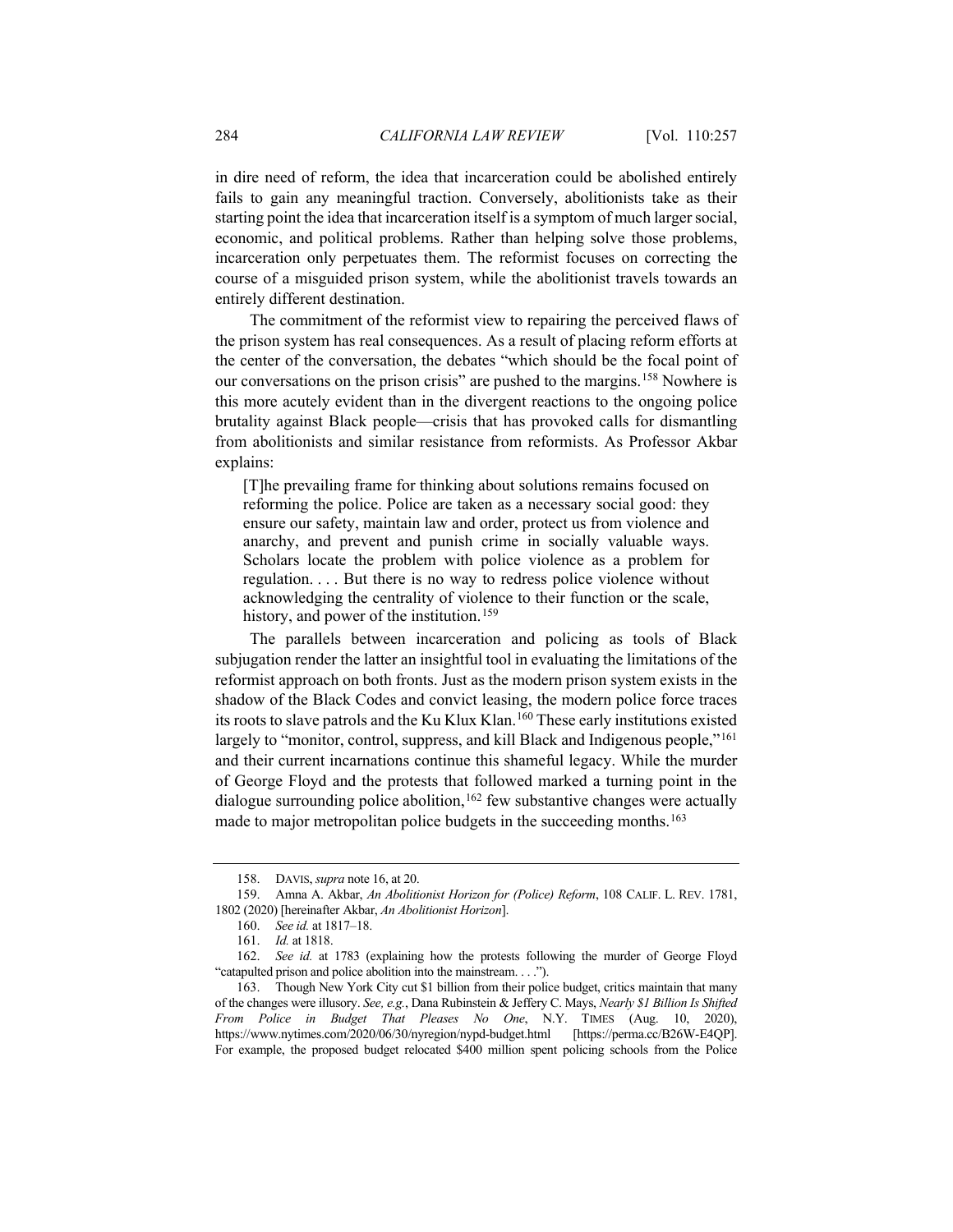in dire need of reform, the idea that incarceration could be abolished entirely fails to gain any meaningful traction. Conversely, abolitionists take as their starting point the idea that incarceration itself is a symptom of much larger social, economic, and political problems. Rather than helping solve those problems, incarceration only perpetuates them. The reformist focuses on correcting the course of a misguided prison system, while the abolitionist travels towards an entirely different destination.

The commitment of the reformist view to repairing the perceived flaws of the prison system has real consequences. As a result of placing reform efforts at the center of the conversation, the debates "which should be the focal point of our conversations on the prison crisis" are pushed to the margins.[158](#page-27-0) Nowhere is this more acutely evident than in the divergent reactions to the ongoing police brutality against Black people—crisis that has provoked calls for dismantling from abolitionists and similar resistance from reformists. As Professor Akbar explains:

[T]he prevailing frame for thinking about solutions remains focused on reforming the police. Police are taken as a necessary social good: they ensure our safety, maintain law and order, protect us from violence and anarchy, and prevent and punish crime in socially valuable ways. Scholars locate the problem with police violence as a problem for regulation. . . . But there is no way to redress police violence without acknowledging the centrality of violence to their function or the scale, history, and power of the institution.<sup>[159](#page-27-1)</sup>

<span id="page-27-6"></span>The parallels between incarceration and policing as tools of Black subjugation render the latter an insightful tool in evaluating the limitations of the reformist approach on both fronts. Just as the modern prison system exists in the shadow of the Black Codes and convict leasing, the modern police force traces its roots to slave patrols and the Ku Klux Klan.[160](#page-27-2) These early institutions existed largely to "monitor, control, suppress, and kill Black and Indigenous people,"<sup>[161](#page-27-3)</sup> and their current incarnations continue this shameful legacy. While the murder of George Floyd and the protests that followed marked a turning point in the dialogue surrounding police abolition,  $162$  few substantive changes were actually made to major metropolitan police budgets in the succeeding months.<sup>[163](#page-27-5)</sup>

<sup>158.</sup> DAVIS, *supra* not[e 16,](#page-5-1) at 20.

<span id="page-27-2"></span><span id="page-27-1"></span><span id="page-27-0"></span><sup>159.</sup> Amna A. Akbar, *An Abolitionist Horizon for (Police) Reform*, 108 CALIF. L. REV. 1781, 1802 (2020) [hereinafter Akbar, *An Abolitionist Horizon*].

<sup>160.</sup> *See id.* at 1817–18.

<sup>161.</sup> *Id.* at 1818.

<span id="page-27-4"></span><span id="page-27-3"></span><sup>162.</sup> *See id.* at 1783 (explaining how the protests following the murder of George Floyd "catapulted prison and police abolition into the mainstream. . . .").

<span id="page-27-5"></span><sup>163.</sup> Though New York City cut \$1 billion from their police budget, critics maintain that many of the changes were illusory. *See, e.g.*, Dana Rubinstein & Jeffery C. Mays, *Nearly \$1 Billion Is Shifted From Police in Budget That Pleases No One*, N.Y. TIMES (Aug. 10, 2020), https://www.nytimes.com/2020/06/30/nyregion/nypd-budget.html [https://perma.cc/B26W-E4QP]. For example, the proposed budget relocated \$400 million spent policing schools from the Police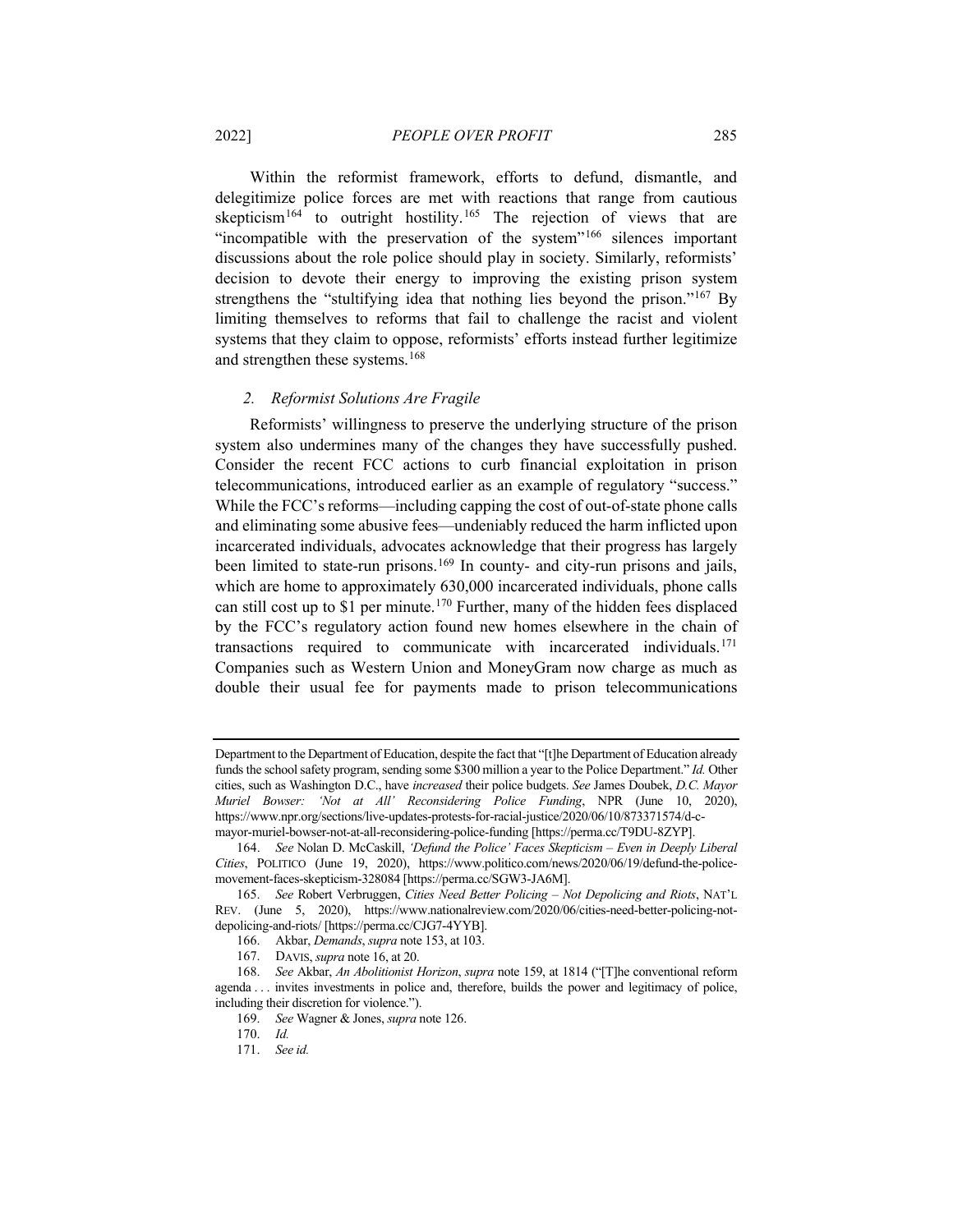Within the reformist framework, efforts to defund, dismantle, and delegitimize police forces are met with reactions that range from cautious skepticism<sup>[164](#page-28-0)</sup> to outright hostility.<sup>[165](#page-28-1)</sup> The rejection of views that are "incompatible with the preservation of the system"<sup>[166](#page-28-2)</sup> silences important discussions about the role police should play in society. Similarly, reformists' decision to devote their energy to improving the existing prison system strengthens the "stultifying idea that nothing lies beyond the prison."<sup>167</sup> By limiting themselves to reforms that fail to challenge the racist and violent systems that they claim to oppose, reformists' efforts instead further legitimize and strengthen these systems. [168](#page-28-4)

#### *2. Reformist Solutions Are Fragile*

Reformists' willingness to preserve the underlying structure of the prison system also undermines many of the changes they have successfully pushed. Consider the recent FCC actions to curb financial exploitation in prison telecommunications, introduced earlier as an example of regulatory "success." While the FCC's reforms—including capping the cost of out-of-state phone calls and eliminating some abusive fees—undeniably reduced the harm inflicted upon incarcerated individuals, advocates acknowledge that their progress has largely been limited to state-run prisons.<sup>[169](#page-28-5)</sup> In county- and city-run prisons and jails, which are home to approximately 630,000 incarcerated individuals, phone calls can still cost up to \$1 per minute.<sup>[170](#page-28-6)</sup> Further, many of the hidden fees displaced by the FCC's regulatory action found new homes elsewhere in the chain of transactions required to communicate with incarcerated individuals.[171](#page-28-7) Companies such as Western Union and MoneyGram now charge as much as double their usual fee for payments made to prison telecommunications

Department to the Department of Education, despite the fact that "[t]he Department of Education already funds the school safety program, sending some \$300 million a year to the Police Department." *Id.* Other cities, such as Washington D.C., have *increased* their police budgets. *See* James Doubek, *D.C. Mayor Muriel Bowser: 'Not at All' Reconsidering Police Funding*, NPR (June 10, 2020), https://www.npr.org/sections/live-updates-protests-for-racial-justice/2020/06/10/873371574/d-cmayor-muriel-bowser-not-at-all-reconsidering-police-funding [https://perma.cc/T9DU-8ZYP].

<span id="page-28-0"></span><sup>164.</sup> *See* Nolan D. McCaskill, *'Defund the Police' Faces Skepticism – Even in Deeply Liberal Cities*, POLITICO (June 19, 2020), https://www.politico.com/news/2020/06/19/defund-the-policemovement-faces-skepticism-328084 [https://perma.cc/SGW3-JA6M].

<span id="page-28-1"></span><sup>165.</sup> *See* Robert Verbruggen, *Cities Need Better Policing – Not Depolicing and Riots*, NAT'L REV. (June 5, 2020), https://www.nationalreview.com/2020/06/cities-need-better-policing-notdepolicing-and-riots/ [https://perma.cc/CJG7-4YYB].

<sup>166.</sup> Akbar, *Demands*, *supra* not[e 153,](#page-26-1) at 103.

<sup>167.</sup> DAVIS, *supra* not[e 16,](#page-5-1) at 20.

<span id="page-28-7"></span><span id="page-28-6"></span><span id="page-28-5"></span><span id="page-28-4"></span><span id="page-28-3"></span><span id="page-28-2"></span><sup>168.</sup> *See* Akbar, *An Abolitionist Horizon*, *supra* not[e 159,](#page-27-6) at 1814 ("[T]he conventional reform agenda . . . invites investments in police and, therefore, builds the power and legitimacy of police, including their discretion for violence.").

<sup>169.</sup> *See* Wagner & Jones, *supra* not[e 126.](#page-22-1)

<sup>170.</sup> *Id.*

<sup>171.</sup> *See id.*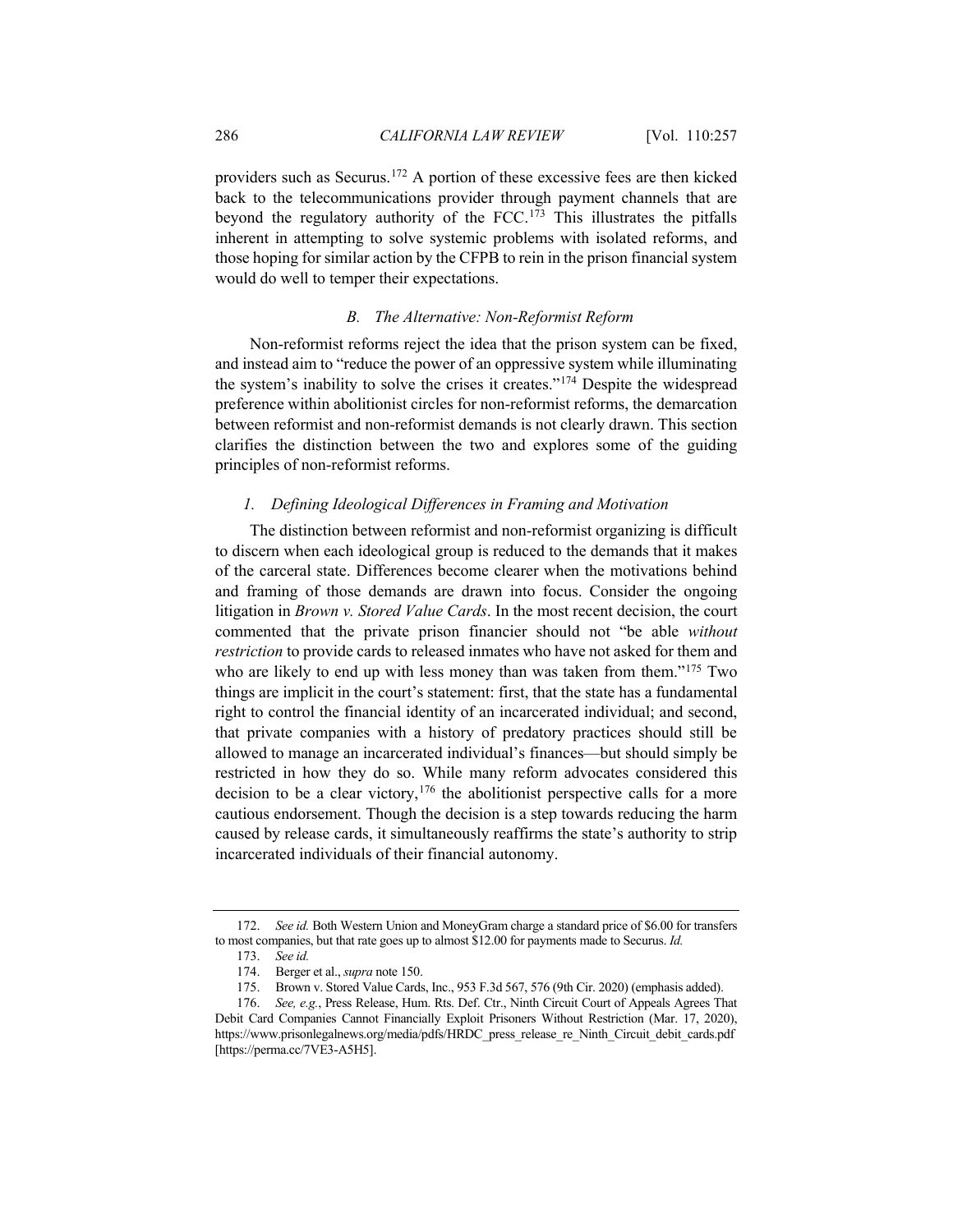providers such as Securus[.172](#page-29-0) A portion of these excessive fees are then kicked back to the telecommunications provider through payment channels that are beyond the regulatory authority of the FCC.[173](#page-29-1) This illustrates the pitfalls inherent in attempting to solve systemic problems with isolated reforms, and those hoping for similar action by the CFPB to rein in the prison financial system would do well to temper their expectations.

## *B. The Alternative: Non-Reformist Reform*

Non-reformist reforms reject the idea that the prison system can be fixed, and instead aim to "reduce the power of an oppressive system while illuminating the system's inability to solve the crises it creates."[174](#page-29-2) Despite the widespread preference within abolitionist circles for non-reformist reforms, the demarcation between reformist and non-reformist demands is not clearly drawn. This section clarifies the distinction between the two and explores some of the guiding principles of non-reformist reforms.

#### *1. Defining Ideological Differences in Framing and Motivation*

The distinction between reformist and non-reformist organizing is difficult to discern when each ideological group is reduced to the demands that it makes of the carceral state. Differences become clearer when the motivations behind and framing of those demands are drawn into focus. Consider the ongoing litigation in *Brown v. Stored Value Cards*. In the most recent decision, the court commented that the private prison financier should not "be able *without restriction* to provide cards to released inmates who have not asked for them and who are likely to end up with less money than was taken from them."<sup>[175](#page-29-3)</sup> Two things are implicit in the court's statement: first, that the state has a fundamental right to control the financial identity of an incarcerated individual; and second, that private companies with a history of predatory practices should still be allowed to manage an incarcerated individual's finances—but should simply be restricted in how they do so. While many reform advocates considered this decision to be a clear victory,  $176$  the abolitionist perspective calls for a more cautious endorsement. Though the decision is a step towards reducing the harm caused by release cards, it simultaneously reaffirms the state's authority to strip incarcerated individuals of their financial autonomy.

<span id="page-29-1"></span><span id="page-29-0"></span><sup>172.</sup> *See id.* Both Western Union and MoneyGram charge a standard price of \$6.00 for transfers to most companies, but that rate goes up to almost \$12.00 for payments made to Securus. *Id.*

<sup>173.</sup> *See id.*

<sup>174.</sup> Berger et al., *supra* not[e 150.](#page-26-10)

<sup>175.</sup> Brown v. Stored Value Cards, Inc., 953 F.3d 567, 576 (9th Cir. 2020) (emphasis added).

<span id="page-29-4"></span><span id="page-29-3"></span><span id="page-29-2"></span><sup>176.</sup> *See, e.g.*, Press Release, Hum. Rts. Def. Ctr., Ninth Circuit Court of Appeals Agrees That Debit Card Companies Cannot Financially Exploit Prisoners Without Restriction (Mar. 17, 2020), https://www.prisonlegalnews.org/media/pdfs/HRDC\_press\_release\_re\_Ninth\_Circuit\_debit\_cards.pdf [https://perma.cc/7VE3-A5H5].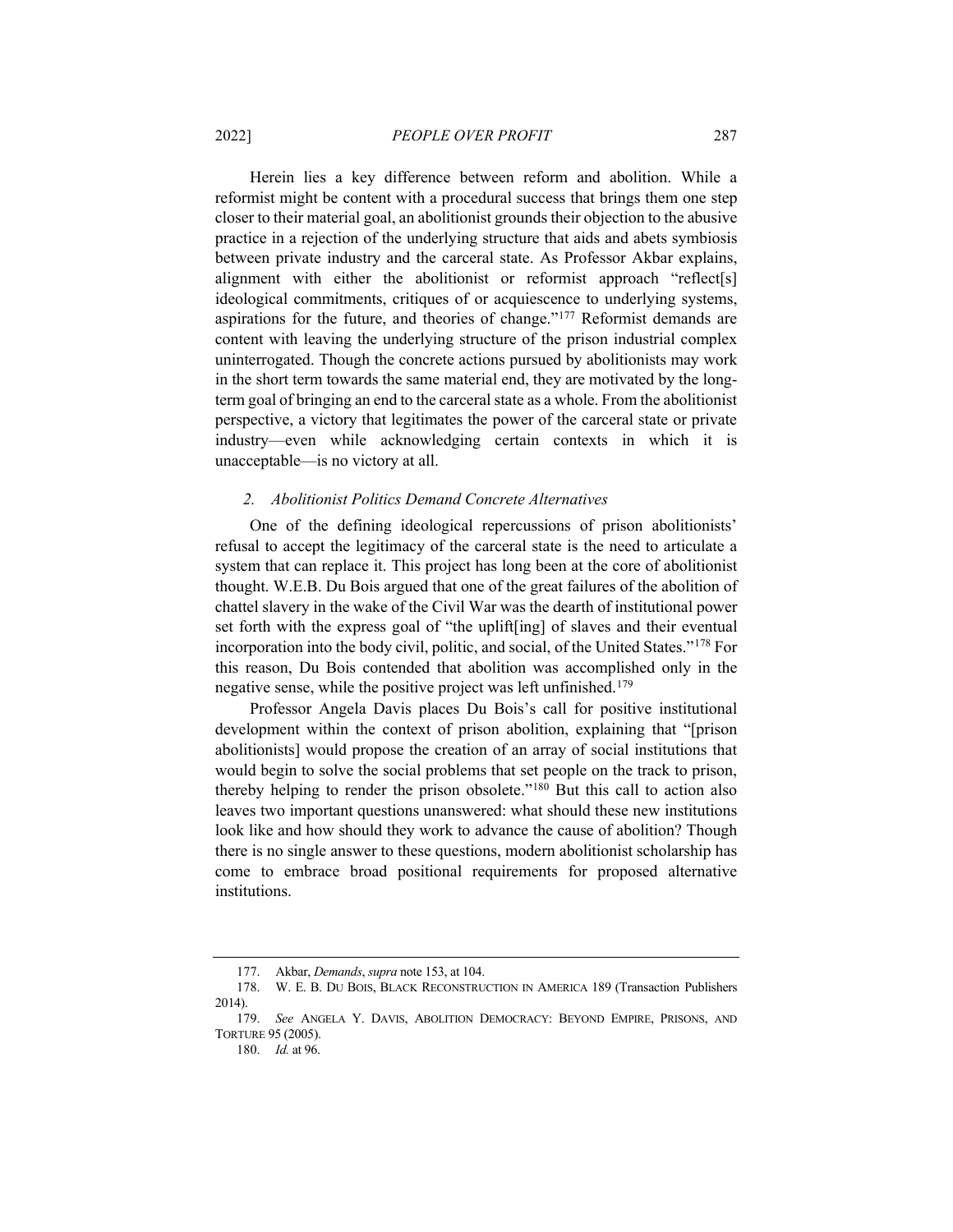Herein lies a key difference between reform and abolition. While a reformist might be content with a procedural success that brings them one step closer to their material goal, an abolitionist grounds their objection to the abusive practice in a rejection of the underlying structure that aids and abets symbiosis between private industry and the carceral state. As Professor Akbar explains, alignment with either the abolitionist or reformist approach "reflect[s] ideological commitments, critiques of or acquiescence to underlying systems, aspirations for the future, and theories of change."[177](#page-30-0) Reformist demands are content with leaving the underlying structure of the prison industrial complex uninterrogated. Though the concrete actions pursued by abolitionists may work in the short term towards the same material end, they are motivated by the longterm goal of bringing an end to the carceral state as a whole. From the abolitionist perspective, a victory that legitimates the power of the carceral state or private industry—even while acknowledging certain contexts in which it is unacceptable—is no victory at all.

#### *2. Abolitionist Politics Demand Concrete Alternatives*

One of the defining ideological repercussions of prison abolitionists' refusal to accept the legitimacy of the carceral state is the need to articulate a system that can replace it. This project has long been at the core of abolitionist thought. W.E.B. Du Bois argued that one of the great failures of the abolition of chattel slavery in the wake of the Civil War was the dearth of institutional power set forth with the express goal of "the uplift[ing] of slaves and their eventual incorporation into the body civil, politic, and social, of the United States."[178](#page-30-1) For this reason, Du Bois contended that abolition was accomplished only in the negative sense, while the positive project was left unfinished.<sup>179</sup>

Professor Angela Davis places Du Bois's call for positive institutional development within the context of prison abolition, explaining that "[prison abolitionists] would propose the creation of an array of social institutions that would begin to solve the social problems that set people on the track to prison, thereby helping to render the prison obsolete.["180](#page-30-3) But this call to action also leaves two important questions unanswered: what should these new institutions look like and how should they work to advance the cause of abolition? Though there is no single answer to these questions, modern abolitionist scholarship has come to embrace broad positional requirements for proposed alternative institutions.

<sup>177.</sup> Akbar, *Demands*, *supra* not[e 153,](#page-26-1) at 104.

<span id="page-30-0"></span><sup>178.</sup> W. E. B. DU BOIS, BLACK RECONSTRUCTION IN AMERICA 189 (Transaction Publishers 2014).

<span id="page-30-3"></span><span id="page-30-2"></span><span id="page-30-1"></span><sup>179.</sup> *See* ANGELA Y. DAVIS, ABOLITION DEMOCRACY: BEYOND EMPIRE, PRISONS, AND TORTURE 95 (2005).

<sup>180.</sup> *Id.* at 96.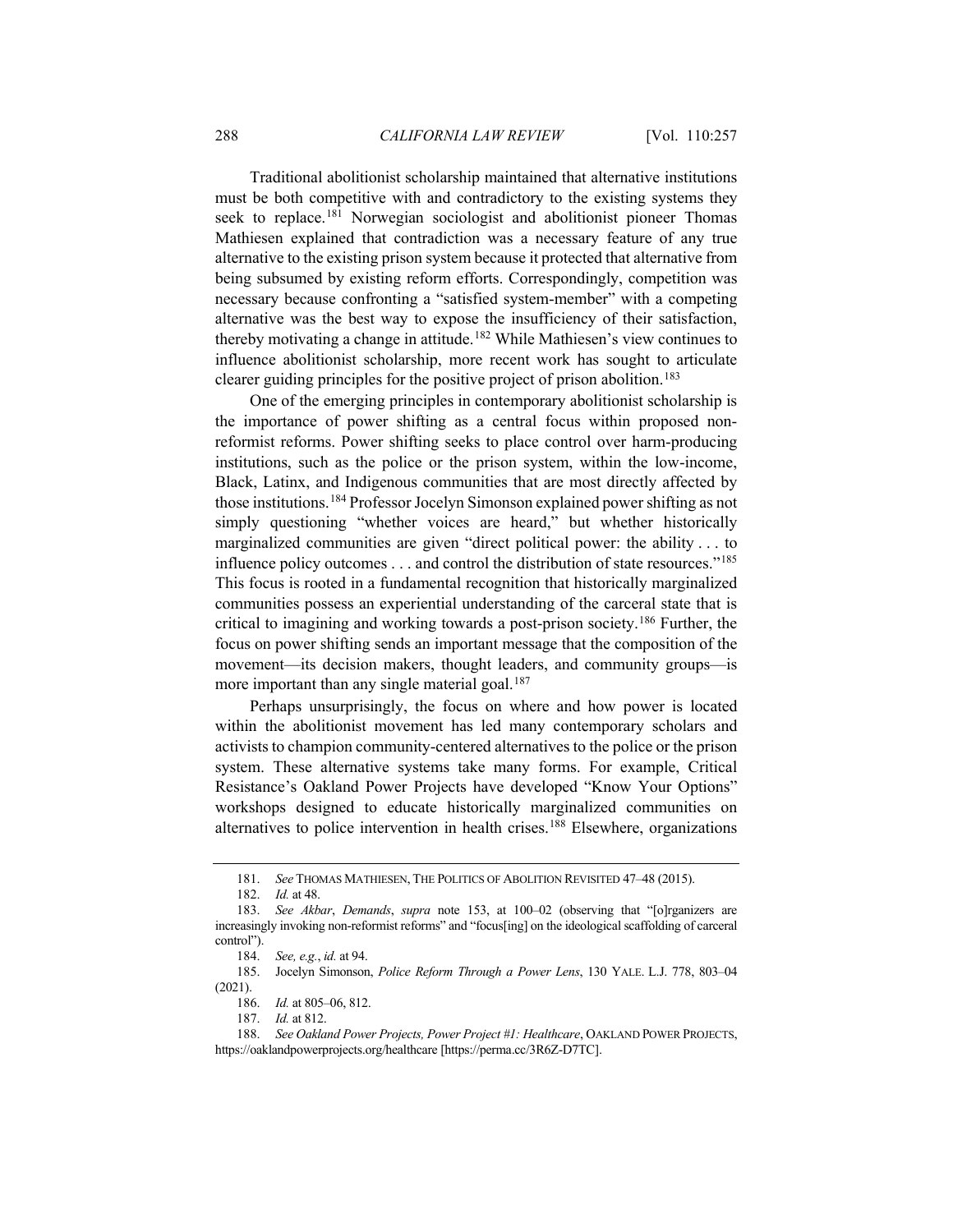Traditional abolitionist scholarship maintained that alternative institutions must be both competitive with and contradictory to the existing systems they seek to replace.<sup>[181](#page-31-0)</sup> Norwegian sociologist and abolitionist pioneer Thomas Mathiesen explained that contradiction was a necessary feature of any true alternative to the existing prison system because it protected that alternative from being subsumed by existing reform efforts. Correspondingly, competition was necessary because confronting a "satisfied system-member" with a competing alternative was the best way to expose the insufficiency of their satisfaction, thereby motivating a change in attitude.<sup>[182](#page-31-1)</sup> While Mathiesen's view continues to influence abolitionist scholarship, more recent work has sought to articulate clearer guiding principles for the positive project of prison abolition.<sup>[183](#page-31-2)</sup>

One of the emerging principles in contemporary abolitionist scholarship is the importance of power shifting as a central focus within proposed nonreformist reforms. Power shifting seeks to place control over harm-producing institutions, such as the police or the prison system, within the low-income, Black, Latinx, and Indigenous communities that are most directly affected by those institutions.[184](#page-31-3) Professor Jocelyn Simonson explained power shifting as not simply questioning "whether voices are heard," but whether historically marginalized communities are given "direct political power: the ability . . . to influence policy outcomes . . . and control the distribution of state resources."[185](#page-31-4) This focus is rooted in a fundamental recognition that historically marginalized communities possess an experiential understanding of the carceral state that is critical to imagining and working towards a post-prison society.[186](#page-31-5) Further, the focus on power shifting sends an important message that the composition of the movement—its decision makers, thought leaders, and community groups—is more important than any single material goal.<sup>[187](#page-31-6)</sup>

Perhaps unsurprisingly, the focus on where and how power is located within the abolitionist movement has led many contemporary scholars and activists to champion community-centered alternatives to the police or the prison system. These alternative systems take many forms. For example, Critical Resistance's Oakland Power Projects have developed "Know Your Options" workshops designed to educate historically marginalized communities on alternatives to police intervention in health crises.[188](#page-31-7) Elsewhere, organizations

<sup>181.</sup> *See* THOMAS MATHIESEN, THE POLITICS OF ABOLITION REVISITED 47–48 (2015).

<sup>182.</sup> *Id.* at 48.

<span id="page-31-2"></span><span id="page-31-1"></span><span id="page-31-0"></span><sup>183.</sup> *See Akbar*, *Demands*, *supra* note [153,](#page-26-1) at 100–02 (observing that "[o]rganizers are increasingly invoking non-reformist reforms" and "focus[ing] on the ideological scaffolding of carceral control").

<sup>184.</sup> *See, e.g.*, *id.* at 94.

<span id="page-31-5"></span><span id="page-31-4"></span><span id="page-31-3"></span><sup>185.</sup> Jocelyn Simonson, *Police Reform Through a Power Lens*, 130 YALE. L.J. 778, 803–04 (2021).

<sup>186.</sup> *Id.* at 805–06, 812.

<sup>187.</sup> *Id.* at 812.

<span id="page-31-7"></span><span id="page-31-6"></span><sup>188.</sup> *See Oakland Power Projects, Power Project #1: Healthcare*, OAKLAND POWER PROJECTS, https://oaklandpowerprojects.org/healthcare [https://perma.cc/3R6Z-D7TC].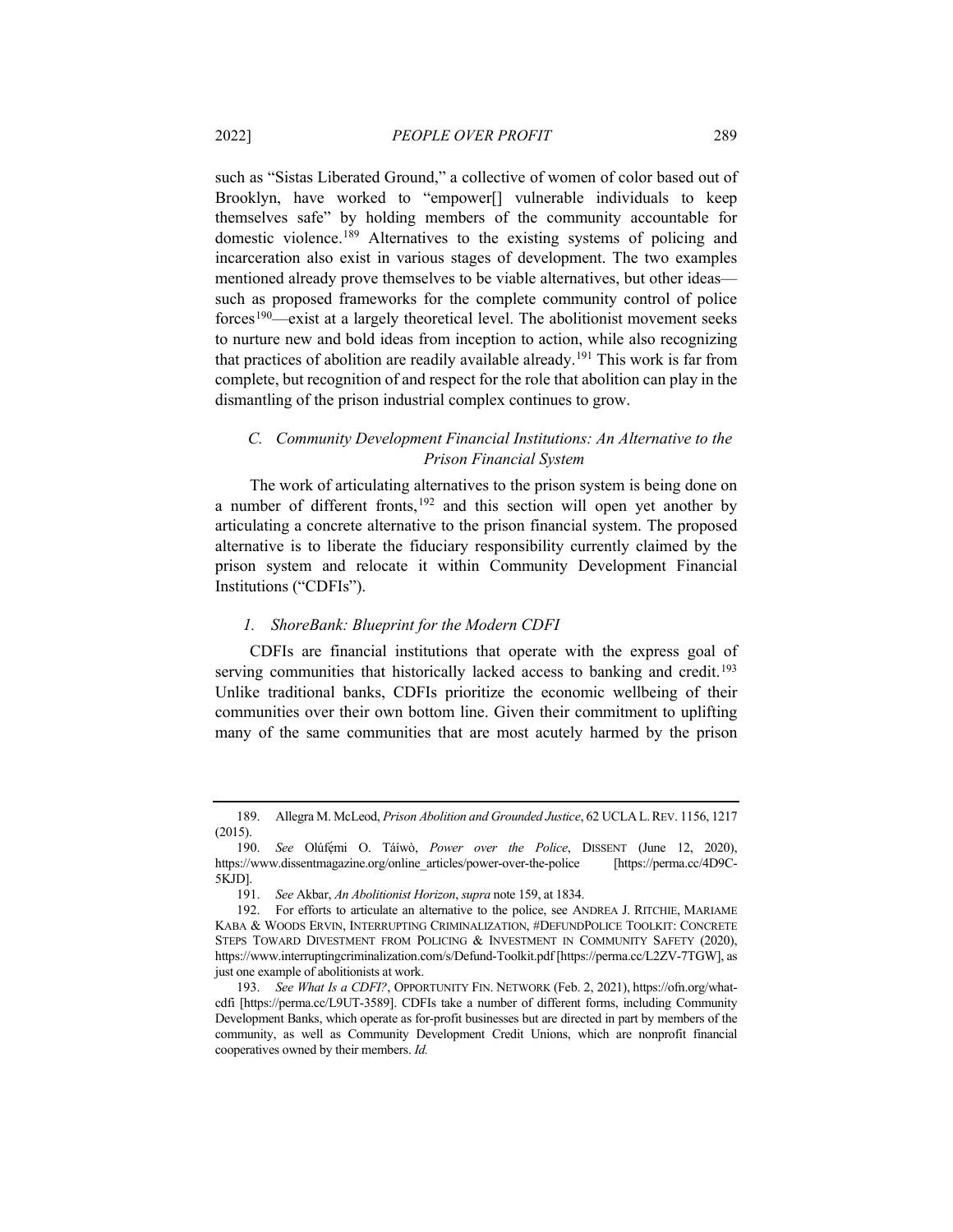such as "Sistas Liberated Ground," a collective of women of color based out of Brooklyn, have worked to "empower[] vulnerable individuals to keep themselves safe" by holding members of the community accountable for domestic violence.[189](#page-32-0) Alternatives to the existing systems of policing and incarceration also exist in various stages of development. The two examples mentioned already prove themselves to be viable alternatives, but other ideas such as proposed frameworks for the complete community control of police forces[190—](#page-32-1)exist at a largely theoretical level. The abolitionist movement seeks to nurture new and bold ideas from inception to action, while also recognizing that practices of abolition are readily available already.<sup>[191](#page-32-2)</sup> This work is far from complete, but recognition of and respect for the role that abolition can play in the dismantling of the prison industrial complex continues to grow.

## *C. Community Development Financial Institutions: An Alternative to the Prison Financial System*

The work of articulating alternatives to the prison system is being done on a number of different fronts,<sup>[192](#page-32-3)</sup> and this section will open yet another by articulating a concrete alternative to the prison financial system. The proposed alternative is to liberate the fiduciary responsibility currently claimed by the prison system and relocate it within Community Development Financial Institutions ("CDFIs").

## <span id="page-32-5"></span>*1. ShoreBank: Blueprint for the Modern CDFI*

CDFIs are financial institutions that operate with the express goal of serving communities that historically lacked access to banking and credit.<sup>[193](#page-32-4)</sup> Unlike traditional banks, CDFIs prioritize the economic wellbeing of their communities over their own bottom line. Given their commitment to uplifting many of the same communities that are most acutely harmed by the prison

<span id="page-32-0"></span><sup>189.</sup> Allegra M. McLeod, *Prison Abolition and Grounded Justice*, 62 UCLA L.REV. 1156, 1217 (2015).

<span id="page-32-1"></span><sup>190.</sup> *See* Olúfẹ́ mi O. Táíwò, *Power over the Police*, DISSENT (June 12, 2020), https://www.dissentmagazine.org/online\_articles/power-over-the-police [https://perma.cc/4D9C-5KJD].

<sup>191.</sup> *See* Akbar, *An Abolitionist Horizon*, *supra* not[e 159,](#page-27-6) at 1834.

<span id="page-32-3"></span><span id="page-32-2"></span><sup>192.</sup> For efforts to articulate an alternative to the police, see ANDREA J. RITCHIE, MARIAME KABA & WOODS ERVIN, INTERRUPTING CRIMINALIZATION, #DEFUNDPOLICE TOOLKIT: CONCRETE STEPS TOWARD DIVESTMENT FROM POLICING & INVESTMENT IN COMMUNITY SAFETY (2020), https://www.interruptingcriminalization.com/s/Defund-Toolkit.pdf [https://perma.cc/L2ZV-7TGW], as just one example of abolitionists at work.

<span id="page-32-4"></span><sup>193.</sup> *See What Is a CDFI?*, OPPORTUNITY FIN. NETWORK (Feb. 2, 2021), https://ofn.org/whatcdfi [https://perma.cc/L9UT-3589]. CDFIs take a number of different forms, including Community Development Banks, which operate as for-profit businesses but are directed in part by members of the community, as well as Community Development Credit Unions, which are nonprofit financial cooperatives owned by their members. *Id.*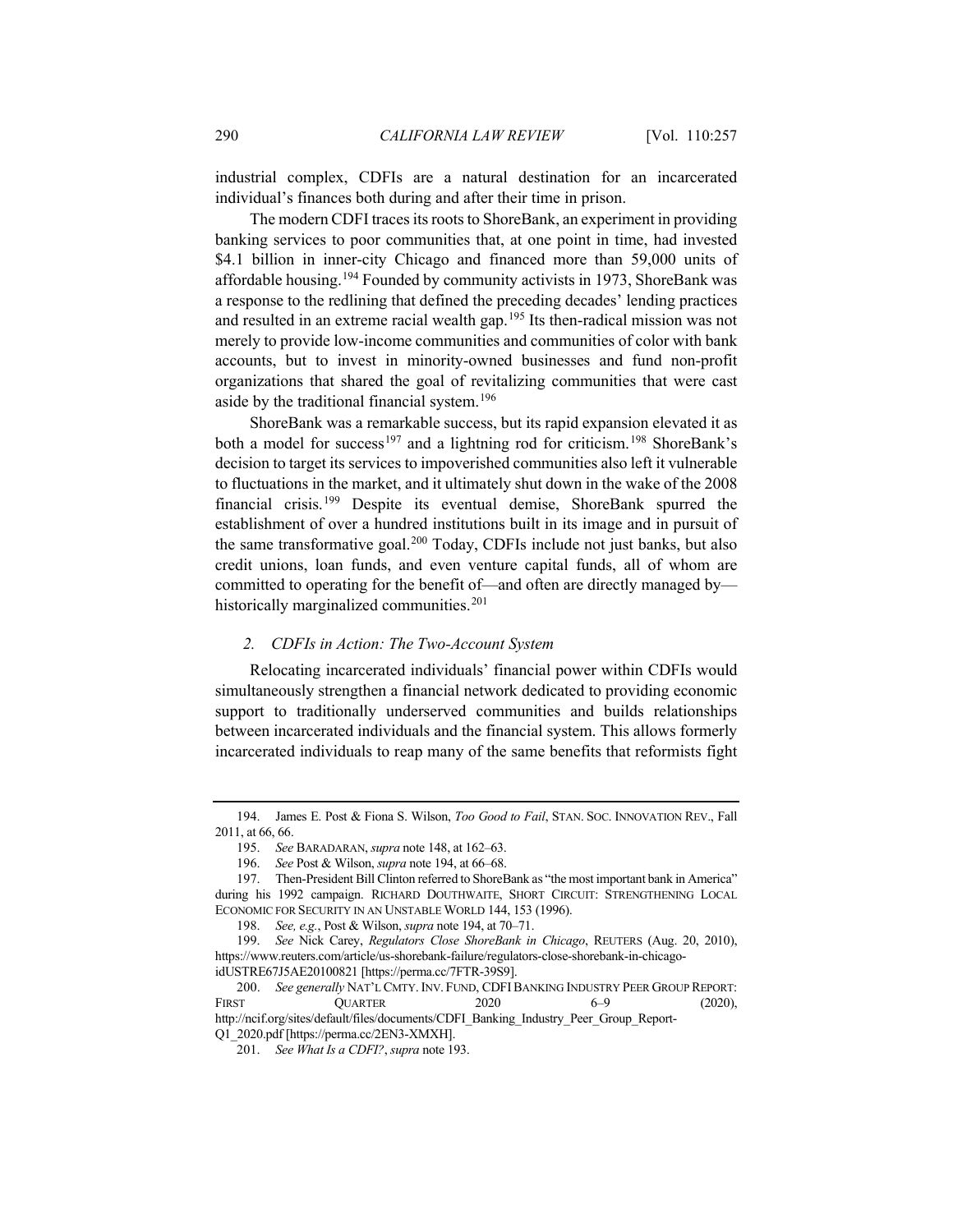industrial complex, CDFIs are a natural destination for an incarcerated individual's finances both during and after their time in prison.

<span id="page-33-0"></span>The modern CDFI traces its roots to ShoreBank, an experiment in providing banking services to poor communities that, at one point in time, had invested \$4.1 billion in inner-city Chicago and financed more than 59,000 units of affordable housing.<sup>[194](#page-33-1)</sup> Founded by community activists in 1973, ShoreBank was a response to the redlining that defined the preceding decades' lending practices and resulted in an extreme racial wealth gap.<sup>[195](#page-33-2)</sup> Its then-radical mission was not merely to provide low-income communities and communities of color with bank accounts, but to invest in minority-owned businesses and fund non-profit organizations that shared the goal of revitalizing communities that were cast aside by the traditional financial system.<sup>[196](#page-33-3)</sup>

ShoreBank was a remarkable success, but its rapid expansion elevated it as both a model for success<sup>[197](#page-33-4)</sup> and a lightning rod for criticism.<sup>[198](#page-33-5)</sup> ShoreBank's decision to target its services to impoverished communities also left it vulnerable to fluctuations in the market, and it ultimately shut down in the wake of the 2008 financial crisis.[199](#page-33-6) Despite its eventual demise, ShoreBank spurred the establishment of over a hundred institutions built in its image and in pursuit of the same transformative goal.<sup>[200](#page-33-7)</sup> Today, CDFIs include not just banks, but also credit unions, loan funds, and even venture capital funds, all of whom are committed to operating for the benefit of—and often are directly managed by— historically marginalized communities.<sup>[201](#page-33-8)</sup>

#### *2. CDFIs in Action: The Two-Account System*

Relocating incarcerated individuals' financial power within CDFIs would simultaneously strengthen a financial network dedicated to providing economic support to traditionally underserved communities and builds relationships between incarcerated individuals and the financial system. This allows formerly incarcerated individuals to reap many of the same benefits that reformists fight

<span id="page-33-2"></span><span id="page-33-1"></span><sup>194.</sup> James E. Post & Fiona S. Wilson, *Too Good to Fail*, STAN. SOC. INNOVATION REV., Fall 2011, at 66, 66.

<sup>195.</sup> *See* BARADARAN, *supra* not[e 148,](#page-25-4) at 162–63.

<sup>196.</sup> *See* Post & Wilson, *supra* not[e 194,](#page-33-0) at 66–68.

<span id="page-33-4"></span><span id="page-33-3"></span><sup>197.</sup> Then-President Bill Clinton referred to ShoreBank as "the most important bank in America" during his 1992 campaign. RICHARD DOUTHWAITE, SHORT CIRCUIT: STRENGTHENING LOCAL ECONOMIC FOR SECURITY IN AN UNSTABLE WORLD 144, 153 (1996).

<sup>198.</sup> *See, e.g.*, Post & Wilson, *supra* not[e 194,](#page-33-0) at 70–71.

<span id="page-33-6"></span><span id="page-33-5"></span><sup>199.</sup> *See* Nick Carey, *Regulators Close ShoreBank in Chicago*, REUTERS (Aug. 20, 2010), https://www.reuters.com/article/us-shorebank-failure/regulators-close-shorebank-in-chicagoidUSTRE67J5AE20100821 [https://perma.cc/7FTR-39S9].

<span id="page-33-8"></span><span id="page-33-7"></span><sup>200.</sup> *See generally* NAT'L CMTY. INV. FUND, CDFIBANKING INDUSTRY PEER GROUP REPORT: FIRST QUARTER 2020 6–9 (2020), http://ncif.org/sites/default/files/documents/CDFI\_Banking\_Industry\_Peer\_Group\_Report-Q1\_2020.pdf [https://perma.cc/2EN3-XMXH].

<sup>201.</sup> *See What Is a CDFI?*, *supra* not[e 193.](#page-32-5)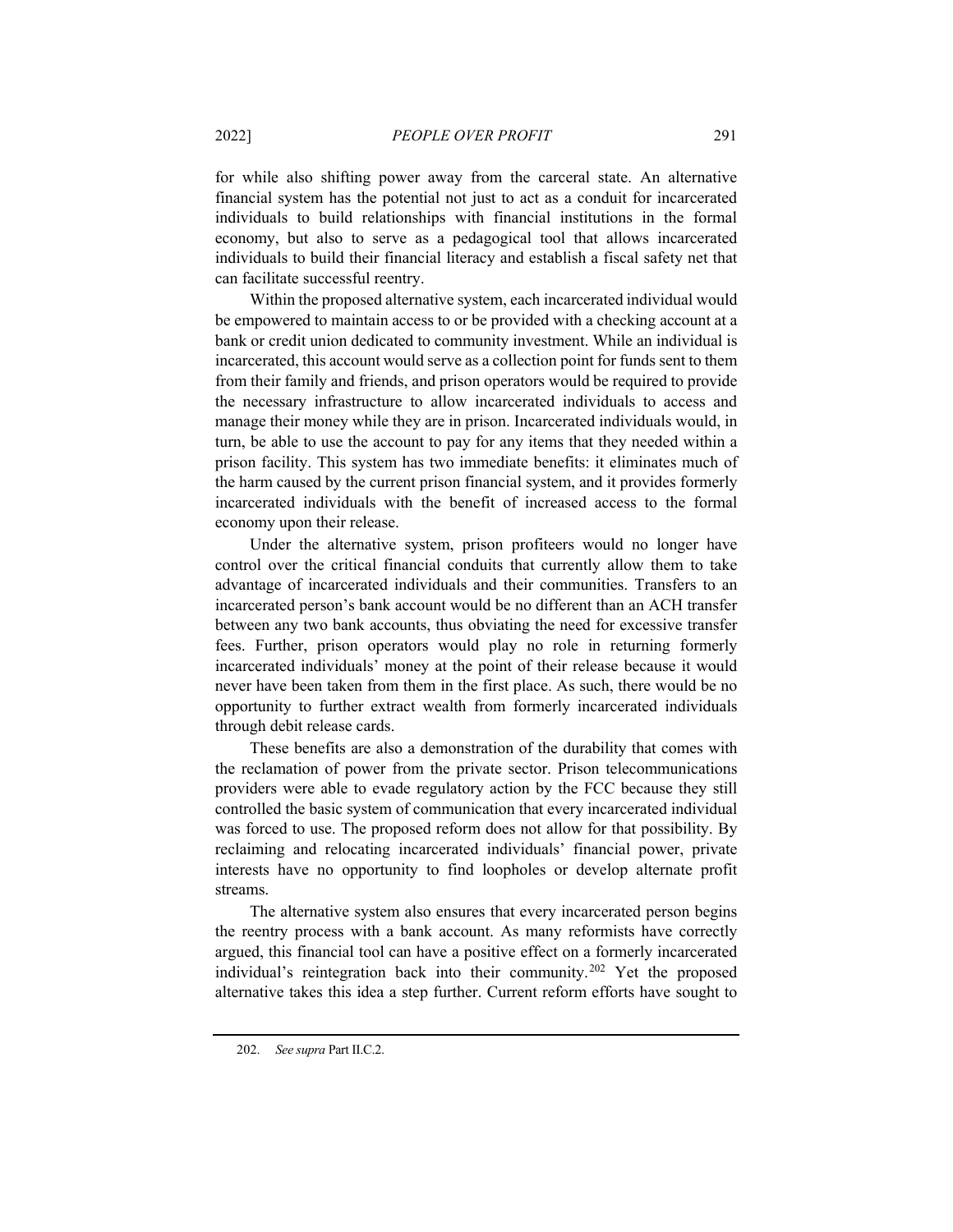for while also shifting power away from the carceral state. An alternative financial system has the potential not just to act as a conduit for incarcerated individuals to build relationships with financial institutions in the formal economy, but also to serve as a pedagogical tool that allows incarcerated individuals to build their financial literacy and establish a fiscal safety net that can facilitate successful reentry.

Within the proposed alternative system, each incarcerated individual would be empowered to maintain access to or be provided with a checking account at a bank or credit union dedicated to community investment. While an individual is incarcerated, this account would serve as a collection point for funds sent to them from their family and friends, and prison operators would be required to provide the necessary infrastructure to allow incarcerated individuals to access and manage their money while they are in prison. Incarcerated individuals would, in turn, be able to use the account to pay for any items that they needed within a prison facility. This system has two immediate benefits: it eliminates much of the harm caused by the current prison financial system, and it provides formerly incarcerated individuals with the benefit of increased access to the formal economy upon their release.

Under the alternative system, prison profiteers would no longer have control over the critical financial conduits that currently allow them to take advantage of incarcerated individuals and their communities. Transfers to an incarcerated person's bank account would be no different than an ACH transfer between any two bank accounts, thus obviating the need for excessive transfer fees. Further, prison operators would play no role in returning formerly incarcerated individuals' money at the point of their release because it would never have been taken from them in the first place. As such, there would be no opportunity to further extract wealth from formerly incarcerated individuals through debit release cards.

These benefits are also a demonstration of the durability that comes with the reclamation of power from the private sector. Prison telecommunications providers were able to evade regulatory action by the FCC because they still controlled the basic system of communication that every incarcerated individual was forced to use. The proposed reform does not allow for that possibility. By reclaiming and relocating incarcerated individuals' financial power, private interests have no opportunity to find loopholes or develop alternate profit streams.

The alternative system also ensures that every incarcerated person begins the reentry process with a bank account. As many reformists have correctly argued, this financial tool can have a positive effect on a formerly incarcerated individual's reintegration back into their community.[202](#page-34-0) Yet the proposed alternative takes this idea a step further. Current reform efforts have sought to

<span id="page-34-0"></span><sup>202.</sup> *See supra* Part II.C.2.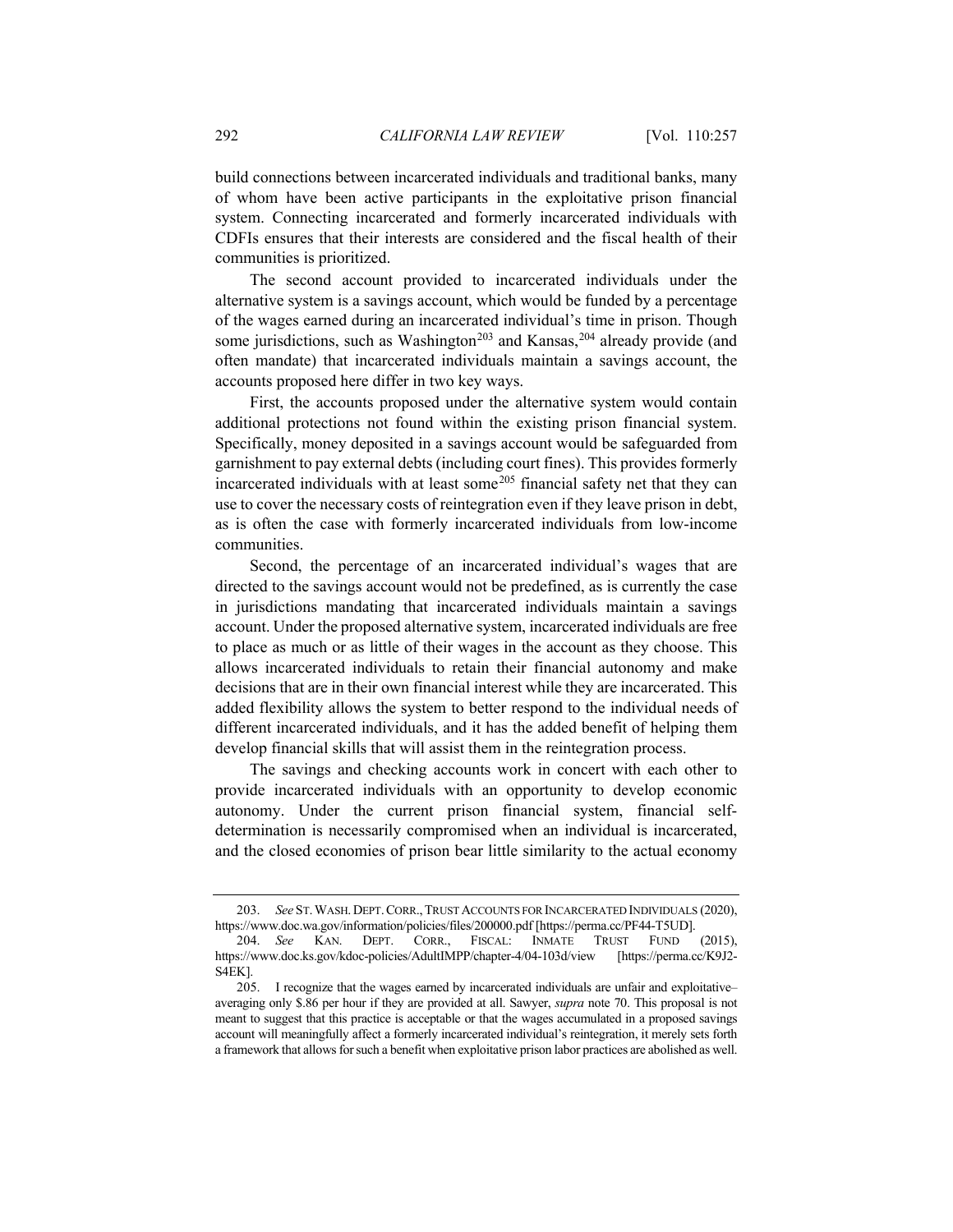build connections between incarcerated individuals and traditional banks, many of whom have been active participants in the exploitative prison financial system. Connecting incarcerated and formerly incarcerated individuals with CDFIs ensures that their interests are considered and the fiscal health of their communities is prioritized.

The second account provided to incarcerated individuals under the alternative system is a savings account, which would be funded by a percentage of the wages earned during an incarcerated individual's time in prison. Though some jurisdictions, such as Washington<sup>[203](#page-35-0)</sup> and Kansas,<sup>[204](#page-35-1)</sup> already provide (and often mandate) that incarcerated individuals maintain a savings account, the accounts proposed here differ in two key ways.

First, the accounts proposed under the alternative system would contain additional protections not found within the existing prison financial system. Specifically, money deposited in a savings account would be safeguarded from garnishment to pay external debts (including court fines). This provides formerly incarcerated individuals with at least some $205$  financial safety net that they can use to cover the necessary costs of reintegration even if they leave prison in debt, as is often the case with formerly incarcerated individuals from low-income communities.

Second, the percentage of an incarcerated individual's wages that are directed to the savings account would not be predefined, as is currently the case in jurisdictions mandating that incarcerated individuals maintain a savings account. Under the proposed alternative system, incarcerated individuals are free to place as much or as little of their wages in the account as they choose. This allows incarcerated individuals to retain their financial autonomy and make decisions that are in their own financial interest while they are incarcerated. This added flexibility allows the system to better respond to the individual needs of different incarcerated individuals, and it has the added benefit of helping them develop financial skills that will assist them in the reintegration process.

The savings and checking accounts work in concert with each other to provide incarcerated individuals with an opportunity to develop economic autonomy. Under the current prison financial system, financial selfdetermination is necessarily compromised when an individual is incarcerated, and the closed economies of prison bear little similarity to the actual economy

<span id="page-35-0"></span><sup>203.</sup> *See* ST.WASH.DEPT.CORR.,TRUST ACCOUNTS FOR INCARCERATED INDIVIDUALS (2020), https://www.doc.wa.gov/information/policies/files/200000.pdf [https://perma.cc/PF44-T5UD].

<span id="page-35-1"></span><sup>204.</sup> *See* KAN. DEPT. CORR., FISCAL: INMATE TRUST FUND (2015), https://www.doc.ks.gov/kdoc-policies/AdultIMPP/chapter-4/04-103d/view [https://perma.cc/K9J2- S4EK].

<span id="page-35-2"></span><sup>205.</sup> I recognize that the wages earned by incarcerated individuals are unfair and exploitative– averaging only \$.86 per hour if they are provided at all. Sawyer, *supra* not[e 70.](#page-13-11) This proposal is not meant to suggest that this practice is acceptable or that the wages accumulated in a proposed savings account will meaningfully affect a formerly incarcerated individual's reintegration, it merely sets forth a framework that allows for such a benefit when exploitative prison labor practices are abolished as well.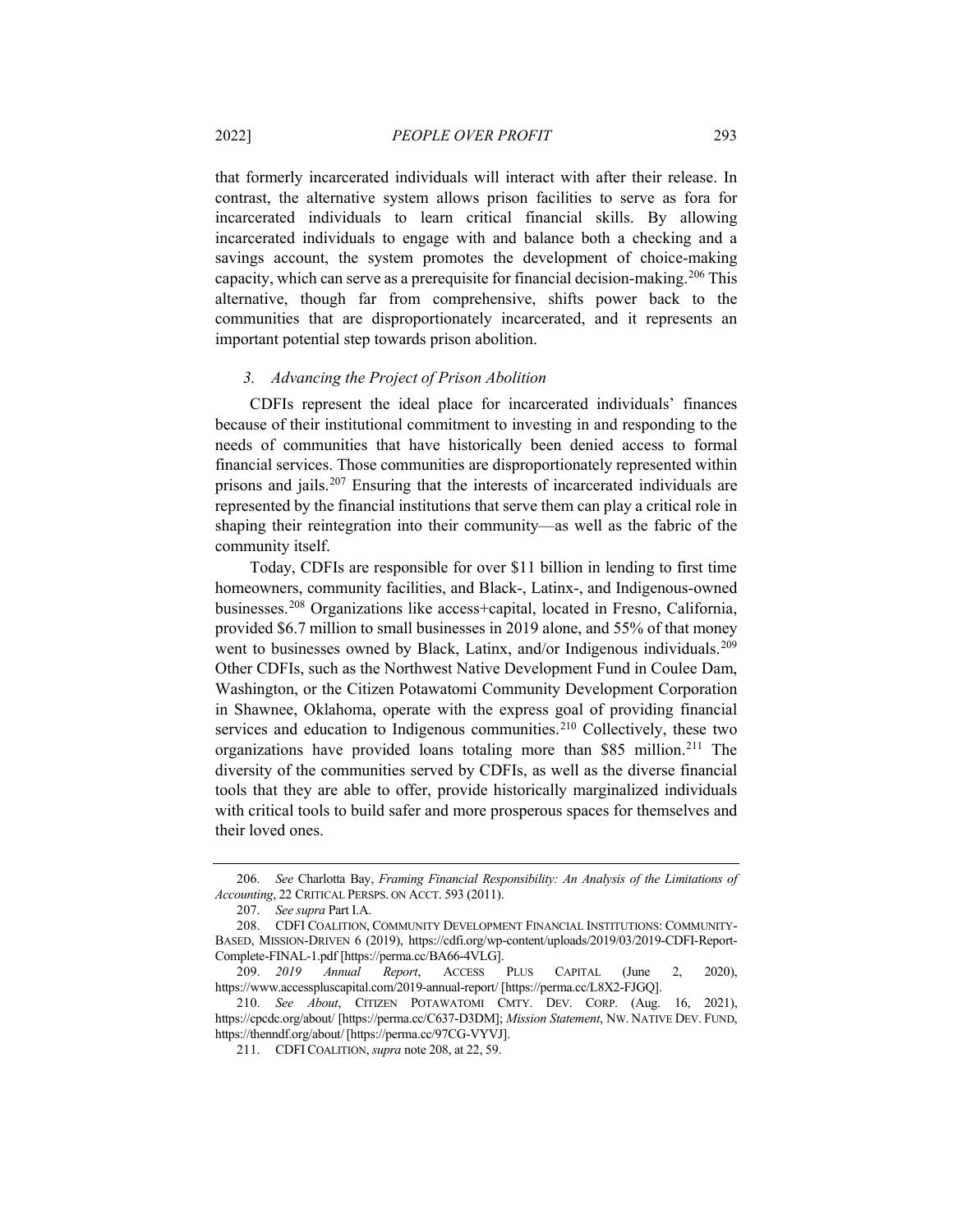that formerly incarcerated individuals will interact with after their release. In contrast, the alternative system allows prison facilities to serve as fora for incarcerated individuals to learn critical financial skills. By allowing incarcerated individuals to engage with and balance both a checking and a savings account, the system promotes the development of choice-making capacity, which can serve as a prerequisite for financial decision-making.[206](#page-36-1) This alternative, though far from comprehensive, shifts power back to the communities that are disproportionately incarcerated, and it represents an important potential step towards prison abolition.

## *3. Advancing the Project of Prison Abolition*

CDFIs represent the ideal place for incarcerated individuals' finances because of their institutional commitment to investing in and responding to the needs of communities that have historically been denied access to formal financial services. Those communities are disproportionately represented within prisons and jails.[207](#page-36-2) Ensuring that the interests of incarcerated individuals are represented by the financial institutions that serve them can play a critical role in shaping their reintegration into their community—as well as the fabric of the community itself.

<span id="page-36-0"></span>Today, CDFIs are responsible for over \$11 billion in lending to first time homeowners, community facilities, and Black-, Latinx-, and Indigenous-owned businesses.[208](#page-36-3) Organizations like access+capital, located in Fresno, California, provided \$6.7 million to small businesses in 2019 alone, and 55% of that money went to businesses owned by Black, Latinx, and/or Indigenous individuals.<sup>[209](#page-36-4)</sup> Other CDFIs, such as the Northwest Native Development Fund in Coulee Dam, Washington, or the Citizen Potawatomi Community Development Corporation in Shawnee, Oklahoma, operate with the express goal of providing financial services and education to Indigenous communities.<sup>[210](#page-36-5)</sup> Collectively, these two organizations have provided loans totaling more than \$85 million.[211](#page-36-6) The diversity of the communities served by CDFIs, as well as the diverse financial tools that they are able to offer, provide historically marginalized individuals with critical tools to build safer and more prosperous spaces for themselves and their loved ones.

<span id="page-36-1"></span><sup>206.</sup> *See* Charlotta Bay, *Framing Financial Responsibility: An Analysis of the Limitations of Accounting*, 22 CRITICAL PERSPS. ON ACCT. 593 (2011).

<sup>207.</sup> *See supra* Part I.A.

<span id="page-36-3"></span><span id="page-36-2"></span><sup>208.</sup> CDFI COALITION, COMMUNITY DEVELOPMENT FINANCIAL INSTITUTIONS: COMMUNITY-BASED, MISSION-DRIVEN 6 (2019), https://cdfi.org/wp-content/uploads/2019/03/2019-CDFI-Report-Complete-FINAL-1.pdf [https://perma.cc/BA66-4VLG].

<span id="page-36-4"></span><sup>209.</sup> *2019 Annual Report*, ACCESS PLUS CAPITAL (June 2, 2020), https://www.accesspluscapital.com/2019-annual-report/ [https://perma.cc/L8X2-FJGQ].

<span id="page-36-6"></span><span id="page-36-5"></span><sup>210.</sup> *See About*, CITIZEN POTAWATOMI CMTY. DEV. CORP. (Aug. 16, 2021), https://cpcdc.org/about/ [https://perma.cc/C637-D3DM]; *Mission Statement*, NW. NATIVE DEV. FUND, https://thenndf.org/about/[https://perma.cc/97CG-VYVJ].

<sup>211.</sup> CDFI COALITION, *supra* not[e 208,](#page-36-0) at 22, 59.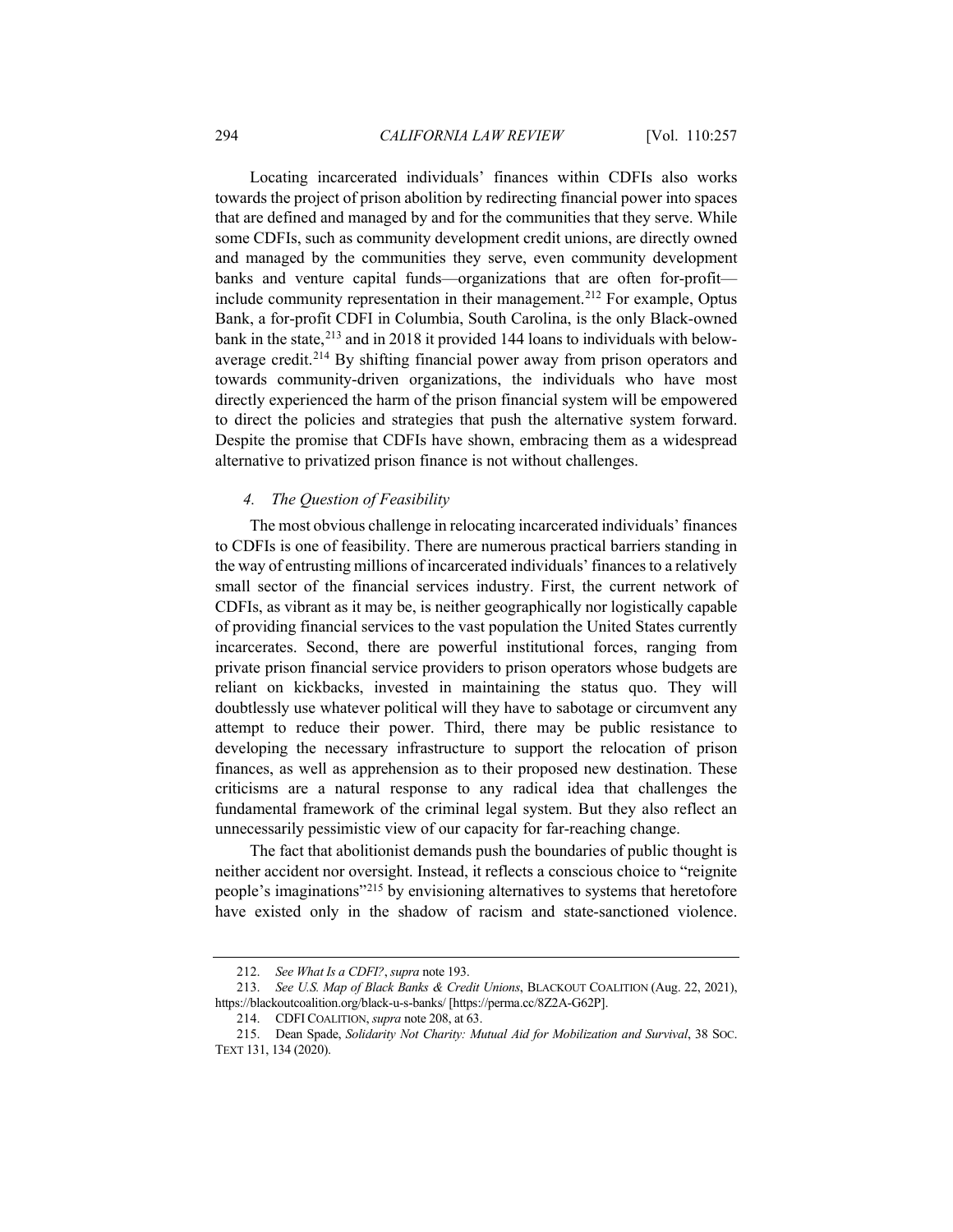Locating incarcerated individuals' finances within CDFIs also works towards the project of prison abolition by redirecting financial power into spaces that are defined and managed by and for the communities that they serve. While some CDFIs, such as community development credit unions, are directly owned and managed by the communities they serve, even community development banks and venture capital funds—organizations that are often for-profit— include community representation in their management.<sup>[212](#page-37-0)</sup> For example, Optus Bank, a for-profit CDFI in Columbia, South Carolina, is the only Black-owned bank in the state,<sup>[213](#page-37-1)</sup> and in 2018 it provided 144 loans to individuals with belowaverage credit.[214](#page-37-2) By shifting financial power away from prison operators and towards community-driven organizations, the individuals who have most directly experienced the harm of the prison financial system will be empowered to direct the policies and strategies that push the alternative system forward. Despite the promise that CDFIs have shown, embracing them as a widespread alternative to privatized prison finance is not without challenges.

#### *4. The Question of Feasibility*

The most obvious challenge in relocating incarcerated individuals' finances to CDFIs is one of feasibility. There are numerous practical barriers standing in the way of entrusting millions of incarcerated individuals' finances to a relatively small sector of the financial services industry. First, the current network of CDFIs, as vibrant as it may be, is neither geographically nor logistically capable of providing financial services to the vast population the United States currently incarcerates. Second, there are powerful institutional forces, ranging from private prison financial service providers to prison operators whose budgets are reliant on kickbacks, invested in maintaining the status quo. They will doubtlessly use whatever political will they have to sabotage or circumvent any attempt to reduce their power. Third, there may be public resistance to developing the necessary infrastructure to support the relocation of prison finances, as well as apprehension as to their proposed new destination. These criticisms are a natural response to any radical idea that challenges the fundamental framework of the criminal legal system. But they also reflect an unnecessarily pessimistic view of our capacity for far-reaching change.

The fact that abolitionist demands push the boundaries of public thought is neither accident nor oversight. Instead, it reflects a conscious choice to "reignite people's imaginations"[215](#page-37-3) by envisioning alternatives to systems that heretofore have existed only in the shadow of racism and state-sanctioned violence.

<sup>212.</sup> *See What Is a CDFI?*, *supra* not[e 193.](#page-32-5)

<span id="page-37-1"></span><span id="page-37-0"></span><sup>213.</sup> *See U.S. Map of Black Banks & Credit Unions*, BLACKOUT COALITION (Aug. 22, 2021), https://blackoutcoalition.org/black-u-s-banks/ [https://perma.cc/8Z2A-G62P].

<sup>214.</sup> CDFI COALITION, *supra* not[e 208,](#page-36-0) at 63.

<span id="page-37-3"></span><span id="page-37-2"></span><sup>215.</sup> Dean Spade, *Solidarity Not Charity: Mutual Aid for Mobilization and Survival*, 38 SOC. TEXT 131, 134 (2020).